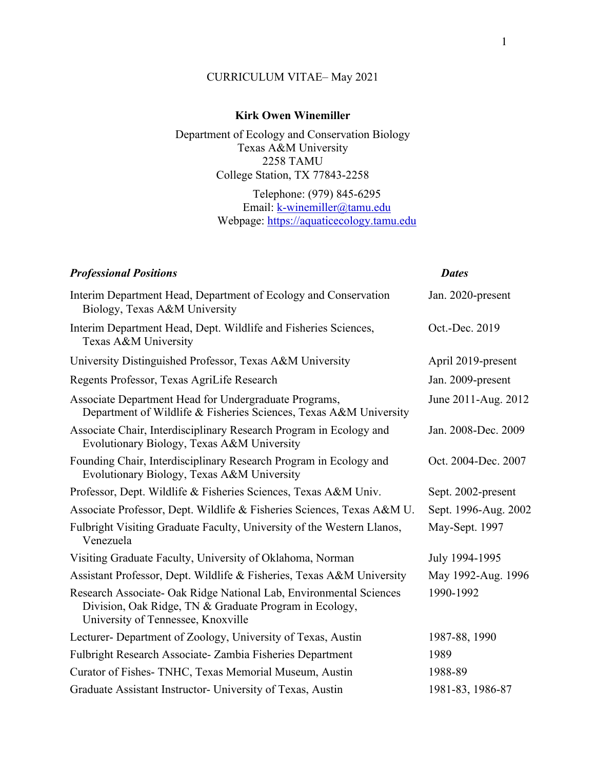# CURRICULUM VITAE– May 2021

# **Kirk Owen Winemiller**

Department of Ecology and Conservation Biology Texas A&M University 2258 TAMU College Station, TX 77843-2258

> Telephone: (979) 845-6295 Email: k-winemiller@tamu.edu Webpage: https://aquaticecology.tamu.edu

| <b>Professional Positions</b>                                                                                                                                      | <b>Dates</b>         |
|--------------------------------------------------------------------------------------------------------------------------------------------------------------------|----------------------|
| Interim Department Head, Department of Ecology and Conservation<br>Biology, Texas A&M University                                                                   | Jan. 2020-present    |
| Interim Department Head, Dept. Wildlife and Fisheries Sciences,<br>Texas A&M University                                                                            | Oct.-Dec. 2019       |
| University Distinguished Professor, Texas A&M University                                                                                                           | April 2019-present   |
| Regents Professor, Texas AgriLife Research                                                                                                                         | Jan. 2009-present    |
| Associate Department Head for Undergraduate Programs,<br>Department of Wildlife & Fisheries Sciences, Texas A&M University                                         | June 2011-Aug. 2012  |
| Associate Chair, Interdisciplinary Research Program in Ecology and<br>Evolutionary Biology, Texas A&M University                                                   | Jan. 2008-Dec. 2009  |
| Founding Chair, Interdisciplinary Research Program in Ecology and<br>Evolutionary Biology, Texas A&M University                                                    | Oct. 2004-Dec. 2007  |
| Professor, Dept. Wildlife & Fisheries Sciences, Texas A&M Univ.                                                                                                    | Sept. 2002-present   |
| Associate Professor, Dept. Wildlife & Fisheries Sciences, Texas A&M U.                                                                                             | Sept. 1996-Aug. 2002 |
| Fulbright Visiting Graduate Faculty, University of the Western Llanos,<br>Venezuela                                                                                | May-Sept. 1997       |
| Visiting Graduate Faculty, University of Oklahoma, Norman                                                                                                          | July 1994-1995       |
| Assistant Professor, Dept. Wildlife & Fisheries, Texas A&M University                                                                                              | May 1992-Aug. 1996   |
| Research Associate- Oak Ridge National Lab, Environmental Sciences<br>Division, Oak Ridge, TN & Graduate Program in Ecology,<br>University of Tennessee, Knoxville | 1990-1992            |
| Lecturer- Department of Zoology, University of Texas, Austin                                                                                                       | 1987-88, 1990        |
| Fulbright Research Associate- Zambia Fisheries Department                                                                                                          | 1989                 |
| Curator of Fishes-TNHC, Texas Memorial Museum, Austin                                                                                                              | 1988-89              |
| Graduate Assistant Instructor- University of Texas, Austin                                                                                                         | 1981-83, 1986-87     |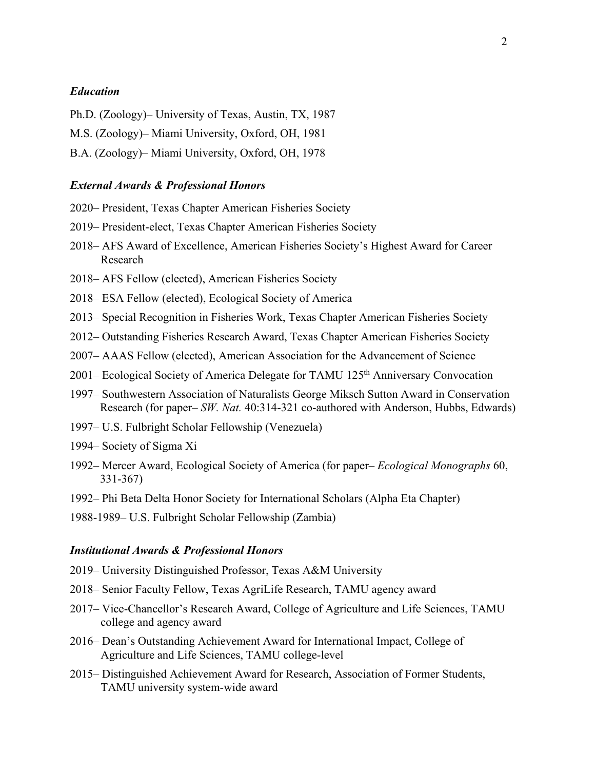#### *Education*

Ph.D. (Zoology)– University of Texas, Austin, TX, 1987

M.S. (Zoology)– Miami University, Oxford, OH, 1981

B.A. (Zoology)– Miami University, Oxford, OH, 1978

#### *External Awards & Professional Honors*

- 2020– President, Texas Chapter American Fisheries Society
- 2019– President-elect, Texas Chapter American Fisheries Society
- 2018– AFS Award of Excellence, American Fisheries Society's Highest Award for Career Research
- 2018– AFS Fellow (elected), American Fisheries Society
- 2018– ESA Fellow (elected), Ecological Society of America
- 2013– Special Recognition in Fisheries Work, Texas Chapter American Fisheries Society
- 2012– Outstanding Fisheries Research Award, Texas Chapter American Fisheries Society
- 2007– AAAS Fellow (elected), American Association for the Advancement of Science
- 2001– Ecological Society of America Delegate for TAMU 125th Anniversary Convocation
- 1997– Southwestern Association of Naturalists George Miksch Sutton Award in Conservation Research (for paper– *SW. Nat.* 40:314-321 co-authored with Anderson, Hubbs, Edwards)
- 1997– U.S. Fulbright Scholar Fellowship (Venezuela)
- 1994– Society of Sigma Xi
- 1992– Mercer Award, Ecological Society of America (for paper– *Ecological Monographs* 60, 331-367)
- 1992– Phi Beta Delta Honor Society for International Scholars (Alpha Eta Chapter)
- 1988-1989– U.S. Fulbright Scholar Fellowship (Zambia)

#### *Institutional Awards & Professional Honors*

- 2019– University Distinguished Professor, Texas A&M University
- 2018– Senior Faculty Fellow, Texas AgriLife Research, TAMU agency award
- 2017– Vice-Chancellor's Research Award, College of Agriculture and Life Sciences, TAMU college and agency award
- 2016– Dean's Outstanding Achievement Award for International Impact, College of Agriculture and Life Sciences, TAMU college-level
- 2015– Distinguished Achievement Award for Research, Association of Former Students, TAMU university system-wide award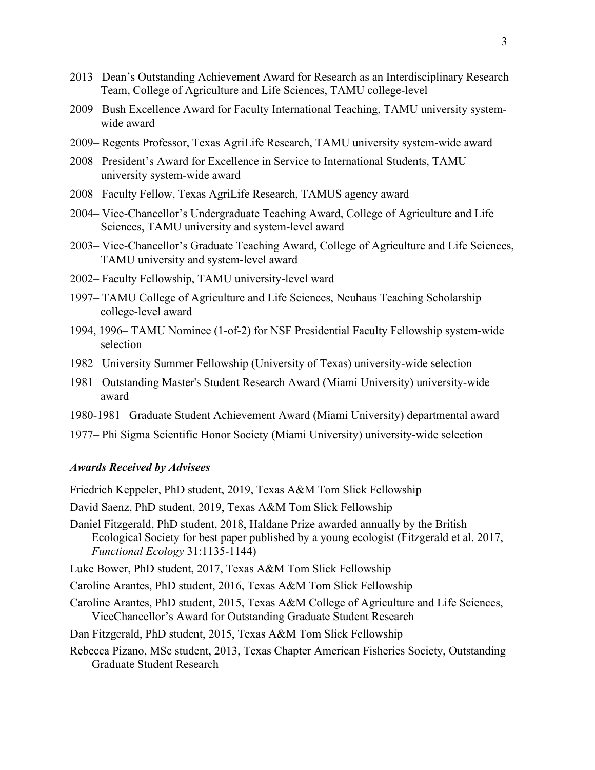- 2013– Dean's Outstanding Achievement Award for Research as an Interdisciplinary Research Team, College of Agriculture and Life Sciences, TAMU college-level
- 2009– Bush Excellence Award for Faculty International Teaching, TAMU university systemwide award
- 2009– Regents Professor, Texas AgriLife Research, TAMU university system-wide award
- 2008– President's Award for Excellence in Service to International Students, TAMU university system-wide award
- 2008– Faculty Fellow, Texas AgriLife Research, TAMUS agency award
- 2004– Vice-Chancellor's Undergraduate Teaching Award, College of Agriculture and Life Sciences, TAMU university and system-level award
- 2003– Vice-Chancellor's Graduate Teaching Award, College of Agriculture and Life Sciences, TAMU university and system-level award
- 2002– Faculty Fellowship, TAMU university-level ward
- 1997– TAMU College of Agriculture and Life Sciences, Neuhaus Teaching Scholarship college-level award
- 1994, 1996– TAMU Nominee (1-of-2) for NSF Presidential Faculty Fellowship system-wide selection
- 1982– University Summer Fellowship (University of Texas) university-wide selection
- 1981– Outstanding Master's Student Research Award (Miami University) university-wide award
- 1980-1981– Graduate Student Achievement Award (Miami University) departmental award
- 1977– Phi Sigma Scientific Honor Society (Miami University) university-wide selection

## *Awards Received by Advisees*

Friedrich Keppeler, PhD student, 2019, Texas A&M Tom Slick Fellowship

- David Saenz, PhD student, 2019, Texas A&M Tom Slick Fellowship
- Daniel Fitzgerald, PhD student, 2018, Haldane Prize awarded annually by the British Ecological Society for best paper published by a young ecologist (Fitzgerald et al. 2017, *Functional Ecology* 31:1135-1144)
- Luke Bower, PhD student, 2017, Texas A&M Tom Slick Fellowship
- Caroline Arantes, PhD student, 2016, Texas A&M Tom Slick Fellowship
- Caroline Arantes, PhD student, 2015, Texas A&M College of Agriculture and Life Sciences, ViceChancellor's Award for Outstanding Graduate Student Research
- Dan Fitzgerald, PhD student, 2015, Texas A&M Tom Slick Fellowship
- Rebecca Pizano, MSc student, 2013, Texas Chapter American Fisheries Society, Outstanding Graduate Student Research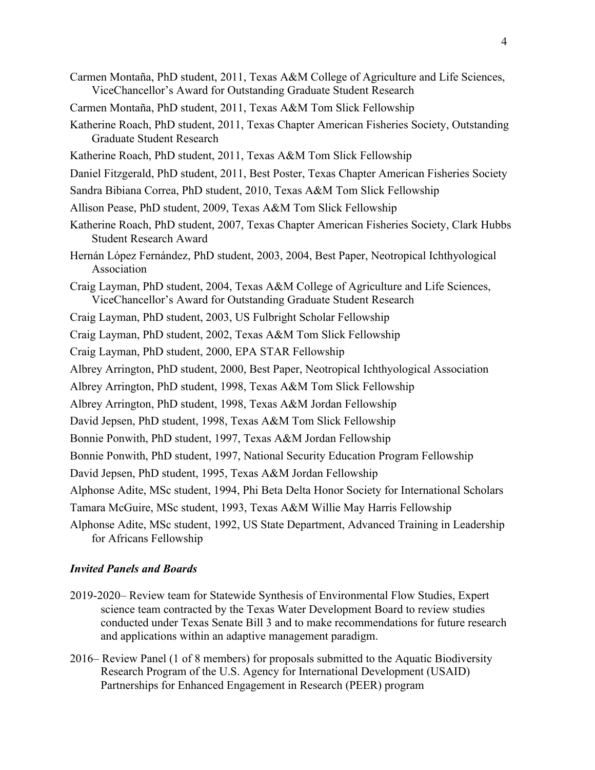- Carmen Montaña, PhD student, 2011, Texas A&M College of Agriculture and Life Sciences, ViceChancellor's Award for Outstanding Graduate Student Research
- Carmen Montaña, PhD student, 2011, Texas A&M Tom Slick Fellowship
- Katherine Roach, PhD student, 2011, Texas Chapter American Fisheries Society, Outstanding Graduate Student Research
- Katherine Roach, PhD student, 2011, Texas A&M Tom Slick Fellowship
- Daniel Fitzgerald, PhD student, 2011, Best Poster, Texas Chapter American Fisheries Society
- Sandra Bibiana Correa, PhD student, 2010, Texas A&M Tom Slick Fellowship
- Allison Pease, PhD student, 2009, Texas A&M Tom Slick Fellowship
- Katherine Roach, PhD student, 2007, Texas Chapter American Fisheries Society, Clark Hubbs Student Research Award
- Hernán López Fernández, PhD student, 2003, 2004, Best Paper, Neotropical Ichthyological Association
- Craig Layman, PhD student, 2004, Texas A&M College of Agriculture and Life Sciences, ViceChancellor's Award for Outstanding Graduate Student Research
- Craig Layman, PhD student, 2003, US Fulbright Scholar Fellowship
- Craig Layman, PhD student, 2002, Texas A&M Tom Slick Fellowship
- Craig Layman, PhD student, 2000, EPA STAR Fellowship
- Albrey Arrington, PhD student, 2000, Best Paper, Neotropical Ichthyological Association
- Albrey Arrington, PhD student, 1998, Texas A&M Tom Slick Fellowship
- Albrey Arrington, PhD student, 1998, Texas A&M Jordan Fellowship
- David Jepsen, PhD student, 1998, Texas A&M Tom Slick Fellowship
- Bonnie Ponwith, PhD student, 1997, Texas A&M Jordan Fellowship
- Bonnie Ponwith, PhD student, 1997, National Security Education Program Fellowship
- David Jepsen, PhD student, 1995, Texas A&M Jordan Fellowship
- Alphonse Adite, MSc student, 1994, Phi Beta Delta Honor Society for International Scholars
- Tamara McGuire, MSc student, 1993, Texas A&M Willie May Harris Fellowship
- Alphonse Adite, MSc student, 1992, US State Department, Advanced Training in Leadership for Africans Fellowship

#### *Invited Panels and Boards*

- 2019-2020– Review team for Statewide Synthesis of Environmental Flow Studies, Expert science team contracted by the Texas Water Development Board to review studies conducted under Texas Senate Bill 3 and to make recommendations for future research and applications within an adaptive management paradigm.
- 2016– Review Panel (1 of 8 members) for proposals submitted to the Aquatic Biodiversity Research Program of the U.S. Agency for International Development (USAID) Partnerships for Enhanced Engagement in Research (PEER) program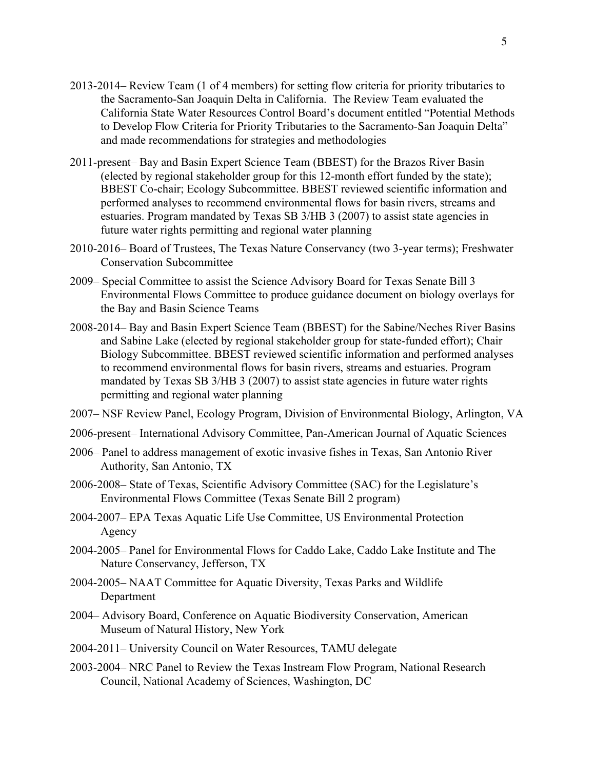- 2013-2014– Review Team (1 of 4 members) for setting flow criteria for priority tributaries to the Sacramento-San Joaquin Delta in California. The Review Team evaluated the California State Water Resources Control Board's document entitled "Potential Methods to Develop Flow Criteria for Priority Tributaries to the Sacramento-San Joaquin Delta" and made recommendations for strategies and methodologies
- 2011-present– Bay and Basin Expert Science Team (BBEST) for the Brazos River Basin (elected by regional stakeholder group for this 12-month effort funded by the state); BBEST Co-chair; Ecology Subcommittee. BBEST reviewed scientific information and performed analyses to recommend environmental flows for basin rivers, streams and estuaries. Program mandated by Texas SB 3/HB 3 (2007) to assist state agencies in future water rights permitting and regional water planning
- 2010-2016– Board of Trustees, The Texas Nature Conservancy (two 3-year terms); Freshwater Conservation Subcommittee
- 2009– Special Committee to assist the Science Advisory Board for Texas Senate Bill 3 Environmental Flows Committee to produce guidance document on biology overlays for the Bay and Basin Science Teams
- 2008-2014– Bay and Basin Expert Science Team (BBEST) for the Sabine/Neches River Basins and Sabine Lake (elected by regional stakeholder group for state-funded effort); Chair Biology Subcommittee. BBEST reviewed scientific information and performed analyses to recommend environmental flows for basin rivers, streams and estuaries. Program mandated by Texas SB 3/HB 3 (2007) to assist state agencies in future water rights permitting and regional water planning
- 2007– NSF Review Panel, Ecology Program, Division of Environmental Biology, Arlington, VA
- 2006-present– International Advisory Committee, Pan-American Journal of Aquatic Sciences
- 2006– Panel to address management of exotic invasive fishes in Texas, San Antonio River Authority, San Antonio, TX
- 2006-2008– State of Texas, Scientific Advisory Committee (SAC) for the Legislature's Environmental Flows Committee (Texas Senate Bill 2 program)
- 2004-2007– EPA Texas Aquatic Life Use Committee, US Environmental Protection Agency
- 2004-2005– Panel for Environmental Flows for Caddo Lake, Caddo Lake Institute and The Nature Conservancy, Jefferson, TX
- 2004-2005– NAAT Committee for Aquatic Diversity, Texas Parks and Wildlife Department
- 2004– Advisory Board, Conference on Aquatic Biodiversity Conservation, American Museum of Natural History, New York
- 2004-2011– University Council on Water Resources, TAMU delegate
- 2003-2004– NRC Panel to Review the Texas Instream Flow Program, National Research Council, National Academy of Sciences, Washington, DC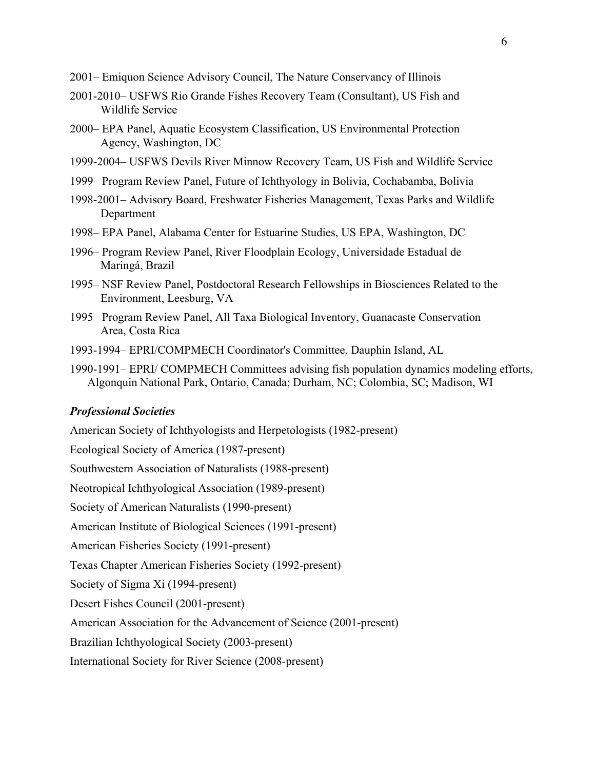- 2001– Emiquon Science Advisory Council, The Nature Conservancy of Illinois
- 2001-2010– USFWS Rio Grande Fishes Recovery Team (Consultant), US Fish and Wildlife Service
- 2000– EPA Panel, Aquatic Ecosystem Classification, US Environmental Protection Agency, Washington, DC
- 1999-2004– USFWS Devils River Minnow Recovery Team, US Fish and Wildlife Service
- 1999– Program Review Panel, Future of Ichthyology in Bolivia, Cochabamba, Bolivia
- 1998-2001– Advisory Board, Freshwater Fisheries Management, Texas Parks and Wildlife Department
- 1998– EPA Panel, Alabama Center for Estuarine Studies, US EPA, Washington, DC
- 1996– Program Review Panel, River Floodplain Ecology, Universidade Estadual de Maringá, Brazil
- 1995– NSF Review Panel, Postdoctoral Research Fellowships in Biosciences Related to the Environment, Leesburg, VA
- 1995– Program Review Panel, All Taxa Biological Inventory, Guanacaste Conservation Area, Costa Rica
- 1993-1994– EPRI/COMPMECH Coordinator's Committee, Dauphin Island, AL
- 1990-1991– EPRI/ COMPMECH Committees advising fish population dynamics modeling efforts, Algonquin National Park, Ontario, Canada; Durham, NC; Colombia, SC; Madison, WI

# *Professional Societies*

American Society of Ichthyologists and Herpetologists (1982-present) Ecological Society of America (1987-present) Southwestern Association of Naturalists (1988-present) Neotropical Ichthyological Association (1989-present) Society of American Naturalists (1990-present) American Institute of Biological Sciences (1991-present) American Fisheries Society (1991-present) Texas Chapter American Fisheries Society (1992-present) Society of Sigma Xi (1994-present) Desert Fishes Council (2001-present) American Association for the Advancement of Science (2001-present) Brazilian Ichthyological Society (2003-present)

International Society for River Science (2008-present)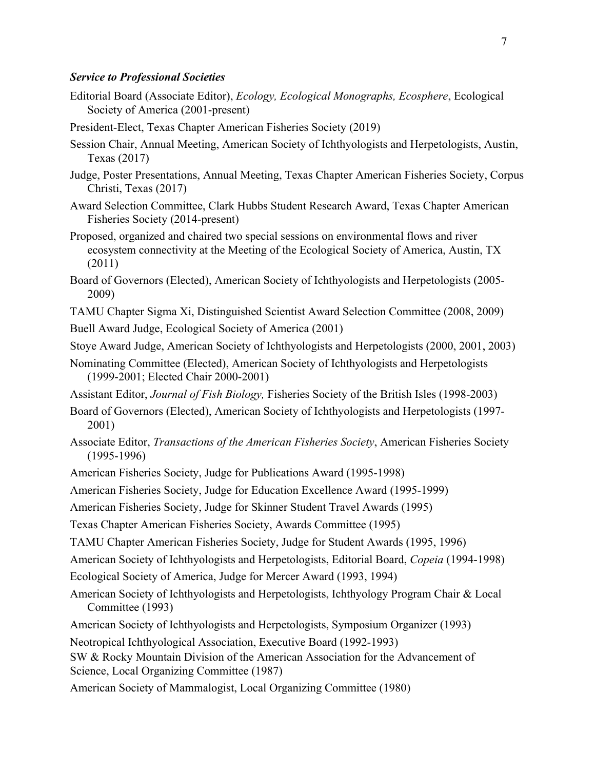#### *Service to Professional Societies*

- Editorial Board (Associate Editor), *Ecology, Ecological Monographs, Ecosphere*, Ecological Society of America (2001-present)
- President-Elect, Texas Chapter American Fisheries Society (2019)
- Session Chair, Annual Meeting, American Society of Ichthyologists and Herpetologists, Austin, Texas (2017)
- Judge, Poster Presentations, Annual Meeting, Texas Chapter American Fisheries Society, Corpus Christi, Texas (2017)
- Award Selection Committee, Clark Hubbs Student Research Award, Texas Chapter American Fisheries Society (2014-present)
- Proposed, organized and chaired two special sessions on environmental flows and river ecosystem connectivity at the Meeting of the Ecological Society of America, Austin, TX (2011)
- Board of Governors (Elected), American Society of Ichthyologists and Herpetologists (2005- 2009)
- TAMU Chapter Sigma Xi, Distinguished Scientist Award Selection Committee (2008, 2009)
- Buell Award Judge, Ecological Society of America (2001)

Stoye Award Judge, American Society of Ichthyologists and Herpetologists (2000, 2001, 2003)

- Nominating Committee (Elected), American Society of Ichthyologists and Herpetologists (1999-2001; Elected Chair 2000-2001)
- Assistant Editor, *Journal of Fish Biology,* Fisheries Society of the British Isles (1998-2003)
- Board of Governors (Elected), American Society of Ichthyologists and Herpetologists (1997- 2001)
- Associate Editor, *Transactions of the American Fisheries Society*, American Fisheries Society (1995-1996)
- American Fisheries Society, Judge for Publications Award (1995-1998)

American Fisheries Society, Judge for Education Excellence Award (1995-1999)

American Fisheries Society, Judge for Skinner Student Travel Awards (1995)

Texas Chapter American Fisheries Society, Awards Committee (1995)

TAMU Chapter American Fisheries Society, Judge for Student Awards (1995, 1996)

American Society of Ichthyologists and Herpetologists, Editorial Board, *Copeia* (1994-1998)

- Ecological Society of America, Judge for Mercer Award (1993, 1994)
- American Society of Ichthyologists and Herpetologists, Ichthyology Program Chair & Local Committee (1993)
- American Society of Ichthyologists and Herpetologists, Symposium Organizer (1993)

Neotropical Ichthyological Association, Executive Board (1992-1993)

SW & Rocky Mountain Division of the American Association for the Advancement of Science, Local Organizing Committee (1987)

American Society of Mammalogist, Local Organizing Committee (1980)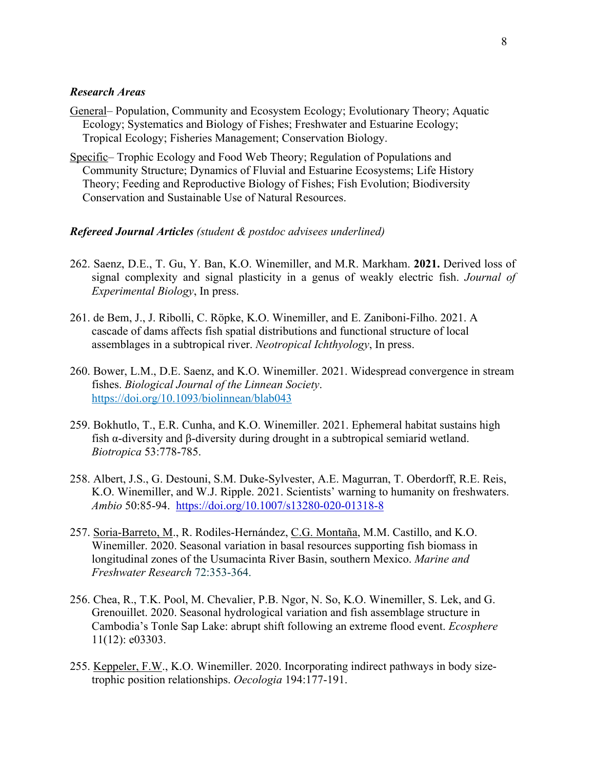## *Research Areas*

- General– Population, Community and Ecosystem Ecology; Evolutionary Theory; Aquatic Ecology; Systematics and Biology of Fishes; Freshwater and Estuarine Ecology; Tropical Ecology; Fisheries Management; Conservation Biology.
- Specific– Trophic Ecology and Food Web Theory; Regulation of Populations and Community Structure; Dynamics of Fluvial and Estuarine Ecosystems; Life History Theory; Feeding and Reproductive Biology of Fishes; Fish Evolution; Biodiversity Conservation and Sustainable Use of Natural Resources.

#### *Refereed Journal Articles (student & postdoc advisees underlined)*

- 262. Saenz, D.E., T. Gu, Y. Ban, K.O. Winemiller, and M.R. Markham. **2021.** Derived loss of signal complexity and signal plasticity in a genus of weakly electric fish. *Journal of Experimental Biology*, In press.
- 261. de Bem, J., J. Ribolli, C. Röpke, K.O. Winemiller, and E. Zaniboni-Filho. 2021. A cascade of dams affects fish spatial distributions and functional structure of local assemblages in a subtropical river. *Neotropical Ichthyology*, In press.
- 260. Bower, L.M., D.E. Saenz, and K.O. Winemiller. 2021. Widespread convergence in stream fishes. *Biological Journal of the Linnean Society*. https://doi.org/10.1093/biolinnean/blab043
- 259. Bokhutlo, T., E.R. Cunha, and K.O. Winemiller. 2021. Ephemeral habitat sustains high fish α-diversity and β-diversity during drought in a subtropical semiarid wetland. *Biotropica* 53:778-785.
- 258. Albert, J.S., G. Destouni, S.M. Duke-Sylvester, A.E. Magurran, T. Oberdorff, R.E. Reis, K.O. Winemiller, and W.J. Ripple. 2021. Scientists' warning to humanity on freshwaters. *Ambio* 50:85-94. https://doi.org/10.1007/s13280-020-01318-8
- 257. Soria-Barreto, M., R. Rodiles-Hernández, C.G. Montaña, M.M. Castillo, and K.O. Winemiller. 2020. Seasonal variation in basal resources supporting fish biomass in longitudinal zones of the Usumacinta River Basin, southern Mexico. *Marine and Freshwater Research* 72:353-364.
- 256. Chea, R., T.K. Pool, M. Chevalier, P.B. Ngor, N. So, K.O. Winemiller, S. Lek, and G. Grenouillet. 2020. Seasonal hydrological variation and fish assemblage structure in Cambodia's Tonle Sap Lake: abrupt shift following an extreme flood event. *Ecosphere* 11(12): e03303.
- 255. Keppeler, F.W., K.O. Winemiller. 2020. Incorporating indirect pathways in body sizetrophic position relationships. *Oecologia* 194:177-191.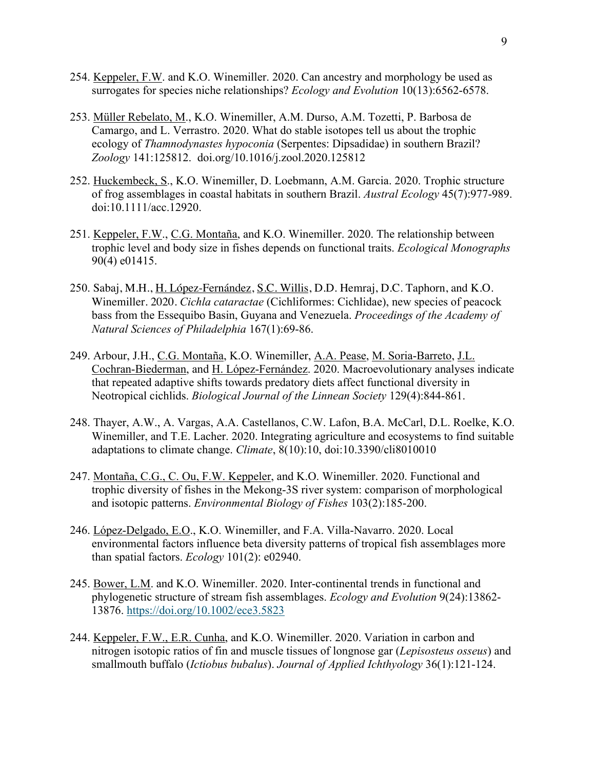- 254. Keppeler, F.W. and K.O. Winemiller. 2020. Can ancestry and morphology be used as surrogates for species niche relationships? *Ecology and Evolution* 10(13):6562-6578.
- 253. Müller Rebelato, M., K.O. Winemiller, A.M. Durso, A.M. Tozetti, P. Barbosa de Camargo, and L. Verrastro. 2020. What do stable isotopes tell us about the trophic ecology of *Thamnodynastes hypoconia* (Serpentes: Dipsadidae) in southern Brazil? *Zoology* 141:125812. doi.org/10.1016/j.zool.2020.125812
- 252. Huckembeck, S., K.O. Winemiller, D. Loebmann, A.M. Garcia. 2020. Trophic structure of frog assemblages in coastal habitats in southern Brazil. *Austral Ecology* 45(7):977-989. doi:10.1111/acc.12920.
- 251. Keppeler, F.W., C.G. Montaña, and K.O. Winemiller. 2020. The relationship between trophic level and body size in fishes depends on functional traits. *Ecological Monographs* 90(4) e01415.
- 250. Sabaj, M.H., H. López-Fernández, S.C. Willis, D.D. Hemraj, D.C. Taphorn, and K.O. Winemiller. 2020. *Cichla cataractae* (Cichliformes: Cichlidae), new species of peacock bass from the Essequibo Basin, Guyana and Venezuela. *Proceedings of the Academy of Natural Sciences of Philadelphia* 167(1):69-86.
- 249. Arbour, J.H., C.G. Montaña, K.O. Winemiller, A.A. Pease, M. Soria-Barreto, J.L. Cochran-Biederman, and H. López-Fernández. 2020. Macroevolutionary analyses indicate that repeated adaptive shifts towards predatory diets affect functional diversity in Neotropical cichlids. *Biological Journal of the Linnean Society* 129(4):844-861.
- 248. Thayer, A.W., A. Vargas, A.A. Castellanos, C.W. Lafon, B.A. McCarl, D.L. Roelke, K.O. Winemiller, and T.E. Lacher. 2020. Integrating agriculture and ecosystems to find suitable adaptations to climate change. *Climate*, 8(10):10, doi:10.3390/cli8010010
- 247. Montaña, C.G., C. Ou, F.W. Keppeler, and K.O. Winemiller. 2020. Functional and trophic diversity of fishes in the Mekong-3S river system: comparison of morphological and isotopic patterns. *Environmental Biology of Fishes* 103(2):185-200.
- 246. López-Delgado, E.O., K.O. Winemiller, and F.A. Villa-Navarro. 2020. Local environmental factors influence beta diversity patterns of tropical fish assemblages more than spatial factors. *Ecology* 101(2): e02940.
- 245. Bower, L.M. and K.O. Winemiller. 2020. Inter-continental trends in functional and phylogenetic structure of stream fish assemblages. *Ecology and Evolution* 9(24):13862- 13876. https://doi.org/10.1002/ece3.5823
- 244. Keppeler, F.W., E.R. Cunha, and K.O. Winemiller. 2020. Variation in carbon and nitrogen isotopic ratios of fin and muscle tissues of longnose gar (*Lepisosteus osseus*) and smallmouth buffalo (*Ictiobus bubalus*). *Journal of Applied Ichthyology* 36(1):121-124.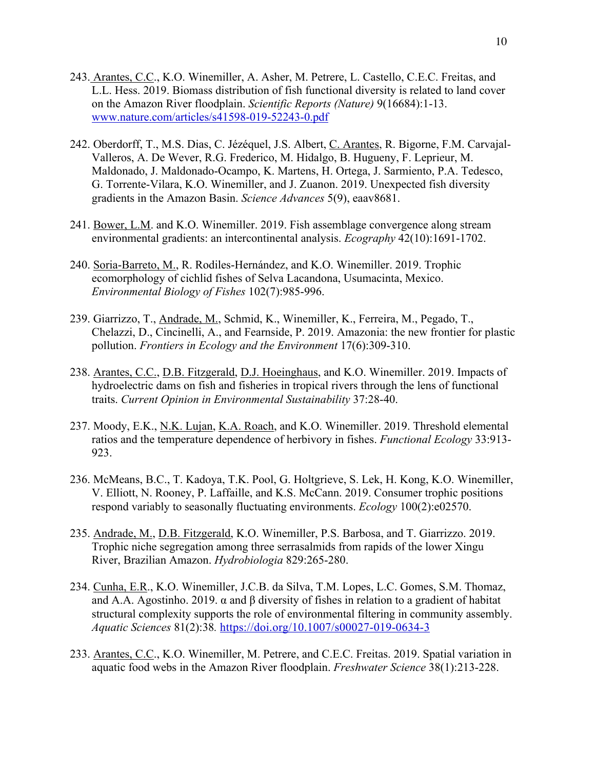- 243. Arantes, C.C., K.O. Winemiller, A. Asher, M. Petrere, L. Castello, C.E.C. Freitas, and L.L. Hess. 2019. Biomass distribution of fish functional diversity is related to land cover on the Amazon River floodplain. *Scientific Reports (Nature)* 9(16684):1-13. www.nature.com/articles/s41598-019-52243-0.pdf
- 242. Oberdorff, T., M.S. Dias, C. Jézéquel, J.S. Albert, C. Arantes, R. Bigorne, F.M. Carvajal-Valleros, A. De Wever, R.G. Frederico, M. Hidalgo, B. Hugueny, F. Leprieur, M. Maldonado, J. Maldonado-Ocampo, K. Martens, H. Ortega, J. Sarmiento, P.A. Tedesco, G. Torrente-Vilara, K.O. Winemiller, and J. Zuanon. 2019. Unexpected fish diversity gradients in the Amazon Basin. *Science Advances* 5(9), eaav8681.
- 241. Bower, L.M. and K.O. Winemiller. 2019. Fish assemblage convergence along stream environmental gradients: an intercontinental analysis. *Ecography* 42(10):1691-1702.
- 240. Soria-Barreto, M., R. Rodiles-Hernández, and K.O. Winemiller. 2019. Trophic ecomorphology of cichlid fishes of Selva Lacandona, Usumacinta, Mexico. *Environmental Biology of Fishes* 102(7):985-996.
- 239. Giarrizzo, T., Andrade, M., Schmid, K., Winemiller, K., Ferreira, M., Pegado, T., Chelazzi, D., Cincinelli, A., and Fearnside, P. 2019. Amazonia: the new frontier for plastic pollution. *Frontiers in Ecology and the Environment* 17(6):309-310.
- 238. Arantes, C.C., D.B. Fitzgerald, D.J. Hoeinghaus, and K.O. Winemiller. 2019. Impacts of hydroelectric dams on fish and fisheries in tropical rivers through the lens of functional traits. *Current Opinion in Environmental Sustainability* 37:28-40.
- 237. Moody, E.K., N.K. Lujan, K.A. Roach, and K.O. Winemiller. 2019. Threshold elemental ratios and the temperature dependence of herbivory in fishes. *Functional Ecology* 33:913- 923.
- 236. McMeans, B.C., T. Kadoya, T.K. Pool, G. Holtgrieve, S. Lek, H. Kong, K.O. Winemiller, V. Elliott, N. Rooney, P. Laffaille, and K.S. McCann. 2019. Consumer trophic positions respond variably to seasonally fluctuating environments. *Ecology* 100(2):e02570.
- 235. Andrade, M., D.B. Fitzgerald, K.O. Winemiller, P.S. Barbosa, and T. Giarrizzo. 2019. Trophic niche segregation among three serrasalmids from rapids of the lower Xingu River, Brazilian Amazon. *Hydrobiologia* 829:265-280.
- 234. Cunha, E.R., K.O. Winemiller, J.C.B. da Silva, T.M. Lopes, L.C. Gomes, S.M. Thomaz, and A.A. Agostinho. 2019. α and β diversity of fishes in relation to a gradient of habitat structural complexity supports the role of environmental filtering in community assembly. *Aquatic Sciences* 81(2):38*.* https://doi.org/10.1007/s00027-019-0634-3
- 233. Arantes, C.C., K.O. Winemiller, M. Petrere, and C.E.C. Freitas. 2019. Spatial variation in aquatic food webs in the Amazon River floodplain. *Freshwater Science* 38(1):213-228.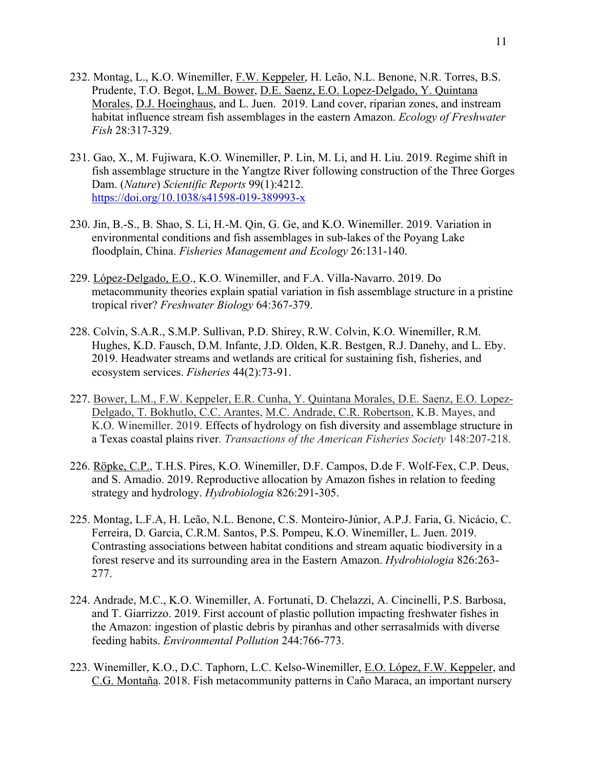- 232. Montag, L., K.O. Winemiller, F.W. Keppeler, H. Leão, N.L. Benone, N.R. Torres, B.S. Prudente, T.O. Begot, L.M. Bower, D.E. Saenz, E.O. Lopez-Delgado, Y. Quintana Morales, D.J. Hoeinghaus, and L. Juen. 2019. Land cover, riparian zones, and instream habitat influence stream fish assemblages in the eastern Amazon. *Ecology of Freshwater Fish* 28:317-329.
- 231. Gao, X., M. Fujiwara, K.O. Winemiller, P. Lin, M. Li, and H. Liu. 2019. Regime shift in fish assemblage structure in the Yangtze River following construction of the Three Gorges Dam. (*Nature*) *Scientific Reports* 99(1):4212. https://doi.org/10.1038/s41598-019-389993-x
- 230. Jin, B.-S., B. Shao, S. Li, H.-M. Qin, G. Ge, and K.O. Winemiller. 2019. Variation in environmental conditions and fish assemblages in sub-lakes of the Poyang Lake floodplain, China. *Fisheries Management and Ecology* 26:131-140.
- 229. López-Delgado, E.O., K.O. Winemiller, and F.A. Villa-Navarro. 2019. Do metacommunity theories explain spatial variation in fish assemblage structure in a pristine tropical river? *Freshwater Biology* 64:367-379.
- 228. Colvin, S.A.R., S.M.P. Sullivan, P.D. Shirey, R.W. Colvin, K.O. Winemiller, R.M. Hughes, K.D. Fausch, D.M. Infante, J.D. Olden, K.R. Bestgen, R.J. Danehy, and L. Eby. 2019. Headwater streams and wetlands are critical for sustaining fish, fisheries, and ecosystem services. *Fisheries* 44(2):73-91.
- 227. Bower, L.M., F.W. Keppeler, E.R. Cunha, Y. Quintana Morales, D.E. Saenz, E.O. Lopez-Delgado, T. Bokhutlo, C.C. Arantes, M.C. Andrade, C.R. Robertson, K.B. Mayes, and K.O. Winemiller. 2019. Effects of hydrology on fish diversity and assemblage structure in a Texas coastal plains river. *Transactions of the American Fisheries Society* 148:207-218.
- 226. Röpke, C.P., T.H.S. Pires, K.O. Winemiller, D.F. Campos, D.de F. Wolf-Fex, C.P. Deus, and S. Amadio. 2019. Reproductive allocation by Amazon fishes in relation to feeding strategy and hydrology. *Hydrobiologia* 826:291-305.
- 225. Montag, L.F.A, H. Leão, N.L. Benone, C.S. Monteiro-Júnior, A.P.J. Faria, G. Nicácio, C. Ferreira, D. Garcia, C.R.M. Santos, P.S. Pompeu, K.O. Winemiller, L. Juen. 2019. Contrasting associations between habitat conditions and stream aquatic biodiversity in a forest reserve and its surrounding area in the Eastern Amazon. *Hydrobiologia* 826:263- 277.
- 224. Andrade, M.C., K.O. Winemiller, A. Fortunati, D. Chelazzi, A. Cincinelli, P.S. Barbosa, and T. Giarrizzo. 2019. First account of plastic pollution impacting freshwater fishes in the Amazon: ingestion of plastic debris by piranhas and other serrasalmids with diverse feeding habits. *Environmental Pollution* 244:766-773.
- 223. Winemiller, K.O., D.C. Taphorn, L.C. Kelso-Winemiller, E.O. López, F.W. Keppeler, and C.G. Montaña. 2018. Fish metacommunity patterns in Caño Maraca, an important nursery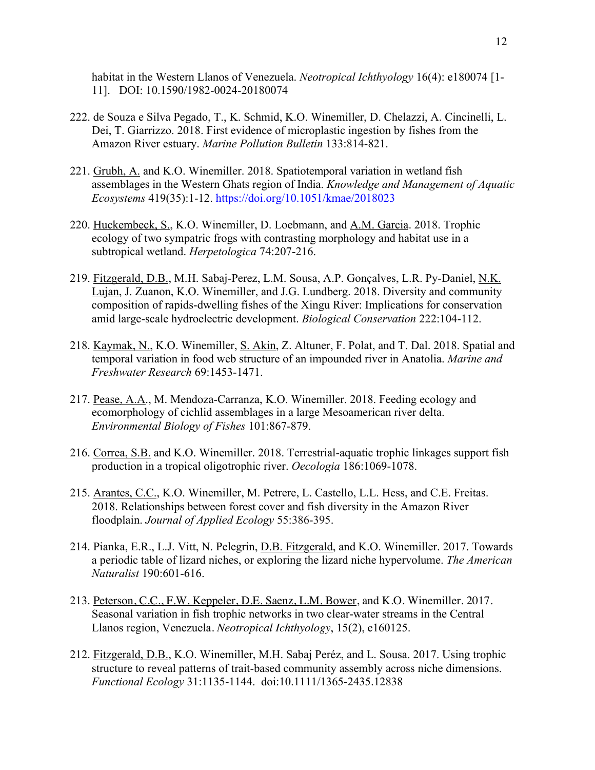habitat in the Western Llanos of Venezuela. *Neotropical Ichthyology* 16(4): e180074 [1- 11]. DOI: 10.1590/1982-0024-20180074

- 222. de Souza e Silva Pegado, T., K. Schmid, K.O. Winemiller, D. Chelazzi, A. Cincinelli, L. Dei, T. Giarrizzo. 2018. First evidence of microplastic ingestion by fishes from the Amazon River estuary. *Marine Pollution Bulletin* 133:814-821.
- 221. Grubh, A. and K.O. Winemiller. 2018. Spatiotemporal variation in wetland fish assemblages in the Western Ghats region of India. *Knowledge and Management of Aquatic Ecosystems* 419(35):1-12. https://doi.org/10.1051/kmae/2018023
- 220. Huckembeck, S., K.O. Winemiller, D. Loebmann, and A.M. Garcia. 2018. Trophic ecology of two sympatric frogs with contrasting morphology and habitat use in a subtropical wetland. *Herpetologica* 74:207-216.
- 219. Fitzgerald, D.B., M.H. Sabaj-Perez, L.M. Sousa, A.P. Gonçalves, L.R. Py-Daniel, N.K. Lujan, J. Zuanon, K.O. Winemiller, and J.G. Lundberg. 2018. Diversity and community composition of rapids-dwelling fishes of the Xingu River: Implications for conservation amid large-scale hydroelectric development. *Biological Conservation* 222:104-112.
- 218. Kaymak, N., K.O. Winemiller, S. Akin, Z. Altuner, F. Polat, and T. Dal. 2018. Spatial and temporal variation in food web structure of an impounded river in Anatolia. *Marine and Freshwater Research* 69:1453-1471.
- 217. Pease, A.A., M. Mendoza-Carranza, K.O. Winemiller. 2018. Feeding ecology and ecomorphology of cichlid assemblages in a large Mesoamerican river delta. *Environmental Biology of Fishes* 101:867-879.
- 216. Correa, S.B. and K.O. Winemiller. 2018. Terrestrial-aquatic trophic linkages support fish production in a tropical oligotrophic river. *Oecologia* 186:1069-1078.
- 215. Arantes, C.C., K.O. Winemiller, M. Petrere, L. Castello, L.L. Hess, and C.E. Freitas. 2018. Relationships between forest cover and fish diversity in the Amazon River floodplain. *Journal of Applied Ecology* 55:386-395.
- 214. Pianka, E.R., L.J. Vitt, N. Pelegrin, D.B. Fitzgerald, and K.O. Winemiller. 2017. Towards a periodic table of lizard niches, or exploring the lizard niche hypervolume. *The American Naturalist* 190:601-616.
- 213. Peterson, C.C., F.W. Keppeler, D.E. Saenz, L.M. Bower, and K.O. Winemiller. 2017. Seasonal variation in fish trophic networks in two clear-water streams in the Central Llanos region, Venezuela. *Neotropical Ichthyology*, 15(2), e160125.
- 212. Fitzgerald, D.B., K.O. Winemiller, M.H. Sabaj Peréz, and L. Sousa. 2017. Using trophic structure to reveal patterns of trait-based community assembly across niche dimensions. *Functional Ecology* 31:1135-1144. doi:10.1111/1365-2435.12838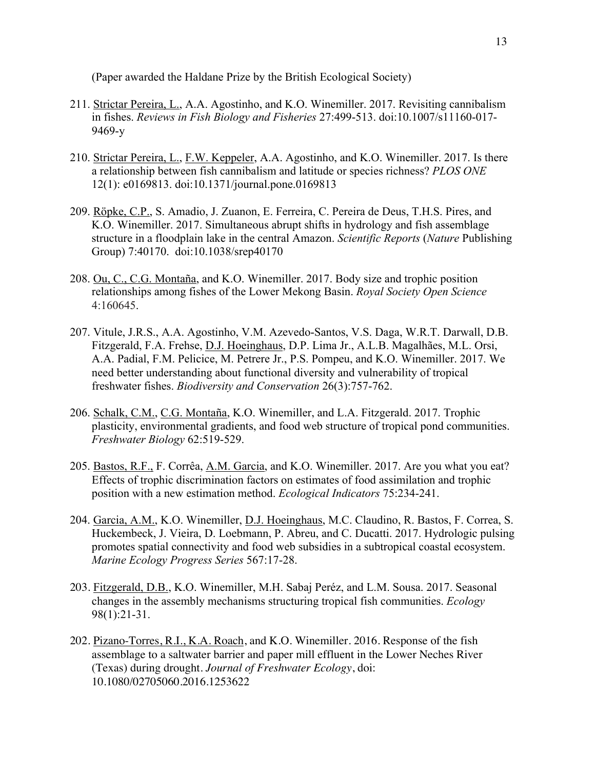(Paper awarded the Haldane Prize by the British Ecological Society)

- 211. Strictar Pereira, L., A.A. Agostinho, and K.O. Winemiller. 2017. Revisiting cannibalism in fishes. *Reviews in Fish Biology and Fisheries* 27:499-513. doi:10.1007/s11160-017- 9469-y
- 210. Strictar Pereira, L., F.W. Keppeler, A.A. Agostinho, and K.O. Winemiller. 2017. Is there a relationship between fish cannibalism and latitude or species richness? *PLOS ONE* 12(1): e0169813. doi:10.1371/journal.pone.0169813
- 209. Röpke, C.P., S. Amadio, J. Zuanon, E. Ferreira, C. Pereira de Deus, T.H.S. Pires, and K.O. Winemiller. 2017. Simultaneous abrupt shifts in hydrology and fish assemblage structure in a floodplain lake in the central Amazon. *Scientific Reports* (*Nature* Publishing Group) 7:40170. doi:10.1038/srep40170
- 208. Ou, C., C.G. Montaña, and K.O. Winemiller. 2017. Body size and trophic position relationships among fishes of the Lower Mekong Basin. *Royal Society Open Science* 4:160645.
- 207. Vitule, J.R.S., A.A. Agostinho, V.M. Azevedo-Santos, V.S. Daga, W.R.T. Darwall, D.B. Fitzgerald, F.A. Frehse, D.J. Hoeinghaus, D.P. Lima Jr., A.L.B. Magalhães, M.L. Orsi, A.A. Padial, F.M. Pelicice, M. Petrere Jr., P.S. Pompeu, and K.O. Winemiller. 2017. We need better understanding about functional diversity and vulnerability of tropical freshwater fishes. *Biodiversity and Conservation* 26(3):757-762.
- 206. Schalk, C.M., C.G. Montaña, K.O. Winemiller, and L.A. Fitzgerald. 2017. Trophic plasticity, environmental gradients, and food web structure of tropical pond communities. *Freshwater Biology* 62:519-529.
- 205. Bastos, R.F., F. Corrêa, A.M. Garcia, and K.O. Winemiller. 2017. Are you what you eat? Effects of trophic discrimination factors on estimates of food assimilation and trophic position with a new estimation method. *Ecological Indicators* 75:234-241.
- 204. Garcia, A.M., K.O. Winemiller, D.J. Hoeinghaus, M.C. Claudino, R. Bastos, F. Correa, S. Huckembeck, J. Vieira, D. Loebmann, P. Abreu, and C. Ducatti. 2017. Hydrologic pulsing promotes spatial connectivity and food web subsidies in a subtropical coastal ecosystem. *Marine Ecology Progress Series* 567:17-28.
- 203. Fitzgerald, D.B., K.O. Winemiller, M.H. Sabaj Peréz, and L.M. Sousa. 2017. Seasonal changes in the assembly mechanisms structuring tropical fish communities. *Ecology* 98(1):21-31.
- 202. Pizano-Torres, R.I., K.A. Roach, and K.O. Winemiller. 2016. Response of the fish assemblage to a saltwater barrier and paper mill effluent in the Lower Neches River (Texas) during drought. *Journal of Freshwater Ecology*, doi: 10.1080/02705060.2016.1253622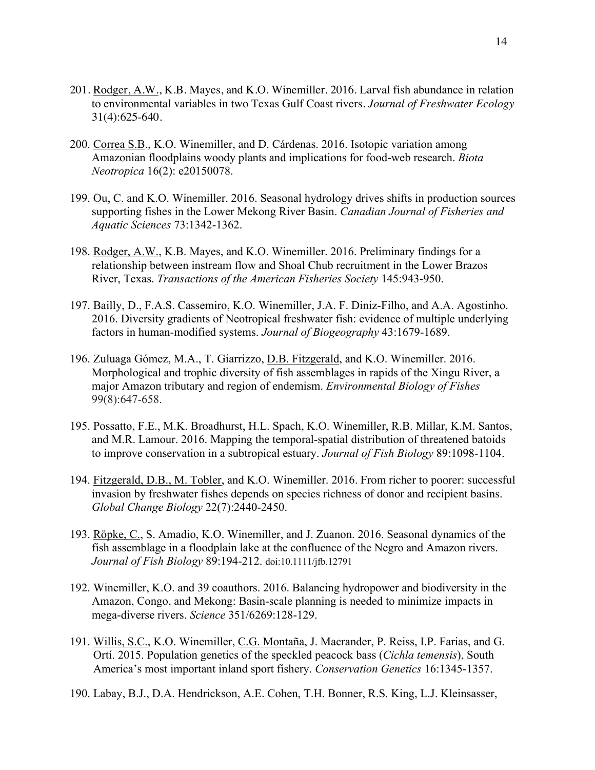- 201. Rodger, A.W., K.B. Mayes, and K.O. Winemiller. 2016. Larval fish abundance in relation to environmental variables in two Texas Gulf Coast rivers. *Journal of Freshwater Ecology* 31(4):625-640.
- 200. Correa S.B., K.O. Winemiller, and D. Cárdenas. 2016. Isotopic variation among Amazonian floodplains woody plants and implications for food-web research. *Biota Neotropica* 16(2): e20150078.
- 199. Ou, C. and K.O. Winemiller. 2016. Seasonal hydrology drives shifts in production sources supporting fishes in the Lower Mekong River Basin. *Canadian Journal of Fisheries and Aquatic Sciences* 73:1342-1362.
- 198. Rodger, A.W., K.B. Mayes, and K.O. Winemiller. 2016. Preliminary findings for a relationship between instream flow and Shoal Chub recruitment in the Lower Brazos River, Texas. *Transactions of the American Fisheries Society* 145:943-950.
- 197. Bailly, D., F.A.S. Cassemiro, K.O. Winemiller, J.A. F. Diniz-Filho, and A.A. Agostinho. 2016. Diversity gradients of Neotropical freshwater fish: evidence of multiple underlying factors in human-modified systems. *Journal of Biogeography* 43:1679-1689.
- 196. Zuluaga Gómez, M.A., T. Giarrizzo, D.B. Fitzgerald, and K.O. Winemiller. 2016. Morphological and trophic diversity of fish assemblages in rapids of the Xingu River, a major Amazon tributary and region of endemism. *Environmental Biology of Fishes* 99(8):647-658.
- 195. Possatto, F.E., M.K. Broadhurst, H.L. Spach, K.O. Winemiller, R.B. Millar, K.M. Santos, and M.R. Lamour. 2016. Mapping the temporal-spatial distribution of threatened batoids to improve conservation in a subtropical estuary. *Journal of Fish Biology* 89:1098-1104.
- 194. Fitzgerald, D.B., M. Tobler, and K.O. Winemiller. 2016. From richer to poorer: successful invasion by freshwater fishes depends on species richness of donor and recipient basins. *Global Change Biology* 22(7):2440-2450.
- 193. Röpke, C., S. Amadio, K.O. Winemiller, and J. Zuanon. 2016. Seasonal dynamics of the fish assemblage in a floodplain lake at the confluence of the Negro and Amazon rivers. *Journal of Fish Biology* 89:194-212. doi:10.1111/jfb.12791
- 192. Winemiller, K.O. and 39 coauthors. 2016. Balancing hydropower and biodiversity in the Amazon, Congo, and Mekong: Basin-scale planning is needed to minimize impacts in mega-diverse rivers. *Science* 351/6269:128-129.
- 191. Willis, S.C., K.O. Winemiller, C.G. Montaña, J. Macrander, P. Reiss, I.P. Farias, and G. Ortí. 2015. Population genetics of the speckled peacock bass (*Cichla temensis*), South America's most important inland sport fishery. *Conservation Genetics* 16:1345-1357.
- 190. Labay, B.J., D.A. Hendrickson, A.E. Cohen, T.H. Bonner, R.S. King, L.J. Kleinsasser,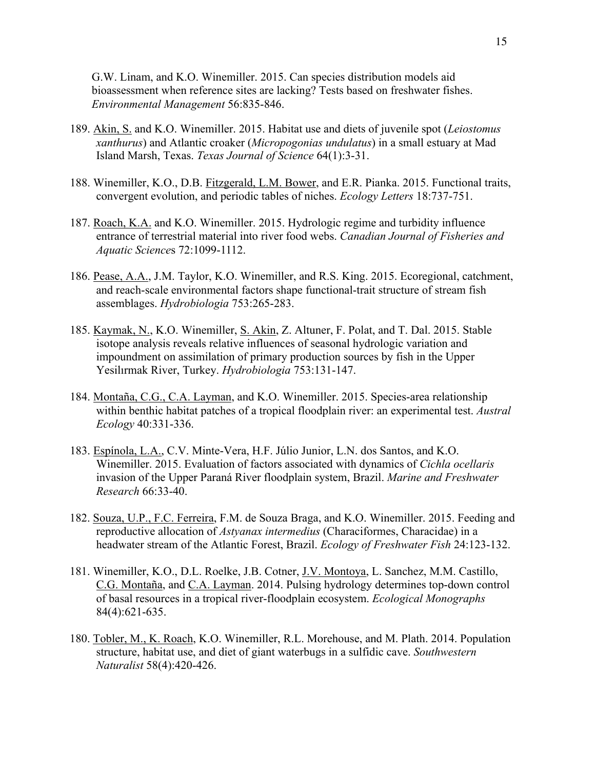G.W. Linam, and K.O. Winemiller. 2015. Can species distribution models aid bioassessment when reference sites are lacking? Tests based on freshwater fishes. *Environmental Management* 56:835-846.

- 189. Akin, S. and K.O. Winemiller. 2015. Habitat use and diets of juvenile spot (*Leiostomus xanthurus*) and Atlantic croaker (*Micropogonias undulatus*) in a small estuary at Mad Island Marsh, Texas. *Texas Journal of Science* 64(1):3-31.
- 188. Winemiller, K.O., D.B. Fitzgerald, L.M. Bower, and E.R. Pianka. 2015. Functional traits, convergent evolution, and periodic tables of niches. *Ecology Letters* 18:737-751.
- 187. Roach, K.A. and K.O. Winemiller. 2015. Hydrologic regime and turbidity influence entrance of terrestrial material into river food webs. *Canadian Journal of Fisheries and Aquatic Science*s 72:1099-1112.
- 186. Pease, A.A., J.M. Taylor, K.O. Winemiller, and R.S. King. 2015. Ecoregional, catchment, and reach-scale environmental factors shape functional-trait structure of stream fish assemblages. *Hydrobiologia* 753:265-283.
- 185. Kaymak, N., K.O. Winemiller, S. Akin, Z. Altuner, F. Polat, and T. Dal. 2015. Stable isotope analysis reveals relative influences of seasonal hydrologic variation and impoundment on assimilation of primary production sources by fish in the Upper Yesilırmak River, Turkey. *Hydrobiologia* 753:131-147.
- 184. Montaña, C.G., C.A. Layman, and K.O. Winemiller. 2015. Species-area relationship within benthic habitat patches of a tropical floodplain river: an experimental test. *Austral Ecology* 40:331-336.
- 183. Espínola, L.A., C.V. Minte-Vera, H.F. Júlio Junior, L.N. dos Santos, and K.O. Winemiller. 2015. Evaluation of factors associated with dynamics of *Cichla ocellaris* invasion of the Upper Paraná River floodplain system, Brazil. *Marine and Freshwater Research* 66:33-40.
- 182. Souza, U.P., F.C. Ferreira, F.M. de Souza Braga, and K.O. Winemiller. 2015. Feeding and reproductive allocation of *Astyanax intermedius* (Characiformes, Characidae) in a headwater stream of the Atlantic Forest, Brazil. *Ecology of Freshwater Fish* 24:123-132.
- 181. Winemiller, K.O., D.L. Roelke, J.B. Cotner, J.V. Montoya, L. Sanchez, M.M. Castillo, C.G. Montaña, and C.A. Layman. 2014. Pulsing hydrology determines top-down control of basal resources in a tropical river-floodplain ecosystem. *Ecological Monographs* 84(4):621-635.
- 180. Tobler, M., K. Roach, K.O. Winemiller, R.L. Morehouse, and M. Plath. 2014. Population structure, habitat use, and diet of giant waterbugs in a sulfidic cave. *Southwestern Naturalist* 58(4):420-426.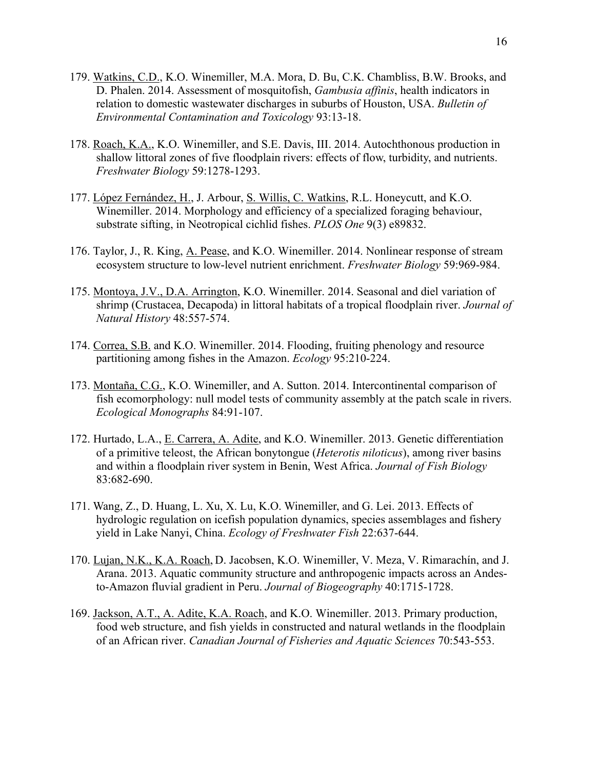- 179. Watkins, C.D., K.O. Winemiller, M.A. Mora, D. Bu, C.K. Chambliss, B.W. Brooks, and D. Phalen. 2014. Assessment of mosquitofish, *Gambusia affinis*, health indicators in relation to domestic wastewater discharges in suburbs of Houston, USA. *Bulletin of Environmental Contamination and Toxicology* 93:13-18.
- 178. Roach, K.A., K.O. Winemiller, and S.E. Davis, III. 2014. Autochthonous production in shallow littoral zones of five floodplain rivers: effects of flow, turbidity, and nutrients. *Freshwater Biology* 59:1278-1293.
- 177. López Fernández, H., J. Arbour, S. Willis, C. Watkins, R.L. Honeycutt, and K.O. Winemiller. 2014. Morphology and efficiency of a specialized foraging behaviour, substrate sifting, in Neotropical cichlid fishes. *PLOS One* 9(3) e89832.
- 176. Taylor, J., R. King, A. Pease, and K.O. Winemiller. 2014. Nonlinear response of stream ecosystem structure to low-level nutrient enrichment. *Freshwater Biology* 59:969-984.
- 175. Montoya, J.V., D.A. Arrington, K.O. Winemiller. 2014. Seasonal and diel variation of shrimp (Crustacea, Decapoda) in littoral habitats of a tropical floodplain river. *Journal of Natural History* 48:557-574.
- 174. Correa, S.B. and K.O. Winemiller. 2014. Flooding, fruiting phenology and resource partitioning among fishes in the Amazon. *Ecology* 95:210-224.
- 173. Montaña, C.G., K.O. Winemiller, and A. Sutton. 2014. Intercontinental comparison of fish ecomorphology: null model tests of community assembly at the patch scale in rivers. *Ecological Monographs* 84:91-107.
- 172. Hurtado, L.A., E. Carrera, A. Adite, and K.O. Winemiller. 2013. Genetic differentiation of a primitive teleost, the African bonytongue (*Heterotis niloticus*), among river basins and within a floodplain river system in Benin, West Africa. *Journal of Fish Biology* 83:682-690.
- 171. Wang, Z., D. Huang, L. Xu, X. Lu, K.O. Winemiller, and G. Lei. 2013. Effects of hydrologic regulation on icefish population dynamics, species assemblages and fishery yield in Lake Nanyi, China. *Ecology of Freshwater Fish* 22:637-644.
- 170. Lujan, N.K., K.A. Roach, D. Jacobsen, K.O. Winemiller, V. Meza, V. Rimarachín, and J. Arana. 2013. Aquatic community structure and anthropogenic impacts across an Andesto-Amazon fluvial gradient in Peru. *Journal of Biogeography* 40:1715-1728.
- 169. Jackson, A.T., A. Adite, K.A. Roach, and K.O. Winemiller. 2013. Primary production, food web structure, and fish yields in constructed and natural wetlands in the floodplain of an African river. *Canadian Journal of Fisheries and Aquatic Sciences* 70:543-553.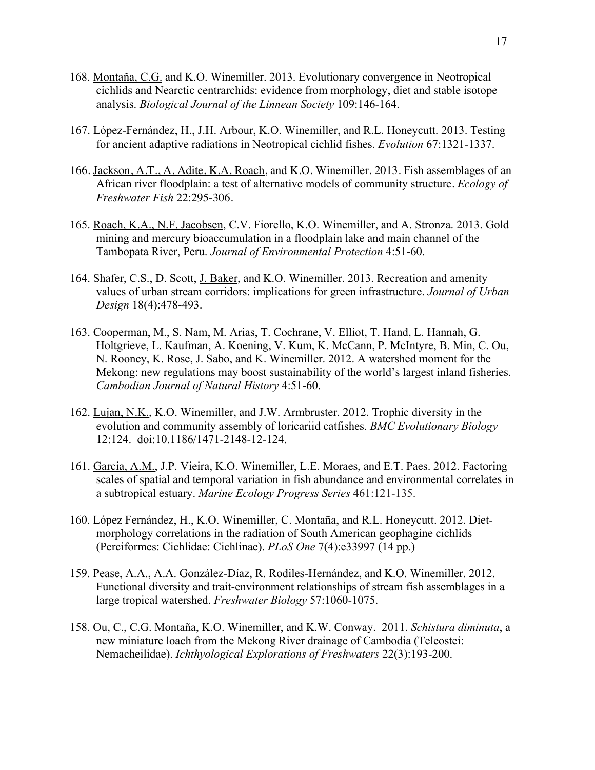- 168. Montaña, C.G. and K.O. Winemiller. 2013. Evolutionary convergence in Neotropical cichlids and Nearctic centrarchids: evidence from morphology, diet and stable isotope analysis. *Biological Journal of the Linnean Society* 109:146-164.
- 167. López-Fernández, H., J.H. Arbour, K.O. Winemiller, and R.L. Honeycutt. 2013. Testing for ancient adaptive radiations in Neotropical cichlid fishes. *Evolution* 67:1321-1337.
- 166. Jackson, A.T., A. Adite, K.A. Roach, and K.O. Winemiller. 2013. Fish assemblages of an African river floodplain: a test of alternative models of community structure. *Ecology of Freshwater Fish* 22:295-306.
- 165. Roach, K.A., N.F. Jacobsen, C.V. Fiorello, K.O. Winemiller, and A. Stronza. 2013. Gold mining and mercury bioaccumulation in a floodplain lake and main channel of the Tambopata River, Peru. *Journal of Environmental Protection* 4:51-60.
- 164. Shafer, C.S., D. Scott, J. Baker, and K.O. Winemiller. 2013. Recreation and amenity values of urban stream corridors: implications for green infrastructure. *Journal of Urban Design* 18(4):478-493.
- 163. Cooperman, M., S. Nam, M. Arias, T. Cochrane, V. Elliot, T. Hand, L. Hannah, G. Holtgrieve, L. Kaufman, A. Koening, V. Kum, K. McCann, P. McIntyre, B. Min, C. Ou, N. Rooney, K. Rose, J. Sabo, and K. Winemiller. 2012. A watershed moment for the Mekong: new regulations may boost sustainability of the world's largest inland fisheries. *Cambodian Journal of Natural History* 4:51-60.
- 162. Lujan, N.K., K.O. Winemiller, and J.W. Armbruster. 2012. Trophic diversity in the evolution and community assembly of loricariid catfishes. *BMC Evolutionary Biology* 12:124. doi:10.1186/1471-2148-12-124.
- 161. Garcia, A.M., J.P. Vieira, K.O. Winemiller, L.E. Moraes, and E.T. Paes. 2012. Factoring scales of spatial and temporal variation in fish abundance and environmental correlates in a subtropical estuary. *Marine Ecology Progress Series* 461:121-135.
- 160. López Fernández, H., K.O. Winemiller, C. Montaña, and R.L. Honeycutt. 2012. Dietmorphology correlations in the radiation of South American geophagine cichlids (Perciformes: Cichlidae: Cichlinae). *PLoS One* 7(4):e33997 (14 pp.)
- 159. Pease, A.A., A.A. González-Díaz, R. Rodiles-Hernández, and K.O. Winemiller. 2012. Functional diversity and trait-environment relationships of stream fish assemblages in a large tropical watershed. *Freshwater Biology* 57:1060-1075.
- 158. Ou, C., C.G. Montaña, K.O. Winemiller, and K.W. Conway. 2011. *Schistura diminuta*, a new miniature loach from the Mekong River drainage of Cambodia (Teleostei: Nemacheilidae). *Ichthyological Explorations of Freshwaters* 22(3):193-200.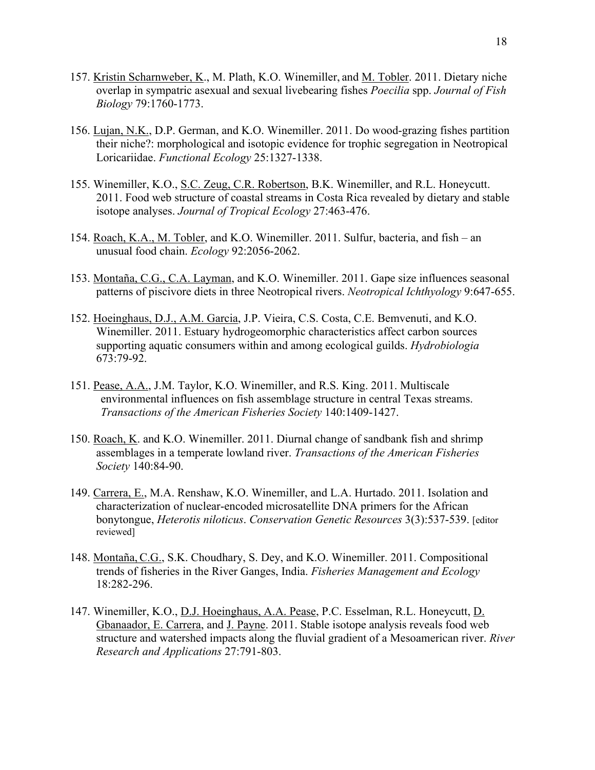- 157. Kristin Scharnweber, K., M. Plath, K.O. Winemiller, and M. Tobler. 2011. Dietary niche overlap in sympatric asexual and sexual livebearing fishes *Poecilia* spp. *Journal of Fish Biology* 79:1760-1773.
- 156. Lujan, N.K., D.P. German, and K.O. Winemiller. 2011. Do wood-grazing fishes partition their niche?: morphological and isotopic evidence for trophic segregation in Neotropical Loricariidae. *Functional Ecology* 25:1327-1338.
- 155. Winemiller, K.O., S.C. Zeug, C.R. Robertson, B.K. Winemiller, and R.L. Honeycutt. 2011. Food web structure of coastal streams in Costa Rica revealed by dietary and stable isotope analyses. *Journal of Tropical Ecology* 27:463-476.
- 154. Roach, K.A., M. Tobler, and K.O. Winemiller. 2011. Sulfur, bacteria, and fish an unusual food chain. *Ecology* 92:2056-2062.
- 153. Montaña, C.G., C.A. Layman, and K.O. Winemiller. 2011. Gape size influences seasonal patterns of piscivore diets in three Neotropical rivers. *Neotropical Ichthyology* 9:647-655.
- 152. Hoeinghaus, D.J., A.M. Garcia, J.P. Vieira, C.S. Costa, C.E. Bemvenuti, and K.O. Winemiller. 2011. Estuary hydrogeomorphic characteristics affect carbon sources supporting aquatic consumers within and among ecological guilds. *Hydrobiologia* 673:79-92.
- 151. Pease, A.A., J.M. Taylor, K.O. Winemiller, and R.S. King. 2011. Multiscale environmental influences on fish assemblage structure in central Texas streams. *Transactions of the American Fisheries Society* 140:1409-1427.
- 150. Roach, K. and K.O. Winemiller. 2011. Diurnal change of sandbank fish and shrimp assemblages in a temperate lowland river. *Transactions of the American Fisheries Society* 140:84-90.
- 149. Carrera, E., M.A. Renshaw, K.O. Winemiller, and L.A. Hurtado. 2011. Isolation and characterization of nuclear-encoded microsatellite DNA primers for the African bonytongue, *Heterotis niloticus*. *Conservation Genetic Resources* 3(3):537-539. [editor reviewed]
- 148. Montaña, C.G., S.K. Choudhary, S. Dey, and K.O. Winemiller. 2011. Compositional trends of fisheries in the River Ganges, India. *Fisheries Management and Ecology* 18:282-296.
- 147. Winemiller, K.O., D.J. Hoeinghaus, A.A. Pease, P.C. Esselman, R.L. Honeycutt, D. Gbanaador, E. Carrera, and J. Payne. 2011. Stable isotope analysis reveals food web structure and watershed impacts along the fluvial gradient of a Mesoamerican river. *River Research and Applications* 27:791-803.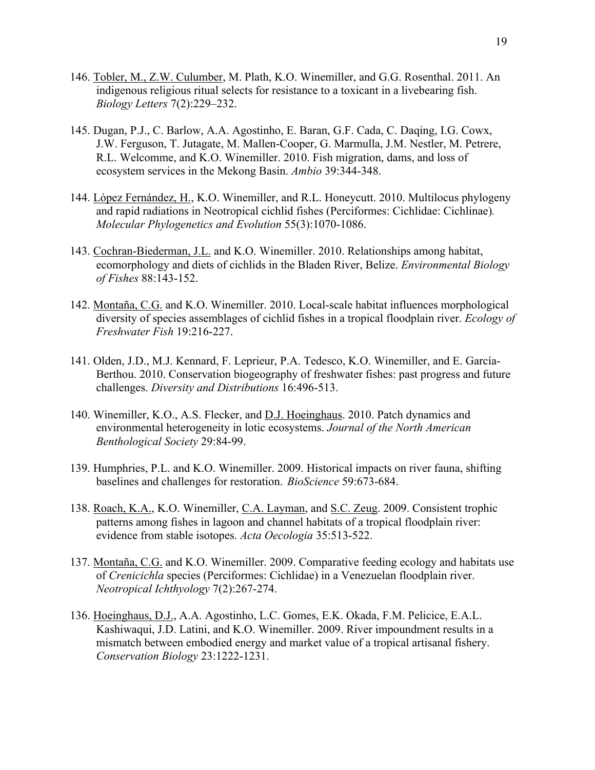- 146. Tobler, M., Z.W. Culumber, M. Plath, K.O. Winemiller, and G.G. Rosenthal. 2011. An indigenous religious ritual selects for resistance to a toxicant in a livebearing fish. *Biology Letters* 7(2):229–232.
- 145. Dugan, P.J., C. Barlow, A.A. Agostinho, E. Baran, G.F. Cada, C. Daqing, I.G. Cowx, J.W. Ferguson, T. Jutagate, M. Mallen-Cooper, G. Marmulla, J.M. Nestler, M. Petrere, R.L. Welcomme, and K.O. Winemiller. 2010. Fish migration, dams, and loss of ecosystem services in the Mekong Basin. *Ambio* 39:344-348.
- 144. López Fernández, H., K.O. Winemiller, and R.L. Honeycutt. 2010. Multilocus phylogeny and rapid radiations in Neotropical cichlid fishes (Perciformes: Cichlidae: Cichlinae)*. Molecular Phylogenetics and Evolution* 55(3):1070-1086.
- 143. Cochran-Biederman, J.L. and K.O. Winemiller. 2010. Relationships among habitat, ecomorphology and diets of cichlids in the Bladen River, Belize. *Environmental Biology of Fishes* 88:143-152.
- 142. Montaña, C.G. and K.O. Winemiller. 2010. Local-scale habitat influences morphological diversity of species assemblages of cichlid fishes in a tropical floodplain river. *Ecology of Freshwater Fish* 19:216-227.
- 141. Olden, J.D., M.J. Kennard, F. Leprieur, P.A. Tedesco, K.O. Winemiller, and E. García-Berthou. 2010. Conservation biogeography of freshwater fishes: past progress and future challenges. *Diversity and Distributions* 16:496-513.
- 140. Winemiller, K.O., A.S. Flecker, and D.J. Hoeinghaus. 2010. Patch dynamics and environmental heterogeneity in lotic ecosystems. *Journal of the North American Benthological Society* 29:84-99.
- 139. Humphries, P.L. and K.O. Winemiller. 2009. Historical impacts on river fauna, shifting baselines and challenges for restoration. *BioScience* 59:673-684.
- 138. Roach, K.A., K.O. Winemiller, C.A. Layman, and S.C. Zeug. 2009. Consistent trophic patterns among fishes in lagoon and channel habitats of a tropical floodplain river: evidence from stable isotopes. *Acta Oecologia* 35:513-522.
- 137. Montaña, C.G. and K.O. Winemiller. 2009. Comparative feeding ecology and habitats use of *Crenicichla* species (Perciformes: Cichlidae) in a Venezuelan floodplain river. *Neotropical Ichthyology* 7(2):267-274.
- 136. Hoeinghaus, D.J., A.A. Agostinho, L.C. Gomes, E.K. Okada, F.M. Pelicice, E.A.L. Kashiwaqui, J.D. Latini, and K.O. Winemiller. 2009. River impoundment results in a mismatch between embodied energy and market value of a tropical artisanal fishery. *Conservation Biology* 23:1222-1231.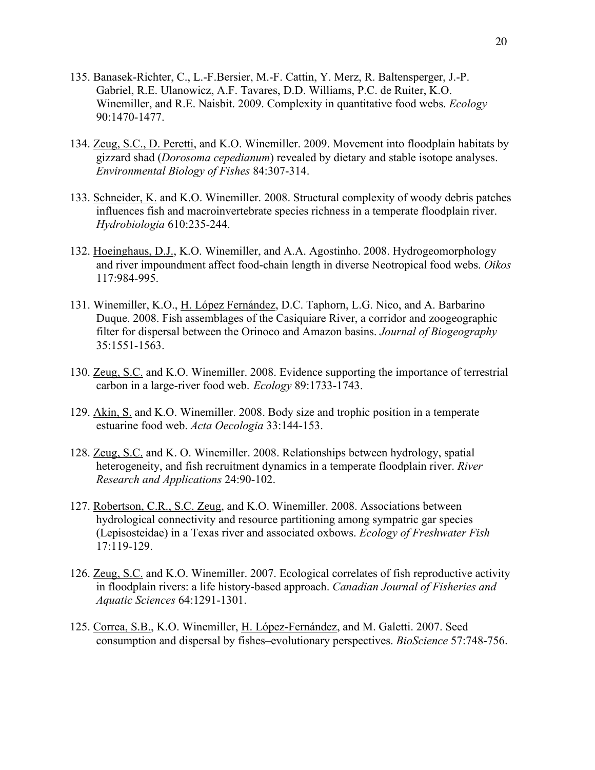- 135. Banasek-Richter, C., L.-F.Bersier, M.-F. Cattin, Y. Merz, R. Baltensperger, J.-P. Gabriel, R.E. Ulanowicz, A.F. Tavares, D.D. Williams, P.C. de Ruiter, K.O. Winemiller, and R.E. Naisbit. 2009. Complexity in quantitative food webs. *Ecology* 90:1470-1477.
- 134. Zeug, S.C., D. Peretti, and K.O. Winemiller. 2009. Movement into floodplain habitats by gizzard shad (*Dorosoma cepedianum*) revealed by dietary and stable isotope analyses. *Environmental Biology of Fishes* 84:307-314.
- 133. Schneider, K. and K.O. Winemiller. 2008. Structural complexity of woody debris patches influences fish and macroinvertebrate species richness in a temperate floodplain river. *Hydrobiologia* 610:235-244.
- 132. Hoeinghaus, D.J., K.O. Winemiller, and A.A. Agostinho. 2008. Hydrogeomorphology and river impoundment affect food-chain length in diverse Neotropical food webs. *Oikos* 117:984-995.
- 131. Winemiller, K.O., H. López Fernández, D.C. Taphorn, L.G. Nico, and A. Barbarino Duque. 2008. Fish assemblages of the Casiquiare River, a corridor and zoogeographic filter for dispersal between the Orinoco and Amazon basins. *Journal of Biogeography* 35:1551-1563.
- 130. Zeug, S.C. and K.O. Winemiller. 2008. Evidence supporting the importance of terrestrial carbon in a large-river food web. *Ecology* 89:1733-1743.
- 129. Akin, S. and K.O. Winemiller. 2008. Body size and trophic position in a temperate estuarine food web. *Acta Oecologia* 33:144-153.
- 128. Zeug, S.C. and K. O. Winemiller. 2008. Relationships between hydrology, spatial heterogeneity, and fish recruitment dynamics in a temperate floodplain river. *River Research and Applications* 24:90-102.
- 127. Robertson, C.R., S.C. Zeug, and K.O. Winemiller. 2008. Associations between hydrological connectivity and resource partitioning among sympatric gar species (Lepisosteidae) in a Texas river and associated oxbows. *Ecology of Freshwater Fish* 17:119-129.
- 126. Zeug, S.C. and K.O. Winemiller. 2007. Ecological correlates of fish reproductive activity in floodplain rivers: a life history-based approach. *Canadian Journal of Fisheries and Aquatic Sciences* 64:1291-1301.
- 125. Correa, S.B., K.O. Winemiller, H. López-Fernández, and M. Galetti. 2007. Seed consumption and dispersal by fishes–evolutionary perspectives. *BioScience* 57:748-756.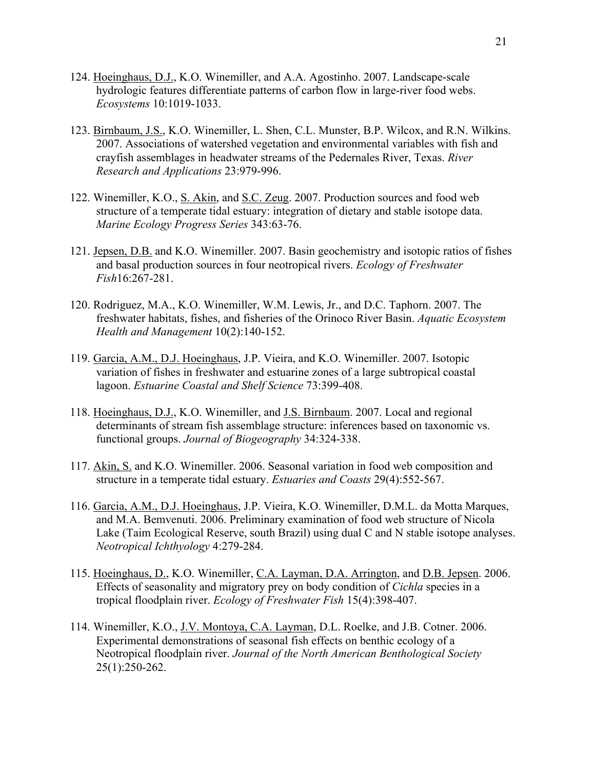- 124. Hoeinghaus, D.J., K.O. Winemiller, and A.A. Agostinho. 2007. Landscape-scale hydrologic features differentiate patterns of carbon flow in large-river food webs. *Ecosystems* 10:1019-1033.
- 123. Birnbaum, J.S., K.O. Winemiller, L. Shen, C.L. Munster, B.P. Wilcox, and R.N. Wilkins. 2007. Associations of watershed vegetation and environmental variables with fish and crayfish assemblages in headwater streams of the Pedernales River, Texas. *River Research and Applications* 23:979-996.
- 122. Winemiller, K.O., S. Akin, and S.C. Zeug. 2007. Production sources and food web structure of a temperate tidal estuary: integration of dietary and stable isotope data. *Marine Ecology Progress Series* 343:63-76.
- 121. Jepsen, D.B. and K.O. Winemiller. 2007. Basin geochemistry and isotopic ratios of fishes and basal production sources in four neotropical rivers. *Ecology of Freshwater Fish*16:267-281.
- 120. Rodriguez, M.A., K.O. Winemiller, W.M. Lewis, Jr., and D.C. Taphorn. 2007. The freshwater habitats, fishes, and fisheries of the Orinoco River Basin. *Aquatic Ecosystem Health and Management* 10(2):140-152.
- 119. Garcia, A.M., D.J. Hoeinghaus, J.P. Vieira, and K.O. Winemiller. 2007. Isotopic variation of fishes in freshwater and estuarine zones of a large subtropical coastal lagoon. *Estuarine Coastal and Shelf Science* 73:399-408.
- 118. Hoeinghaus, D.J., K.O. Winemiller, and J.S. Birnbaum. 2007. Local and regional determinants of stream fish assemblage structure: inferences based on taxonomic vs. functional groups. *Journal of Biogeography* 34:324-338.
- 117. Akin, S. and K.O. Winemiller. 2006. Seasonal variation in food web composition and structure in a temperate tidal estuary. *Estuaries and Coasts* 29(4):552-567.
- 116. Garcia, A.M., D.J. Hoeinghaus, J.P. Vieira, K.O. Winemiller, D.M.L. da Motta Marques, and M.A. Bemvenuti. 2006. Preliminary examination of food web structure of Nicola Lake (Taim Ecological Reserve, south Brazil) using dual C and N stable isotope analyses. *Neotropical Ichthyology* 4:279-284.
- 115. Hoeinghaus, D., K.O. Winemiller, C.A. Layman, D.A. Arrington, and D.B. Jepsen. 2006. Effects of seasonality and migratory prey on body condition of *Cichla* species in a tropical floodplain river. *Ecology of Freshwater Fish* 15(4):398-407.
- 114. Winemiller, K.O., J.V. Montoya, C.A. Layman, D.L. Roelke, and J.B. Cotner. 2006. Experimental demonstrations of seasonal fish effects on benthic ecology of a Neotropical floodplain river. *Journal of the North American Benthological Society* 25(1):250-262.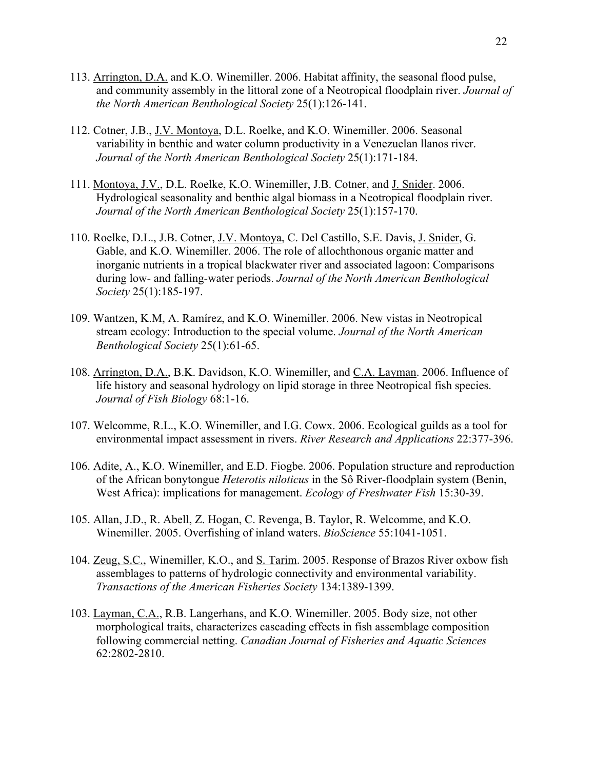- 113. Arrington, D.A. and K.O. Winemiller. 2006. Habitat affinity, the seasonal flood pulse, and community assembly in the littoral zone of a Neotropical floodplain river. *Journal of the North American Benthological Society* 25(1):126-141.
- 112. Cotner, J.B., J.V. Montoya, D.L. Roelke, and K.O. Winemiller. 2006. Seasonal variability in benthic and water column productivity in a Venezuelan llanos river. *Journal of the North American Benthological Society* 25(1):171-184.
- 111. Montoya, J.V., D.L. Roelke, K.O. Winemiller, J.B. Cotner, and J. Snider. 2006. Hydrological seasonality and benthic algal biomass in a Neotropical floodplain river. *Journal of the North American Benthological Society* 25(1):157-170.
- 110. Roelke, D.L., J.B. Cotner, J.V. Montoya, C. Del Castillo, S.E. Davis, J. Snider, G. Gable, and K.O. Winemiller. 2006. The role of allochthonous organic matter and inorganic nutrients in a tropical blackwater river and associated lagoon: Comparisons during low- and falling-water periods. *Journal of the North American Benthological Society* 25(1):185-197.
- 109. Wantzen, K.M, A. Ramírez, and K.O. Winemiller. 2006. New vistas in Neotropical stream ecology: Introduction to the special volume. *Journal of the North American Benthological Society* 25(1):61-65.
- 108. Arrington, D.A., B.K. Davidson, K.O. Winemiller, and C.A. Layman. 2006. Influence of life history and seasonal hydrology on lipid storage in three Neotropical fish species. *Journal of Fish Biology* 68:1-16.
- 107. Welcomme, R.L., K.O. Winemiller, and I.G. Cowx. 2006. Ecological guilds as a tool for environmental impact assessment in rivers. *River Research and Applications* 22:377-396.
- 106. Adite, A., K.O. Winemiller, and E.D. Fiogbe. 2006. Population structure and reproduction of the African bonytongue *Heterotis niloticus* in the Sô River-floodplain system (Benin, West Africa): implications for management. *Ecology of Freshwater Fish* 15:30-39.
- 105. Allan, J.D., R. Abell, Z. Hogan, C. Revenga, B. Taylor, R. Welcomme, and K.O. Winemiller. 2005. Overfishing of inland waters. *BioScience* 55:1041-1051.
- 104. Zeug, S.C., Winemiller, K.O., and S. Tarim. 2005. Response of Brazos River oxbow fish assemblages to patterns of hydrologic connectivity and environmental variability. *Transactions of the American Fisheries Society* 134:1389-1399.
- 103. Layman, C.A., R.B. Langerhans, and K.O. Winemiller. 2005. Body size, not other morphological traits, characterizes cascading effects in fish assemblage composition following commercial netting. *Canadian Journal of Fisheries and Aquatic Sciences* 62:2802-2810.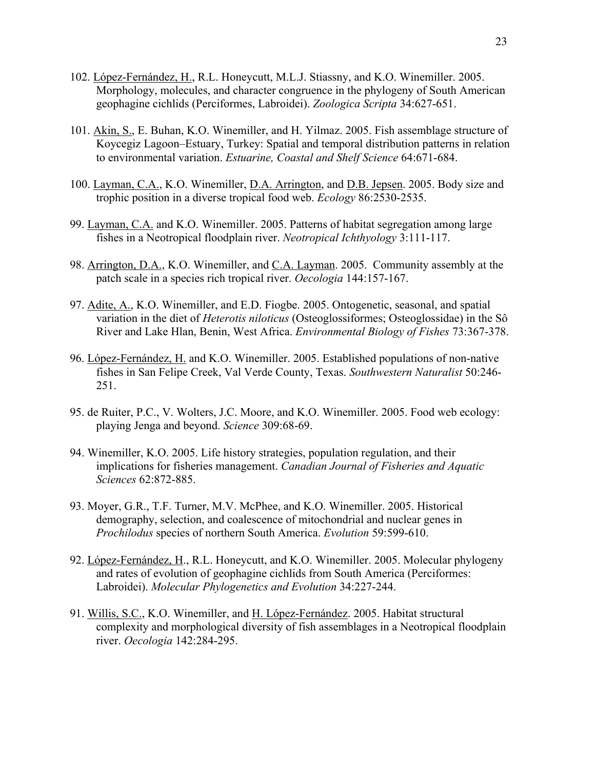- 102. López-Fernández, H., R.L. Honeycutt, M.L.J. Stiassny, and K.O. Winemiller. 2005. Morphology, molecules, and character congruence in the phylogeny of South American geophagine cichlids (Perciformes, Labroidei). *Zoologica Scripta* 34:627-651.
- 101. Akin, S., E. Buhan, K.O. Winemiller, and H. Yilmaz. 2005. Fish assemblage structure of Koycegiz Lagoon–Estuary, Turkey: Spatial and temporal distribution patterns in relation to environmental variation. *Estuarine, Coastal and Shelf Science* 64:671-684.
- 100. Layman, C.A., K.O. Winemiller, D.A. Arrington, and D.B. Jepsen. 2005. Body size and trophic position in a diverse tropical food web. *Ecology* 86:2530-2535.
- 99. Layman, C.A. and K.O. Winemiller. 2005. Patterns of habitat segregation among large fishes in a Neotropical floodplain river. *Neotropical Ichthyology* 3:111-117.
- 98. Arrington, D.A., K.O. Winemiller, and C.A. Layman. 2005. Community assembly at the patch scale in a species rich tropical river. *Oecologia* 144:157-167.
- 97. Adite, A., K.O. Winemiller, and E.D. Fiogbe. 2005. Ontogenetic, seasonal, and spatial variation in the diet of *Heterotis niloticus* (Osteoglossiformes; Osteoglossidae) in the Sô River and Lake Hlan, Benin, West Africa. *Environmental Biology of Fishes* 73:367-378.
- 96. López-Fernández, H. and K.O. Winemiller. 2005. Established populations of non-native fishes in San Felipe Creek, Val Verde County, Texas. *Southwestern Naturalist* 50:246- 251.
- 95. de Ruiter, P.C., V. Wolters, J.C. Moore, and K.O. Winemiller. 2005. Food web ecology: playing Jenga and beyond. *Science* 309:68-69.
- 94. Winemiller, K.O. 2005. Life history strategies, population regulation, and their implications for fisheries management. *Canadian Journal of Fisheries and Aquatic Sciences* 62:872-885.
- 93. Moyer, G.R., T.F. Turner, M.V. McPhee, and K.O. Winemiller. 2005. Historical demography, selection, and coalescence of mitochondrial and nuclear genes in *Prochilodus* species of northern South America. *Evolution* 59:599-610.
- 92. López-Fernández, H., R.L. Honeycutt, and K.O. Winemiller. 2005. Molecular phylogeny and rates of evolution of geophagine cichlids from South America (Perciformes: Labroidei). *Molecular Phylogenetics and Evolution* 34:227-244.
- 91. Willis, S.C., K.O. Winemiller, and H. López-Fernández. 2005. Habitat structural complexity and morphological diversity of fish assemblages in a Neotropical floodplain river. *Oecologia* 142:284-295.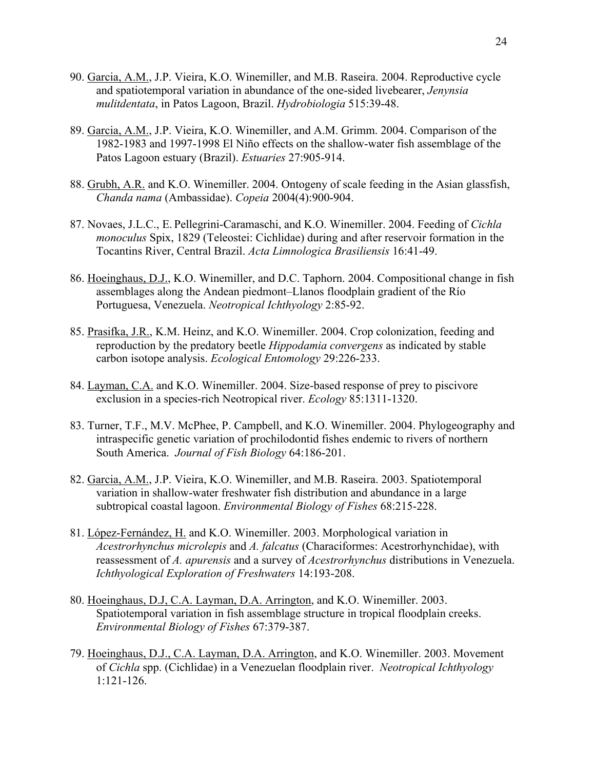- 90. Garcia, A.M., J.P. Vieira, K.O. Winemiller, and M.B. Raseira. 2004. Reproductive cycle and spatiotemporal variation in abundance of the one-sided livebearer, *Jenynsia mulitdentata*, in Patos Lagoon, Brazil. *Hydrobiologia* 515:39-48.
- 89. Garcia, A.M., J.P. Vieira, K.O. Winemiller, and A.M. Grimm. 2004. Comparison of the 1982-1983 and 1997-1998 El Niño effects on the shallow-water fish assemblage of the Patos Lagoon estuary (Brazil). *Estuaries* 27:905-914.
- 88. Grubh, A.R. and K.O. Winemiller. 2004. Ontogeny of scale feeding in the Asian glassfish, *Chanda nama* (Ambassidae). *Copeia* 2004(4):900-904.
- 87. Novaes, J.L.C., E. Pellegrini-Caramaschi, and K.O. Winemiller. 2004. Feeding of *Cichla monoculus* Spix, 1829 (Teleostei: Cichlidae) during and after reservoir formation in the Tocantins River, Central Brazil. *Acta Limnologica Brasiliensis* 16:41-49.
- 86. Hoeinghaus, D.J., K.O. Winemiller, and D.C. Taphorn. 2004. Compositional change in fish assemblages along the Andean piedmont–Llanos floodplain gradient of the Río Portuguesa, Venezuela. *Neotropical Ichthyology* 2:85-92.
- 85. Prasifka, J.R., K.M. Heinz, and K.O. Winemiller. 2004. Crop colonization, feeding and reproduction by the predatory beetle *Hippodamia convergens* as indicated by stable carbon isotope analysis. *Ecological Entomology* 29:226-233.
- 84. Layman, C.A. and K.O. Winemiller. 2004. Size-based response of prey to piscivore exclusion in a species-rich Neotropical river. *Ecology* 85:1311-1320.
- 83. Turner, T.F., M.V. McPhee, P. Campbell, and K.O. Winemiller. 2004. Phylogeography and intraspecific genetic variation of prochilodontid fishes endemic to rivers of northern South America. *Journal of Fish Biology* 64:186-201.
- 82. Garcia, A.M., J.P. Vieira, K.O. Winemiller, and M.B. Raseira. 2003. Spatiotemporal variation in shallow-water freshwater fish distribution and abundance in a large subtropical coastal lagoon. *Environmental Biology of Fishes* 68:215-228.
- 81. López-Fernández, H. and K.O. Winemiller. 2003. Morphological variation in *Acestrorhynchus microlepis* and *A. falcatus* (Characiformes: Acestrorhynchidae), with reassessment of *A. apurensis* and a survey of *Acestrorhynchus* distributions in Venezuela. *Ichthyological Exploration of Freshwaters* 14:193-208.
- 80. Hoeinghaus, D.J, C.A. Layman, D.A. Arrington, and K.O. Winemiller. 2003. Spatiotemporal variation in fish assemblage structure in tropical floodplain creeks. *Environmental Biology of Fishes* 67:379-387.
- 79. Hoeinghaus, D.J., C.A. Layman, D.A. Arrington, and K.O. Winemiller. 2003. Movement of *Cichla* spp. (Cichlidae) in a Venezuelan floodplain river. *Neotropical Ichthyology* 1:121-126.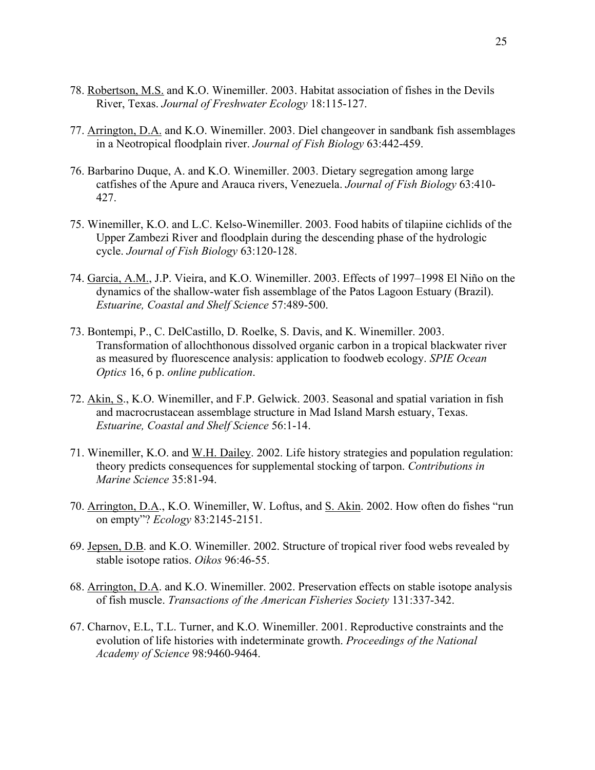- 78. Robertson, M.S. and K.O. Winemiller. 2003. Habitat association of fishes in the Devils River, Texas. *Journal of Freshwater Ecology* 18:115-127.
- 77. Arrington, D.A. and K.O. Winemiller. 2003. Diel changeover in sandbank fish assemblages in a Neotropical floodplain river. *Journal of Fish Biology* 63:442-459.
- 76. Barbarino Duque, A. and K.O. Winemiller. 2003. Dietary segregation among large catfishes of the Apure and Arauca rivers, Venezuela. *Journal of Fish Biology* 63:410- 427.
- 75. Winemiller, K.O. and L.C. Kelso-Winemiller. 2003. Food habits of tilapiine cichlids of the Upper Zambezi River and floodplain during the descending phase of the hydrologic cycle. *Journal of Fish Biology* 63:120-128.
- 74. Garcia, A.M., J.P. Vieira, and K.O. Winemiller. 2003. Effects of 1997–1998 El Niño on the dynamics of the shallow-water fish assemblage of the Patos Lagoon Estuary (Brazil). *Estuarine, Coastal and Shelf Science* 57:489-500.
- 73. Bontempi, P., C. DelCastillo, D. Roelke, S. Davis, and K. Winemiller. 2003. Transformation of allochthonous dissolved organic carbon in a tropical blackwater river as measured by fluorescence analysis: application to foodweb ecology. *SPIE Ocean Optics* 16, 6 p. *online publication*.
- 72. Akin, S., K.O. Winemiller, and F.P. Gelwick. 2003. Seasonal and spatial variation in fish and macrocrustacean assemblage structure in Mad Island Marsh estuary, Texas. *Estuarine, Coastal and Shelf Science* 56:1-14.
- 71. Winemiller, K.O. and W.H. Dailey. 2002. Life history strategies and population regulation: theory predicts consequences for supplemental stocking of tarpon. *Contributions in Marine Science* 35:81-94.
- 70. Arrington, D.A., K.O. Winemiller, W. Loftus, and S. Akin. 2002. How often do fishes "run on empty"? *Ecology* 83:2145-2151.
- 69. Jepsen, D.B. and K.O. Winemiller. 2002. Structure of tropical river food webs revealed by stable isotope ratios. *Oikos* 96:46-55.
- 68. Arrington, D.A. and K.O. Winemiller. 2002. Preservation effects on stable isotope analysis of fish muscle. *Transactions of the American Fisheries Society* 131:337-342.
- 67. Charnov, E.L, T.L. Turner, and K.O. Winemiller. 2001. Reproductive constraints and the evolution of life histories with indeterminate growth. *Proceedings of the National Academy of Science* 98:9460-9464.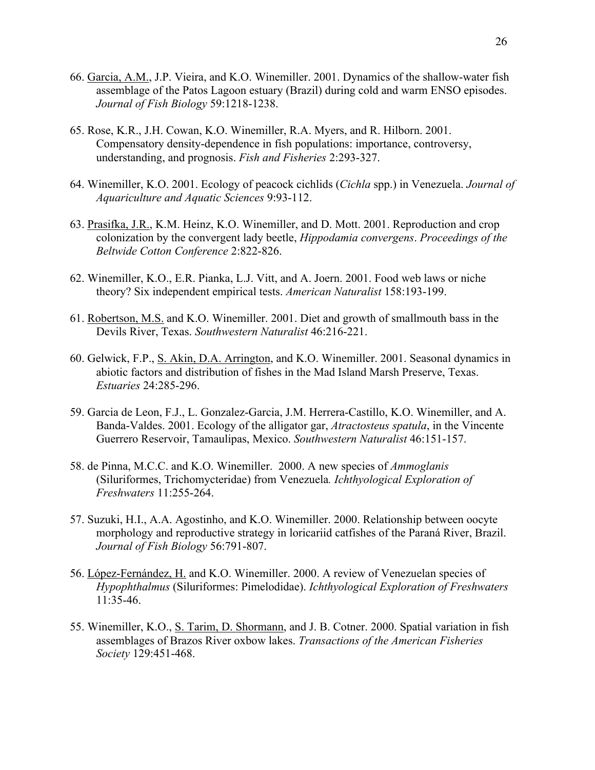- 66. Garcia, A.M., J.P. Vieira, and K.O. Winemiller. 2001. Dynamics of the shallow-water fish assemblage of the Patos Lagoon estuary (Brazil) during cold and warm ENSO episodes. *Journal of Fish Biology* 59:1218-1238.
- 65. Rose, K.R., J.H. Cowan, K.O. Winemiller, R.A. Myers, and R. Hilborn. 2001. Compensatory density-dependence in fish populations: importance, controversy, understanding, and prognosis. *Fish and Fisheries* 2:293-327.
- 64. Winemiller, K.O. 2001. Ecology of peacock cichlids (*Cichla* spp.) in Venezuela. *Journal of Aquariculture and Aquatic Sciences* 9:93-112.
- 63. Prasifka, J.R., K.M. Heinz, K.O. Winemiller, and D. Mott. 2001. Reproduction and crop colonization by the convergent lady beetle, *Hippodamia convergens*. *Proceedings of the Beltwide Cotton Conference* 2:822-826.
- 62. Winemiller, K.O., E.R. Pianka, L.J. Vitt, and A. Joern. 2001. Food web laws or niche theory? Six independent empirical tests. *American Naturalist* 158:193-199.
- 61. Robertson, M.S. and K.O. Winemiller. 2001. Diet and growth of smallmouth bass in the Devils River, Texas. *Southwestern Naturalist* 46:216-221.
- 60. Gelwick, F.P., S. Akin, D.A. Arrington, and K.O. Winemiller. 2001. Seasonal dynamics in abiotic factors and distribution of fishes in the Mad Island Marsh Preserve, Texas. *Estuaries* 24:285-296.
- 59. Garcia de Leon, F.J., L. Gonzalez-Garcia, J.M. Herrera-Castillo, K.O. Winemiller, and A. Banda-Valdes. 2001. Ecology of the alligator gar, *Atractosteus spatula*, in the Vincente Guerrero Reservoir, Tamaulipas, Mexico. *Southwestern Naturalist* 46:151-157.
- 58. de Pinna, M.C.C. and K.O. Winemiller. 2000. A new species of *Ammoglanis* (Siluriformes, Trichomycteridae) from Venezuela*. Ichthyological Exploration of Freshwaters* 11:255-264.
- 57. Suzuki, H.I., A.A. Agostinho, and K.O. Winemiller. 2000. Relationship between oocyte morphology and reproductive strategy in loricariid catfishes of the Paraná River, Brazil. *Journal of Fish Biology* 56:791-807.
- 56. López-Fernández, H. and K.O. Winemiller. 2000. A review of Venezuelan species of *Hypophthalmus* (Siluriformes: Pimelodidae). *Ichthyological Exploration of Freshwaters* 11:35-46.
- 55. Winemiller, K.O., S. Tarim, D. Shormann, and J. B. Cotner. 2000. Spatial variation in fish assemblages of Brazos River oxbow lakes. *Transactions of the American Fisheries Society* 129:451-468.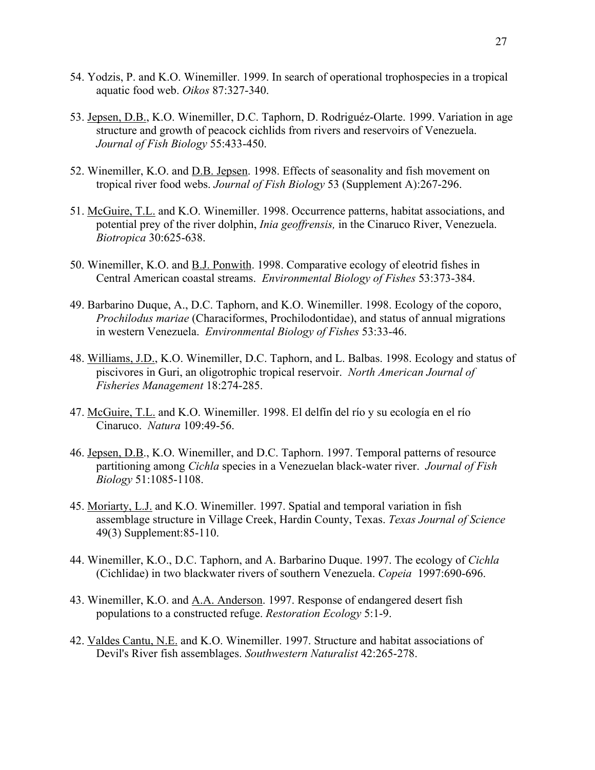- 54. Yodzis, P. and K.O. Winemiller. 1999. In search of operational trophospecies in a tropical aquatic food web. *Oikos* 87:327-340.
- 53. Jepsen, D.B., K.O. Winemiller, D.C. Taphorn, D. Rodriguéz-Olarte. 1999. Variation in age structure and growth of peacock cichlids from rivers and reservoirs of Venezuela. *Journal of Fish Biology* 55:433-450.
- 52. Winemiller, K.O. and D.B. Jepsen. 1998. Effects of seasonality and fish movement on tropical river food webs. *Journal of Fish Biology* 53 (Supplement A):267-296.
- 51. McGuire, T.L. and K.O. Winemiller. 1998. Occurrence patterns, habitat associations, and potential prey of the river dolphin, *Inia geoffrensis,* in the Cinaruco River, Venezuela. *Biotropica* 30:625-638.
- 50. Winemiller, K.O. and B.J. Ponwith. 1998. Comparative ecology of eleotrid fishes in Central American coastal streams. *Environmental Biology of Fishes* 53:373-384.
- 49. Barbarino Duque, A., D.C. Taphorn, and K.O. Winemiller. 1998. Ecology of the coporo, *Prochilodus mariae* (Characiformes, Prochilodontidae), and status of annual migrations in western Venezuela. *Environmental Biology of Fishes* 53:33-46.
- 48. Williams, J.D., K.O. Winemiller, D.C. Taphorn, and L. Balbas. 1998. Ecology and status of piscivores in Guri, an oligotrophic tropical reservoir. *North American Journal of Fisheries Management* 18:274-285.
- 47. McGuire, T.L. and K.O. Winemiller. 1998. El delfín del río y su ecología en el río Cinaruco. *Natura* 109:49-56.
- 46. Jepsen, D.B., K.O. Winemiller, and D.C. Taphorn. 1997. Temporal patterns of resource partitioning among *Cichla* species in a Venezuelan black-water river. *Journal of Fish Biology* 51:1085-1108.
- 45. Moriarty, L.J. and K.O. Winemiller. 1997. Spatial and temporal variation in fish assemblage structure in Village Creek, Hardin County, Texas. *Texas Journal of Science* 49(3) Supplement:85-110.
- 44. Winemiller, K.O., D.C. Taphorn, and A. Barbarino Duque. 1997. The ecology of *Cichla* (Cichlidae) in two blackwater rivers of southern Venezuela. *Copeia* 1997:690-696.
- 43. Winemiller, K.O. and A.A. Anderson. 1997. Response of endangered desert fish populations to a constructed refuge. *Restoration Ecology* 5:1-9.
- 42. Valdes Cantu, N.E. and K.O. Winemiller. 1997. Structure and habitat associations of Devil's River fish assemblages. *Southwestern Naturalist* 42:265-278.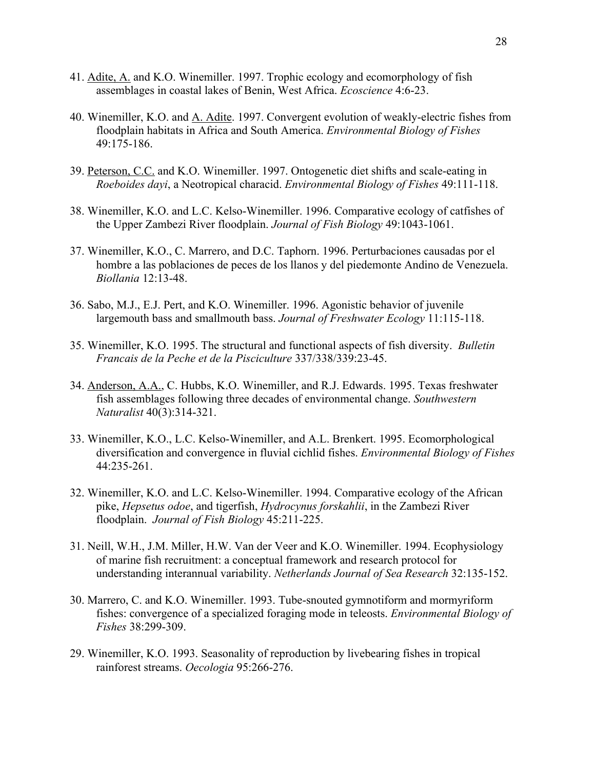- 41. Adite, A. and K.O. Winemiller. 1997. Trophic ecology and ecomorphology of fish assemblages in coastal lakes of Benin, West Africa. *Ecoscience* 4:6-23.
- 40. Winemiller, K.O. and A. Adite. 1997. Convergent evolution of weakly-electric fishes from floodplain habitats in Africa and South America. *Environmental Biology of Fishes* 49:175-186.
- 39. Peterson, C.C. and K.O. Winemiller. 1997. Ontogenetic diet shifts and scale-eating in *Roeboides dayi*, a Neotropical characid. *Environmental Biology of Fishes* 49:111-118.
- 38. Winemiller, K.O. and L.C. Kelso-Winemiller. 1996. Comparative ecology of catfishes of the Upper Zambezi River floodplain. *Journal of Fish Biology* 49:1043-1061.
- 37. Winemiller, K.O., C. Marrero, and D.C. Taphorn. 1996. Perturbaciones causadas por el hombre a las poblaciones de peces de los llanos y del piedemonte Andino de Venezuela. *Biollania* 12:13-48.
- 36. Sabo, M.J., E.J. Pert, and K.O. Winemiller. 1996. Agonistic behavior of juvenile largemouth bass and smallmouth bass. *Journal of Freshwater Ecology* 11:115-118.
- 35. Winemiller, K.O. 1995. The structural and functional aspects of fish diversity. *Bulletin Francais de la Peche et de la Pisciculture* 337/338/339:23-45.
- 34. Anderson, A.A., C. Hubbs, K.O. Winemiller, and R.J. Edwards. 1995. Texas freshwater fish assemblages following three decades of environmental change. *Southwestern Naturalist* 40(3):314-321.
- 33. Winemiller, K.O., L.C. Kelso-Winemiller, and A.L. Brenkert. 1995. Ecomorphological diversification and convergence in fluvial cichlid fishes. *Environmental Biology of Fishes* 44:235-261.
- 32. Winemiller, K.O. and L.C. Kelso-Winemiller. 1994. Comparative ecology of the African pike, *Hepsetus odoe*, and tigerfish, *Hydrocynus forskahlii*, in the Zambezi River floodplain. *Journal of Fish Biology* 45:211-225.
- 31. Neill, W.H., J.M. Miller, H.W. Van der Veer and K.O. Winemiller. 1994. Ecophysiology of marine fish recruitment: a conceptual framework and research protocol for understanding interannual variability. *Netherlands Journal of Sea Research* 32:135-152.
- 30. Marrero, C. and K.O. Winemiller. 1993. Tube-snouted gymnotiform and mormyriform fishes: convergence of a specialized foraging mode in teleosts. *Environmental Biology of Fishes* 38:299-309.
- 29. Winemiller, K.O. 1993. Seasonality of reproduction by livebearing fishes in tropical rainforest streams. *Oecologia* 95:266-276.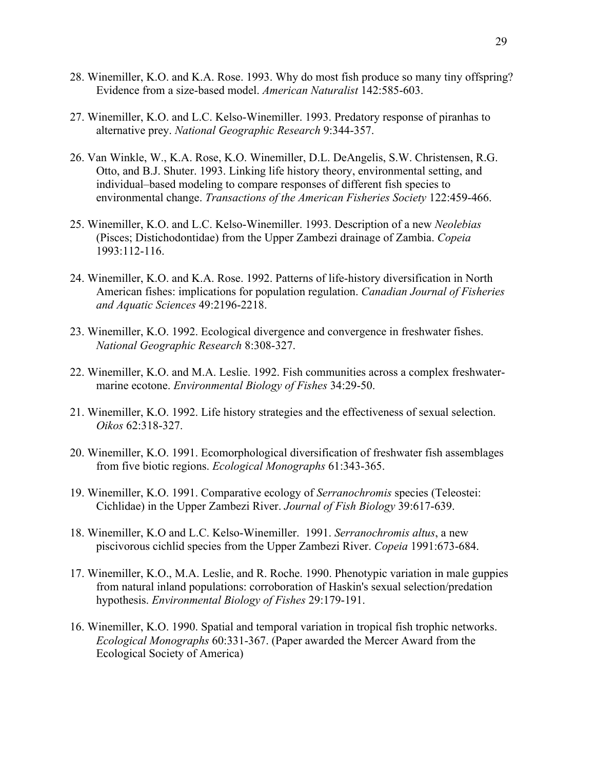- 28. Winemiller, K.O. and K.A. Rose. 1993. Why do most fish produce so many tiny offspring? Evidence from a size-based model. *American Naturalist* 142:585-603.
- 27. Winemiller, K.O. and L.C. Kelso-Winemiller. 1993. Predatory response of piranhas to alternative prey. *National Geographic Research* 9:344-357.
- 26. Van Winkle, W., K.A. Rose, K.O. Winemiller, D.L. DeAngelis, S.W. Christensen, R.G. Otto, and B.J. Shuter. 1993. Linking life history theory, environmental setting, and individual–based modeling to compare responses of different fish species to environmental change. *Transactions of the American Fisheries Society* 122:459-466.
- 25. Winemiller, K.O. and L.C. Kelso-Winemiller. 1993. Description of a new *Neolebias* (Pisces; Distichodontidae) from the Upper Zambezi drainage of Zambia. *Copeia* 1993:112-116.
- 24. Winemiller, K.O. and K.A. Rose. 1992. Patterns of life-history diversification in North American fishes: implications for population regulation. *Canadian Journal of Fisheries and Aquatic Sciences* 49:2196-2218.
- 23. Winemiller, K.O. 1992. Ecological divergence and convergence in freshwater fishes. *National Geographic Research* 8:308-327.
- 22. Winemiller, K.O. and M.A. Leslie. 1992. Fish communities across a complex freshwatermarine ecotone. *Environmental Biology of Fishes* 34:29-50.
- 21. Winemiller, K.O. 1992. Life history strategies and the effectiveness of sexual selection. *Oikos* 62:318-327.
- 20. Winemiller, K.O. 1991. Ecomorphological diversification of freshwater fish assemblages from five biotic regions. *Ecological Monographs* 61:343-365.
- 19. Winemiller, K.O. 1991. Comparative ecology of *Serranochromis* species (Teleostei: Cichlidae) in the Upper Zambezi River. *Journal of Fish Biology* 39:617-639.
- 18. Winemiller, K.O and L.C. Kelso-Winemiller. 1991. *Serranochromis altus*, a new piscivorous cichlid species from the Upper Zambezi River. *Copeia* 1991:673-684.
- 17. Winemiller, K.O., M.A. Leslie, and R. Roche. 1990. Phenotypic variation in male guppies from natural inland populations: corroboration of Haskin's sexual selection/predation hypothesis. *Environmental Biology of Fishes* 29:179-191.
- 16. Winemiller, K.O. 1990. Spatial and temporal variation in tropical fish trophic networks. *Ecological Monographs* 60:331-367. (Paper awarded the Mercer Award from the Ecological Society of America)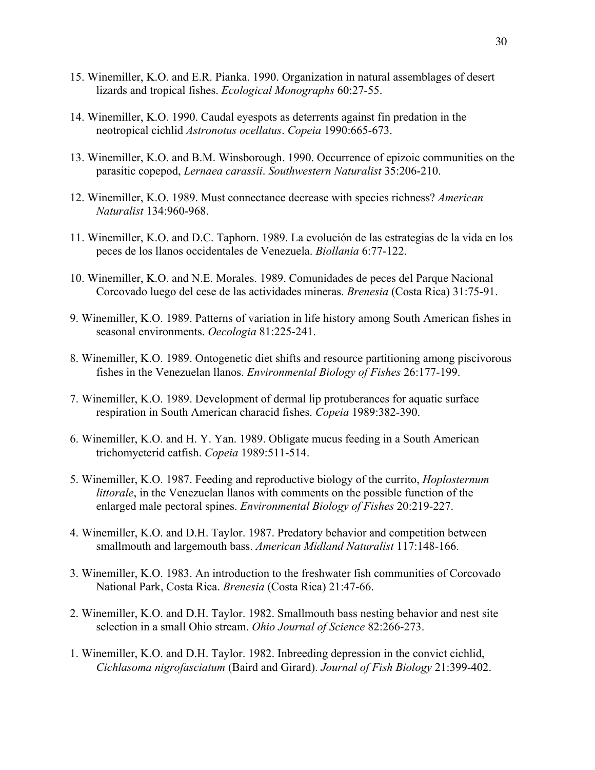- 15. Winemiller, K.O. and E.R. Pianka. 1990. Organization in natural assemblages of desert lizards and tropical fishes. *Ecological Monographs* 60:27-55.
- 14. Winemiller, K.O. 1990. Caudal eyespots as deterrents against fin predation in the neotropical cichlid *Astronotus ocellatus*. *Copeia* 1990:665-673.
- 13. Winemiller, K.O. and B.M. Winsborough. 1990. Occurrence of epizoic communities on the parasitic copepod, *Lernaea carassii*. *Southwestern Naturalist* 35:206-210.
- 12. Winemiller, K.O. 1989. Must connectance decrease with species richness? *American Naturalist* 134:960-968.
- 11. Winemiller, K.O. and D.C. Taphorn. 1989. La evolución de las estrategias de la vida en los peces de los llanos occidentales de Venezuela. *Biollania* 6:77-122.
- 10. Winemiller, K.O. and N.E. Morales. 1989. Comunidades de peces del Parque Nacional Corcovado luego del cese de las actividades mineras. *Brenesia* (Costa Rica) 31:75-91.
- 9. Winemiller, K.O. 1989. Patterns of variation in life history among South American fishes in seasonal environments. *Oecologia* 81:225-241.
- 8. Winemiller, K.O. 1989. Ontogenetic diet shifts and resource partitioning among piscivorous fishes in the Venezuelan llanos. *Environmental Biology of Fishes* 26:177-199.
- 7. Winemiller, K.O. 1989. Development of dermal lip protuberances for aquatic surface respiration in South American characid fishes. *Copeia* 1989:382-390.
- 6. Winemiller, K.O. and H. Y. Yan. 1989. Obligate mucus feeding in a South American trichomycterid catfish. *Copeia* 1989:511-514.
- 5. Winemiller, K.O. 1987. Feeding and reproductive biology of the currito, *Hoplosternum littorale*, in the Venezuelan llanos with comments on the possible function of the enlarged male pectoral spines. *Environmental Biology of Fishes* 20:219-227.
- 4. Winemiller, K.O. and D.H. Taylor. 1987. Predatory behavior and competition between smallmouth and largemouth bass. *American Midland Naturalist* 117:148-166.
- 3. Winemiller, K.O. 1983. An introduction to the freshwater fish communities of Corcovado National Park, Costa Rica. *Brenesia* (Costa Rica) 21:47-66.
- 2. Winemiller, K.O. and D.H. Taylor. 1982. Smallmouth bass nesting behavior and nest site selection in a small Ohio stream. *Ohio Journal of Science* 82:266-273.
- 1. Winemiller, K.O. and D.H. Taylor. 1982. Inbreeding depression in the convict cichlid, *Cichlasoma nigrofasciatum* (Baird and Girard). *Journal of Fish Biology* 21:399-402.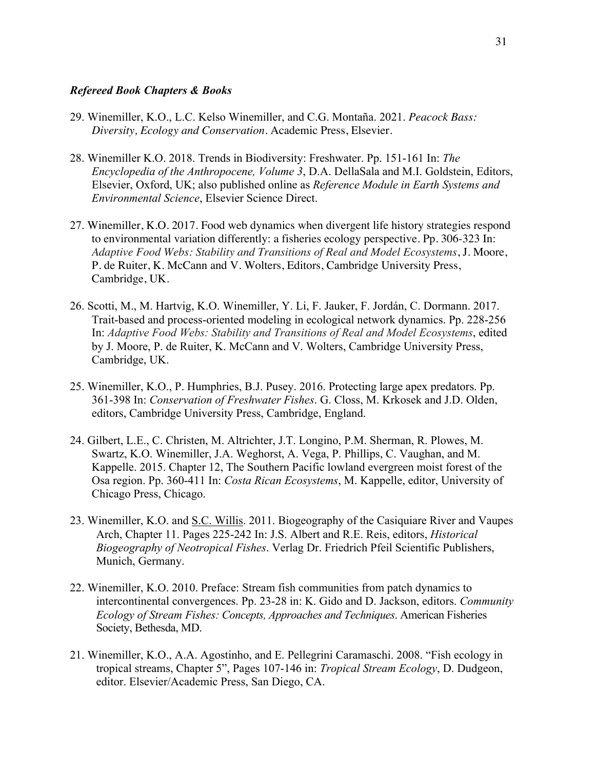# *Refereed Book Chapters & Books*

- 29. Winemiller, K.O., L.C. Kelso Winemiller, and C.G. Montaña. 2021. *Peacock Bass: Diversity, Ecology and Conservation*. Academic Press, Elsevier.
- 28. Winemiller K.O. 2018. Trends in Biodiversity: Freshwater. Pp. 151-161 In: *The Encyclopedia of the Anthropocene, Volume 3*, D.A. DellaSala and M.I. Goldstein, Editors, Elsevier, Oxford, UK; also published online as *Reference Module in Earth Systems and Environmental Science*, Elsevier Science Direct.
- 27. Winemiller, K.O. 2017. Food web dynamics when divergent life history strategies respond to environmental variation differently: a fisheries ecology perspective. Pp. 306-323 In: *Adaptive Food Webs: Stability and Transitions of Real and Model Ecosystems*, J. Moore, P. de Ruiter, K. McCann and V. Wolters, Editors, Cambridge University Press, Cambridge, UK.
- 26. Scotti, M., M. Hartvig, K.O. Winemiller, Y. Li, F. Jauker, F. Jordán, C. Dormann. 2017. Trait-based and process-oriented modeling in ecological network dynamics. Pp. 228-256 In: *Adaptive Food Webs: Stability and Transitions of Real and Model Ecosystems*, edited by J. Moore, P. de Ruiter, K. McCann and V. Wolters, Cambridge University Press, Cambridge, UK.
- 25. Winemiller, K.O., P. Humphries, B.J. Pusey. 2016. Protecting large apex predators. Pp. 361-398 In: *Conservation of Freshwater Fishes*. G. Closs, M. Krkosek and J.D. Olden, editors, Cambridge University Press, Cambridge, England.
- 24. Gilbert, L.E., C. Christen, M. Altrichter, J.T. Longino, P.M. Sherman, R. Plowes, M. Swartz, K.O. Winemiller, J.A. Weghorst, A. Vega, P. Phillips, C. Vaughan, and M. Kappelle. 2015. Chapter 12, The Southern Pacific lowland evergreen moist forest of the Osa region. Pp. 360-411 In: *Costa Rican Ecosystems*, M. Kappelle, editor, University of Chicago Press, Chicago.
- 23. Winemiller, K.O. and S.C. Willis. 2011. Biogeography of the Casiquiare River and Vaupes Arch, Chapter 11. Pages 225-242 In: J.S. Albert and R.E. Reis, editors, *Historical Biogeography of Neotropical Fishes*. Verlag Dr. Friedrich Pfeil Scientific Publishers, Munich, Germany.
- 22. Winemiller, K.O. 2010. Preface: Stream fish communities from patch dynamics to intercontinental convergences. Pp. 23-28 in: K. Gido and D. Jackson, editors. *Community Ecology of Stream Fishes: Concepts, Approaches and Techniques*. American Fisheries Society, Bethesda, MD.
- 21. Winemiller, K.O., A.A. Agostinho, and E. Pellegrini Caramaschi. 2008. "Fish ecology in tropical streams, Chapter 5", Pages 107-146 in: *Tropical Stream Ecology*, D. Dudgeon, editor. Elsevier/Academic Press, San Diego, CA.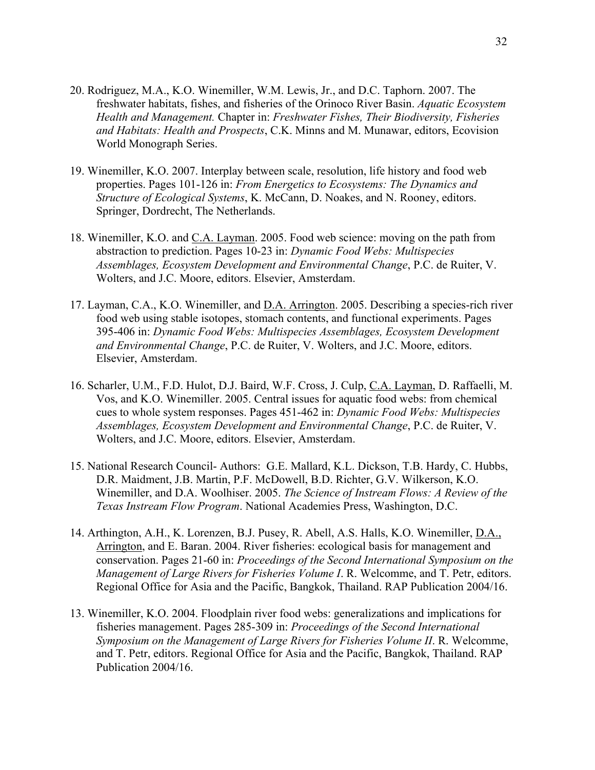- 20. Rodriguez, M.A., K.O. Winemiller, W.M. Lewis, Jr., and D.C. Taphorn. 2007. The freshwater habitats, fishes, and fisheries of the Orinoco River Basin. *Aquatic Ecosystem Health and Management.* Chapter in: *Freshwater Fishes, Their Biodiversity, Fisheries and Habitats: Health and Prospects*, C.K. Minns and M. Munawar, editors, Ecovision World Monograph Series.
- 19. Winemiller, K.O. 2007. Interplay between scale, resolution, life history and food web properties. Pages 101-126 in: *From Energetics to Ecosystems: The Dynamics and Structure of Ecological Systems*, K. McCann, D. Noakes, and N. Rooney, editors. Springer, Dordrecht, The Netherlands.
- 18. Winemiller, K.O. and C.A. Layman. 2005. Food web science: moving on the path from abstraction to prediction. Pages 10-23 in: *Dynamic Food Webs: Multispecies Assemblages, Ecosystem Development and Environmental Change*, P.C. de Ruiter, V. Wolters, and J.C. Moore, editors. Elsevier, Amsterdam.
- 17. Layman, C.A., K.O. Winemiller, and D.A. Arrington. 2005. Describing a species-rich river food web using stable isotopes, stomach contents, and functional experiments. Pages 395-406 in: *Dynamic Food Webs: Multispecies Assemblages, Ecosystem Development and Environmental Change*, P.C. de Ruiter, V. Wolters, and J.C. Moore, editors. Elsevier, Amsterdam.
- 16. Scharler, U.M., F.D. Hulot, D.J. Baird, W.F. Cross, J. Culp, C.A. Layman, D. Raffaelli, M. Vos, and K.O. Winemiller. 2005. Central issues for aquatic food webs: from chemical cues to whole system responses. Pages 451-462 in: *Dynamic Food Webs: Multispecies Assemblages, Ecosystem Development and Environmental Change*, P.C. de Ruiter, V. Wolters, and J.C. Moore, editors. Elsevier, Amsterdam.
- 15. National Research Council- Authors: G.E. Mallard, K.L. Dickson, T.B. Hardy, C. Hubbs, D.R. Maidment, J.B. Martin, P.F. McDowell, B.D. Richter, G.V. Wilkerson, K.O. Winemiller, and D.A. Woolhiser. 2005. *The Science of Instream Flows: A Review of the Texas Instream Flow Program*. National Academies Press, Washington, D.C.
- 14. Arthington, A.H., K. Lorenzen, B.J. Pusey, R. Abell, A.S. Halls, K.O. Winemiller, D.A., Arrington, and E. Baran. 2004. River fisheries: ecological basis for management and conservation. Pages 21-60 in: *Proceedings of the Second International Symposium on the Management of Large Rivers for Fisheries Volume I*. R. Welcomme, and T. Petr, editors. Regional Office for Asia and the Pacific, Bangkok, Thailand. RAP Publication 2004/16.
- 13. Winemiller, K.O. 2004. Floodplain river food webs: generalizations and implications for fisheries management. Pages 285-309 in: *Proceedings of the Second International Symposium on the Management of Large Rivers for Fisheries Volume II*. R. Welcomme, and T. Petr, editors. Regional Office for Asia and the Pacific, Bangkok, Thailand. RAP Publication 2004/16.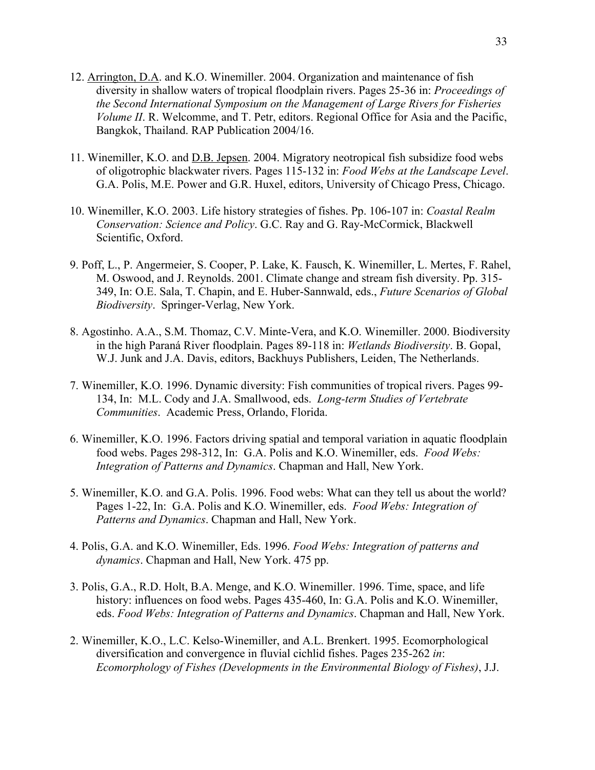- 12. Arrington, D.A. and K.O. Winemiller. 2004. Organization and maintenance of fish diversity in shallow waters of tropical floodplain rivers. Pages 25-36 in: *Proceedings of the Second International Symposium on the Management of Large Rivers for Fisheries Volume II*. R. Welcomme, and T. Petr, editors. Regional Office for Asia and the Pacific, Bangkok, Thailand. RAP Publication 2004/16.
- 11. Winemiller, K.O. and D.B. Jepsen. 2004. Migratory neotropical fish subsidize food webs of oligotrophic blackwater rivers. Pages 115-132 in: *Food Webs at the Landscape Level*. G.A. Polis, M.E. Power and G.R. Huxel, editors, University of Chicago Press, Chicago.
- 10. Winemiller, K.O. 2003. Life history strategies of fishes. Pp. 106-107 in: *Coastal Realm Conservation: Science and Policy*. G.C. Ray and G. Ray-McCormick, Blackwell Scientific, Oxford.
- 9. Poff, L., P. Angermeier, S. Cooper, P. Lake, K. Fausch, K. Winemiller, L. Mertes, F. Rahel, M. Oswood, and J. Reynolds. 2001. Climate change and stream fish diversity. Pp. 315- 349, In: O.E. Sala, T. Chapin, and E. Huber-Sannwald, eds., *Future Scenarios of Global Biodiversity*. Springer-Verlag, New York.
- 8. Agostinho. A.A., S.M. Thomaz, C.V. Minte-Vera, and K.O. Winemiller. 2000. Biodiversity in the high Paraná River floodplain. Pages 89-118 in: *Wetlands Biodiversity*. B. Gopal, W.J. Junk and J.A. Davis, editors, Backhuys Publishers, Leiden, The Netherlands.
- 7. Winemiller, K.O. 1996. Dynamic diversity: Fish communities of tropical rivers. Pages 99- 134, In: M.L. Cody and J.A. Smallwood, eds. *Long-term Studies of Vertebrate Communities*. Academic Press, Orlando, Florida.
- 6. Winemiller, K.O. 1996. Factors driving spatial and temporal variation in aquatic floodplain food webs. Pages 298-312, In: G.A. Polis and K.O. Winemiller, eds. *Food Webs: Integration of Patterns and Dynamics*. Chapman and Hall, New York.
- 5. Winemiller, K.O. and G.A. Polis. 1996. Food webs: What can they tell us about the world? Pages 1-22, In: G.A. Polis and K.O. Winemiller, eds. *Food Webs: Integration of Patterns and Dynamics*. Chapman and Hall, New York.
- 4. Polis, G.A. and K.O. Winemiller, Eds. 1996. *Food Webs: Integration of patterns and dynamics*. Chapman and Hall, New York. 475 pp.
- 3. Polis, G.A., R.D. Holt, B.A. Menge, and K.O. Winemiller. 1996. Time, space, and life history: influences on food webs. Pages 435-460, In: G.A. Polis and K.O. Winemiller, eds. *Food Webs: Integration of Patterns and Dynamics*. Chapman and Hall, New York.
- 2. Winemiller, K.O., L.C. Kelso-Winemiller, and A.L. Brenkert. 1995. Ecomorphological diversification and convergence in fluvial cichlid fishes. Pages 235-262 *in*: *Ecomorphology of Fishes (Developments in the Environmental Biology of Fishes)*, J.J.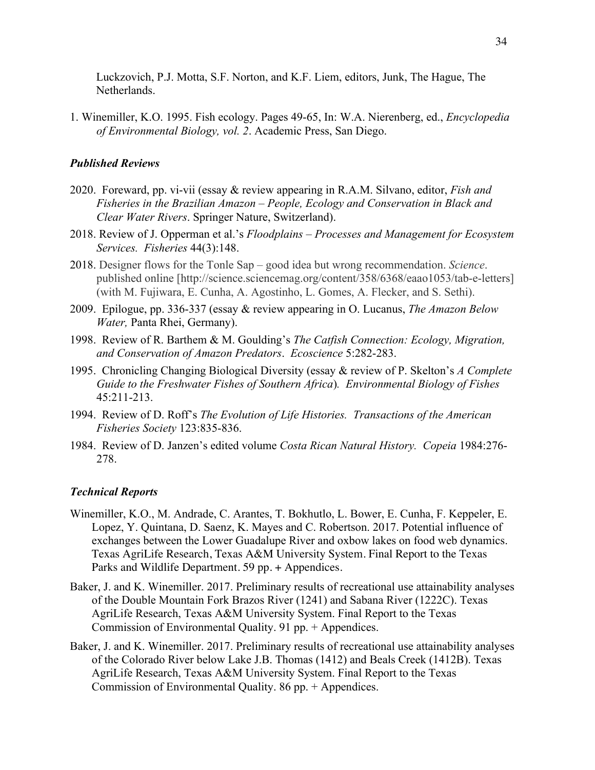Luckzovich, P.J. Motta, S.F. Norton, and K.F. Liem, editors, Junk, The Hague, The Netherlands.

1. Winemiller, K.O. 1995. Fish ecology. Pages 49-65, In: W.A. Nierenberg, ed., *Encyclopedia of Environmental Biology, vol. 2*. Academic Press, San Diego.

#### *Published Reviews*

- 2020. Foreward, pp. vi-vii (essay & review appearing in R.A.M. Silvano, editor, *Fish and Fisheries in the Brazilian Amazon – People, Ecology and Conservation in Black and Clear Water Rivers*. Springer Nature, Switzerland).
- 2018. Review of J. Opperman et al.'s *Floodplains – Processes and Management for Ecosystem Services. Fisheries* 44(3):148.
- 2018. Designer flows for the Tonle Sap good idea but wrong recommendation. *Science*. published online [http://science.sciencemag.org/content/358/6368/eaao1053/tab-e-letters] (with M. Fujiwara, E. Cunha, A. Agostinho, L. Gomes, A. Flecker, and S. Sethi).
- 2009. Epilogue, pp. 336-337 (essay & review appearing in O. Lucanus, *The Amazon Below Water,* Panta Rhei, Germany).
- 1998. Review of R. Barthem & M. Goulding's *The Catfish Connection: Ecology, Migration, and Conservation of Amazon Predators*. *Ecoscience* 5:282-283.
- 1995. Chronicling Changing Biological Diversity (essay & review of P. Skelton's *A Complete Guide to the Freshwater Fishes of Southern Africa*)*. Environmental Biology of Fishes* 45:211-213.
- 1994. Review of D. Roff's *The Evolution of Life Histories. Transactions of the American Fisheries Society* 123:835-836.
- 1984. Review of D. Janzen's edited volume *Costa Rican Natural History. Copeia* 1984:276- 278.

#### *Technical Reports*

- Winemiller, K.O., M. Andrade, C. Arantes, T. Bokhutlo, L. Bower, E. Cunha, F. Keppeler, E. Lopez, Y. Quintana, D. Saenz, K. Mayes and C. Robertson. 2017. Potential influence of exchanges between the Lower Guadalupe River and oxbow lakes on food web dynamics. Texas AgriLife Research, Texas A&M University System. Final Report to the Texas Parks and Wildlife Department. 59 pp. + Appendices.
- Baker, J. and K. Winemiller. 2017. Preliminary results of recreational use attainability analyses of the Double Mountain Fork Brazos River (1241) and Sabana River (1222C). Texas AgriLife Research, Texas A&M University System. Final Report to the Texas Commission of Environmental Quality. 91 pp. + Appendices.
- Baker, J. and K. Winemiller. 2017. Preliminary results of recreational use attainability analyses of the Colorado River below Lake J.B. Thomas (1412) and Beals Creek (1412B). Texas AgriLife Research, Texas A&M University System. Final Report to the Texas Commission of Environmental Quality. 86 pp. + Appendices.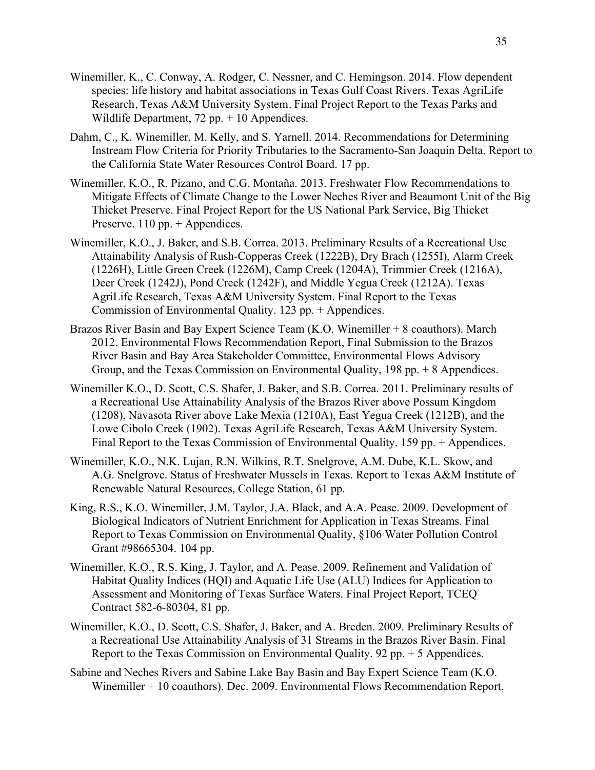- Winemiller, K., C. Conway, A. Rodger, C. Nessner, and C. Hemingson. 2014. Flow dependent species: life history and habitat associations in Texas Gulf Coast Rivers. Texas AgriLife Research, Texas A&M University System. Final Project Report to the Texas Parks and Wildlife Department,  $72$  pp.  $+10$  Appendices.
- Dahm, C., K. Winemiller, M. Kelly, and S. Yarnell. 2014. Recommendations for Determining Instream Flow Criteria for Priority Tributaries to the Sacramento-San Joaquin Delta. Report to the California State Water Resources Control Board. 17 pp.
- Winemiller, K.O., R. Pizano, and C.G. Montaña. 2013. Freshwater Flow Recommendations to Mitigate Effects of Climate Change to the Lower Neches River and Beaumont Unit of the Big Thicket Preserve. Final Project Report for the US National Park Service, Big Thicket Preserve. 110 pp. + Appendices.
- Winemiller, K.O., J. Baker, and S.B. Correa. 2013. Preliminary Results of a Recreational Use Attainability Analysis of Rush-Copperas Creek (1222B), Dry Brach (1255I), Alarm Creek (1226H), Little Green Creek (1226M), Camp Creek (1204A), Trimmier Creek (1216A), Deer Creek (1242J), Pond Creek (1242F), and Middle Yegua Creek (1212A). Texas AgriLife Research, Texas A&M University System. Final Report to the Texas Commission of Environmental Quality. 123 pp. + Appendices.
- Brazos River Basin and Bay Expert Science Team (K.O. Winemiller + 8 coauthors). March 2012. Environmental Flows Recommendation Report, Final Submission to the Brazos River Basin and Bay Area Stakeholder Committee, Environmental Flows Advisory Group, and the Texas Commission on Environmental Quality, 198 pp. + 8 Appendices.
- Winemiller K.O., D. Scott, C.S. Shafer, J. Baker, and S.B. Correa. 2011. Preliminary results of a Recreational Use Attainability Analysis of the Brazos River above Possum Kingdom (1208), Navasota River above Lake Mexia (1210A), East Yegua Creek (1212B), and the Lowe Cibolo Creek (1902). Texas AgriLife Research, Texas A&M University System. Final Report to the Texas Commission of Environmental Quality. 159 pp. + Appendices.
- Winemiller, K.O., N.K. Lujan, R.N. Wilkins, R.T. Snelgrove, A.M. Dube, K.L. Skow, and A.G. Snelgrove. Status of Freshwater Mussels in Texas. Report to Texas A&M Institute of Renewable Natural Resources, College Station, 61 pp.
- King, R.S., K.O. Winemiller, J.M. Taylor, J.A. Black, and A.A. Pease. 2009. Development of Biological Indicators of Nutrient Enrichment for Application in Texas Streams. Final Report to Texas Commission on Environmental Quality, §106 Water Pollution Control Grant #98665304. 104 pp.
- Winemiller, K.O., R.S. King, J. Taylor, and A. Pease. 2009. Refinement and Validation of Habitat Quality Indices (HQI) and Aquatic Life Use (ALU) Indices for Application to Assessment and Monitoring of Texas Surface Waters. Final Project Report, TCEQ Contract 582-6-80304, 81 pp.
- Winemiller, K.O., D. Scott, C.S. Shafer, J. Baker, and A. Breden. 2009. Preliminary Results of a Recreational Use Attainability Analysis of 31 Streams in the Brazos River Basin. Final Report to the Texas Commission on Environmental Quality. 92 pp. + 5 Appendices.
- Sabine and Neches Rivers and Sabine Lake Bay Basin and Bay Expert Science Team (K.O. Winemiller + 10 coauthors). Dec. 2009. Environmental Flows Recommendation Report,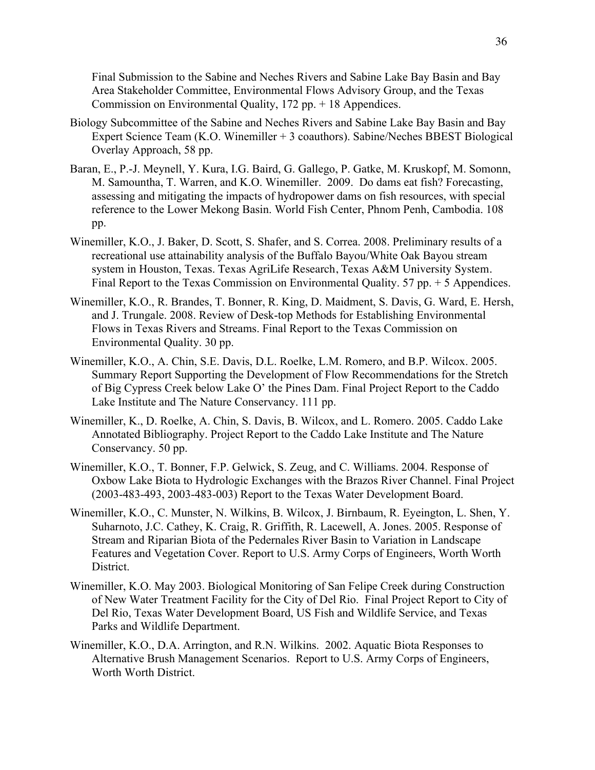Final Submission to the Sabine and Neches Rivers and Sabine Lake Bay Basin and Bay Area Stakeholder Committee, Environmental Flows Advisory Group, and the Texas Commission on Environmental Quality, 172 pp. + 18 Appendices.

- Biology Subcommittee of the Sabine and Neches Rivers and Sabine Lake Bay Basin and Bay Expert Science Team (K.O. Winemiller + 3 coauthors). Sabine/Neches BBEST Biological Overlay Approach, 58 pp.
- Baran, E., P.-J. Meynell, Y. Kura, I.G. Baird, G. Gallego, P. Gatke, M. Kruskopf, M. Somonn, M. Samountha, T. Warren, and K.O. Winemiller. 2009. Do dams eat fish? Forecasting, assessing and mitigating the impacts of hydropower dams on fish resources, with special reference to the Lower Mekong Basin. World Fish Center, Phnom Penh, Cambodia. 108 pp.
- Winemiller, K.O., J. Baker, D. Scott, S. Shafer, and S. Correa. 2008. Preliminary results of a recreational use attainability analysis of the Buffalo Bayou/White Oak Bayou stream system in Houston, Texas. Texas AgriLife Research, Texas A&M University System. Final Report to the Texas Commission on Environmental Quality. 57 pp. + 5 Appendices.
- Winemiller, K.O., R. Brandes, T. Bonner, R. King, D. Maidment, S. Davis, G. Ward, E. Hersh, and J. Trungale. 2008. Review of Desk-top Methods for Establishing Environmental Flows in Texas Rivers and Streams. Final Report to the Texas Commission on Environmental Quality. 30 pp.
- Winemiller, K.O., A. Chin, S.E. Davis, D.L. Roelke, L.M. Romero, and B.P. Wilcox. 2005. Summary Report Supporting the Development of Flow Recommendations for the Stretch of Big Cypress Creek below Lake O' the Pines Dam. Final Project Report to the Caddo Lake Institute and The Nature Conservancy. 111 pp.
- Winemiller, K., D. Roelke, A. Chin, S. Davis, B. Wilcox, and L. Romero. 2005. Caddo Lake Annotated Bibliography. Project Report to the Caddo Lake Institute and The Nature Conservancy. 50 pp.
- Winemiller, K.O., T. Bonner, F.P. Gelwick, S. Zeug, and C. Williams. 2004. Response of Oxbow Lake Biota to Hydrologic Exchanges with the Brazos River Channel. Final Project (2003-483-493, 2003-483-003) Report to the Texas Water Development Board.
- Winemiller, K.O., C. Munster, N. Wilkins, B. Wilcox, J. Birnbaum, R. Eyeington, L. Shen, Y. Suharnoto, J.C. Cathey, K. Craig, R. Griffith, R. Lacewell, A. Jones. 2005. Response of Stream and Riparian Biota of the Pedernales River Basin to Variation in Landscape Features and Vegetation Cover. Report to U.S. Army Corps of Engineers, Worth Worth District.
- Winemiller, K.O. May 2003. Biological Monitoring of San Felipe Creek during Construction of New Water Treatment Facility for the City of Del Rio. Final Project Report to City of Del Rio, Texas Water Development Board, US Fish and Wildlife Service, and Texas Parks and Wildlife Department.
- Winemiller, K.O., D.A. Arrington, and R.N. Wilkins. 2002. Aquatic Biota Responses to Alternative Brush Management Scenarios. Report to U.S. Army Corps of Engineers, Worth Worth District.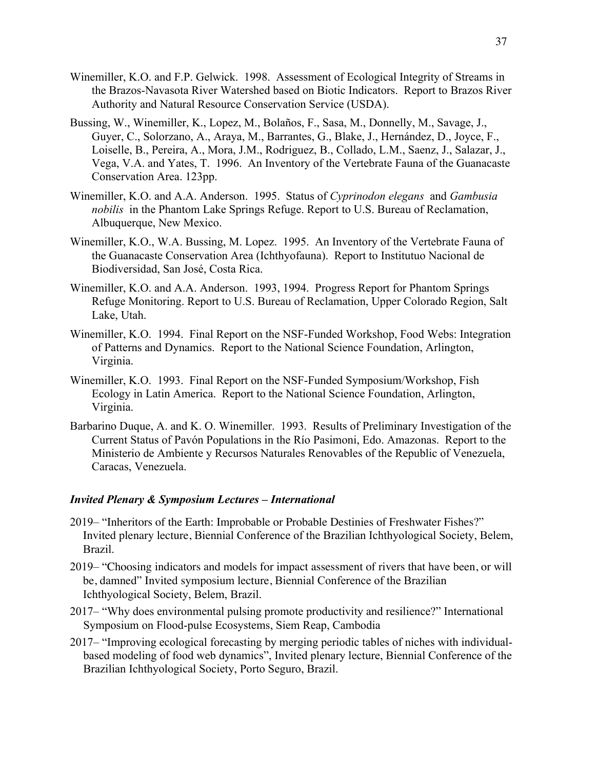- Winemiller, K.O. and F.P. Gelwick. 1998. Assessment of Ecological Integrity of Streams in the Brazos-Navasota River Watershed based on Biotic Indicators. Report to Brazos River Authority and Natural Resource Conservation Service (USDA).
- Bussing, W., Winemiller, K., Lopez, M., Bolaños, F., Sasa, M., Donnelly, M., Savage, J., Guyer, C., Solorzano, A., Araya, M., Barrantes, G., Blake, J., Hernández, D., Joyce, F., Loiselle, B., Pereira, A., Mora, J.M., Rodriguez, B., Collado, L.M., Saenz, J., Salazar, J., Vega, V.A. and Yates, T. 1996. An Inventory of the Vertebrate Fauna of the Guanacaste Conservation Area. 123pp.
- Winemiller, K.O. and A.A. Anderson. 1995. Status of *Cyprinodon elegans* and *Gambusia nobilis* in the Phantom Lake Springs Refuge. Report to U.S. Bureau of Reclamation, Albuquerque, New Mexico.
- Winemiller, K.O., W.A. Bussing, M. Lopez. 1995. An Inventory of the Vertebrate Fauna of the Guanacaste Conservation Area (Ichthyofauna). Report to Institutuo Nacional de Biodiversidad, San José, Costa Rica.
- Winemiller, K.O. and A.A. Anderson. 1993, 1994. Progress Report for Phantom Springs Refuge Monitoring. Report to U.S. Bureau of Reclamation, Upper Colorado Region, Salt Lake, Utah.
- Winemiller, K.O. 1994. Final Report on the NSF-Funded Workshop, Food Webs: Integration of Patterns and Dynamics. Report to the National Science Foundation, Arlington, Virginia.
- Winemiller, K.O. 1993. Final Report on the NSF-Funded Symposium/Workshop, Fish Ecology in Latin America. Report to the National Science Foundation, Arlington, Virginia.
- Barbarino Duque, A. and K. O. Winemiller. 1993. Results of Preliminary Investigation of the Current Status of Pavón Populations in the Río Pasimoni, Edo. Amazonas. Report to the Ministerio de Ambiente y Recursos Naturales Renovables of the Republic of Venezuela, Caracas, Venezuela.

## *Invited Plenary & Symposium Lectures – International*

- 2019– "Inheritors of the Earth: Improbable or Probable Destinies of Freshwater Fishes?" Invited plenary lecture, Biennial Conference of the Brazilian Ichthyological Society, Belem, Brazil.
- 2019– "Choosing indicators and models for impact assessment of rivers that have been, or will be, damned" Invited symposium lecture, Biennial Conference of the Brazilian Ichthyological Society, Belem, Brazil.
- 2017– "Why does environmental pulsing promote productivity and resilience?" International Symposium on Flood-pulse Ecosystems, Siem Reap, Cambodia
- 2017– "Improving ecological forecasting by merging periodic tables of niches with individualbased modeling of food web dynamics", Invited plenary lecture, Biennial Conference of the Brazilian Ichthyological Society, Porto Seguro, Brazil.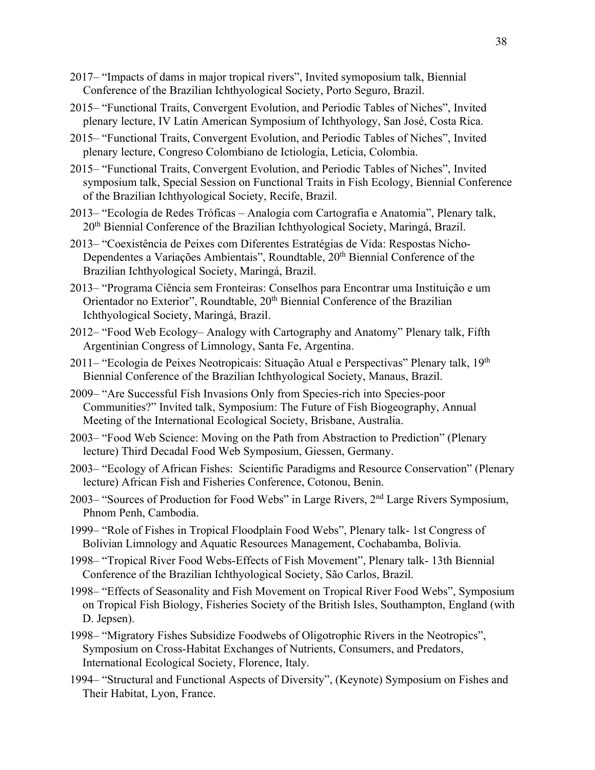- 2017– "Impacts of dams in major tropical rivers", Invited symoposium talk, Biennial Conference of the Brazilian Ichthyological Society, Porto Seguro, Brazil.
- 2015– "Functional Traits, Convergent Evolution, and Periodic Tables of Niches", Invited plenary lecture, IV Latin American Symposium of Ichthyology, San José, Costa Rica.
- 2015– "Functional Traits, Convergent Evolution, and Periodic Tables of Niches", Invited plenary lecture, Congreso Colombiano de Ictiología, Leticia, Colombia.
- 2015– "Functional Traits, Convergent Evolution, and Periodic Tables of Niches", Invited symposium talk, Special Session on Functional Traits in Fish Ecology, Biennial Conference of the Brazilian Ichthyological Society, Recife, Brazil.
- 2013– "Ecologia de Redes Tróficas Analogia com Cartografia e Anatomia", Plenary talk, 20th Biennial Conference of the Brazilian Ichthyological Society, Maringá, Brazil.
- 2013– "Coexistência de Peixes com Diferentes Estratégias de Vida: Respostas Nicho-Dependentes a Variações Ambientais", Roundtable, 20<sup>th</sup> Biennial Conference of the Brazilian Ichthyological Society, Maringá, Brazil.
- 2013– "Programa Ciência sem Fronteiras: Conselhos para Encontrar uma Instituição e um Orientador no Exterior", Roundtable, 20<sup>th</sup> Biennial Conference of the Brazilian Ichthyological Society, Maringá, Brazil.
- 2012– "Food Web Ecology– Analogy with Cartography and Anatomy" Plenary talk, Fifth Argentinian Congress of Limnology, Santa Fe, Argentina.
- 2011– "Ecologia de Peixes Neotropicais: Situação Atual e Perspectivas" Plenary talk, 19th Biennial Conference of the Brazilian Ichthyological Society, Manaus, Brazil.
- 2009– "Are Successful Fish Invasions Only from Species-rich into Species-poor Communities?" Invited talk, Symposium: The Future of Fish Biogeography, Annual Meeting of the International Ecological Society, Brisbane, Australia.
- 2003– "Food Web Science: Moving on the Path from Abstraction to Prediction" (Plenary lecture) Third Decadal Food Web Symposium, Giessen, Germany.
- 2003– "Ecology of African Fishes: Scientific Paradigms and Resource Conservation" (Plenary lecture) African Fish and Fisheries Conference, Cotonou, Benin.
- 2003– "Sources of Production for Food Webs" in Large Rivers, 2nd Large Rivers Symposium, Phnom Penh, Cambodia.
- 1999– "Role of Fishes in Tropical Floodplain Food Webs", Plenary talk- 1st Congress of Bolivian Limnology and Aquatic Resources Management, Cochabamba, Bolivia.
- 1998– "Tropical River Food Webs-Effects of Fish Movement", Plenary talk- 13th Biennial Conference of the Brazilian Ichthyological Society, São Carlos, Brazil.
- 1998– "Effects of Seasonality and Fish Movement on Tropical River Food Webs", Symposium on Tropical Fish Biology, Fisheries Society of the British Isles, Southampton, England (with D. Jepsen).
- 1998– "Migratory Fishes Subsidize Foodwebs of Oligotrophic Rivers in the Neotropics", Symposium on Cross-Habitat Exchanges of Nutrients, Consumers, and Predators, International Ecological Society, Florence, Italy.
- 1994– "Structural and Functional Aspects of Diversity", (Keynote) Symposium on Fishes and Their Habitat, Lyon, France.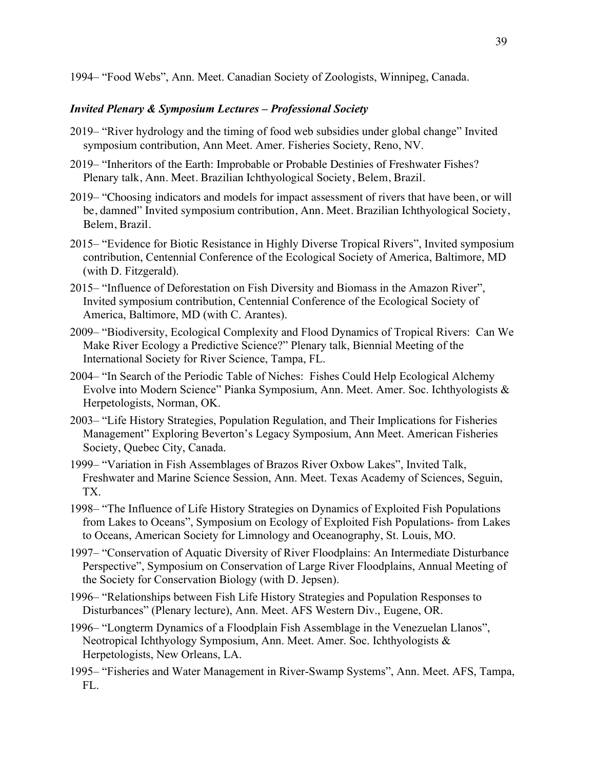1994– "Food Webs", Ann. Meet. Canadian Society of Zoologists, Winnipeg, Canada.

# *Invited Plenary & Symposium Lectures – Professional Society*

- 2019– "River hydrology and the timing of food web subsidies under global change" Invited symposium contribution, Ann Meet. Amer. Fisheries Society, Reno, NV.
- 2019– "Inheritors of the Earth: Improbable or Probable Destinies of Freshwater Fishes? Plenary talk, Ann. Meet. Brazilian Ichthyological Society, Belem, Brazil.
- 2019– "Choosing indicators and models for impact assessment of rivers that have been, or will be, damned" Invited symposium contribution, Ann. Meet. Brazilian Ichthyological Society, Belem, Brazil.
- 2015– "Evidence for Biotic Resistance in Highly Diverse Tropical Rivers", Invited symposium contribution, Centennial Conference of the Ecological Society of America, Baltimore, MD (with D. Fitzgerald).
- 2015– "Influence of Deforestation on Fish Diversity and Biomass in the Amazon River", Invited symposium contribution, Centennial Conference of the Ecological Society of America, Baltimore, MD (with C. Arantes).
- 2009– "Biodiversity, Ecological Complexity and Flood Dynamics of Tropical Rivers: Can We Make River Ecology a Predictive Science?" Plenary talk, Biennial Meeting of the International Society for River Science, Tampa, FL.
- 2004– "In Search of the Periodic Table of Niches: Fishes Could Help Ecological Alchemy Evolve into Modern Science" Pianka Symposium, Ann. Meet. Amer. Soc. Ichthyologists & Herpetologists, Norman, OK.
- 2003– "Life History Strategies, Population Regulation, and Their Implications for Fisheries Management" Exploring Beverton's Legacy Symposium, Ann Meet. American Fisheries Society, Quebec City, Canada.
- 1999– "Variation in Fish Assemblages of Brazos River Oxbow Lakes", Invited Talk, Freshwater and Marine Science Session, Ann. Meet. Texas Academy of Sciences, Seguin, TX.
- 1998– "The Influence of Life History Strategies on Dynamics of Exploited Fish Populations from Lakes to Oceans", Symposium on Ecology of Exploited Fish Populations- from Lakes to Oceans, American Society for Limnology and Oceanography, St. Louis, MO.
- 1997– "Conservation of Aquatic Diversity of River Floodplains: An Intermediate Disturbance Perspective", Symposium on Conservation of Large River Floodplains, Annual Meeting of the Society for Conservation Biology (with D. Jepsen).
- 1996– "Relationships between Fish Life History Strategies and Population Responses to Disturbances" (Plenary lecture), Ann. Meet. AFS Western Div., Eugene, OR.
- 1996– "Longterm Dynamics of a Floodplain Fish Assemblage in the Venezuelan Llanos", Neotropical Ichthyology Symposium, Ann. Meet. Amer. Soc. Ichthyologists & Herpetologists, New Orleans, LA.
- 1995– "Fisheries and Water Management in River-Swamp Systems", Ann. Meet. AFS, Tampa, FL.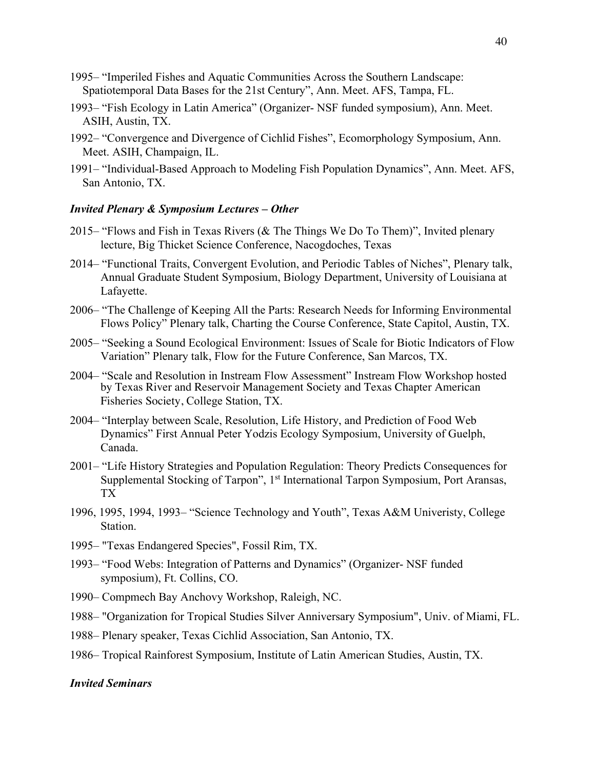- 1995– "Imperiled Fishes and Aquatic Communities Across the Southern Landscape: Spatiotemporal Data Bases for the 21st Century", Ann. Meet. AFS, Tampa, FL.
- 1993– "Fish Ecology in Latin America" (Organizer- NSF funded symposium), Ann. Meet. ASIH, Austin, TX.
- 1992– "Convergence and Divergence of Cichlid Fishes", Ecomorphology Symposium, Ann. Meet. ASIH, Champaign, IL.
- 1991– "Individual-Based Approach to Modeling Fish Population Dynamics", Ann. Meet. AFS, San Antonio, TX.

## *Invited Plenary & Symposium Lectures – Other*

- 2015– "Flows and Fish in Texas Rivers (& The Things We Do To Them)", Invited plenary lecture, Big Thicket Science Conference, Nacogdoches, Texas
- 2014– "Functional Traits, Convergent Evolution, and Periodic Tables of Niches", Plenary talk, Annual Graduate Student Symposium, Biology Department, University of Louisiana at Lafayette.
- 2006– "The Challenge of Keeping All the Parts: Research Needs for Informing Environmental Flows Policy" Plenary talk, Charting the Course Conference, State Capitol, Austin, TX.
- 2005– "Seeking a Sound Ecological Environment: Issues of Scale for Biotic Indicators of Flow Variation" Plenary talk, Flow for the Future Conference, San Marcos, TX.
- 2004– "Scale and Resolution in Instream Flow Assessment" Instream Flow Workshop hosted by Texas River and Reservoir Management Society and Texas Chapter American Fisheries Society, College Station, TX.
- 2004– "Interplay between Scale, Resolution, Life History, and Prediction of Food Web Dynamics" First Annual Peter Yodzis Ecology Symposium, University of Guelph, Canada.
- 2001– "Life History Strategies and Population Regulation: Theory Predicts Consequences for Supplemental Stocking of Tarpon", 1<sup>st</sup> International Tarpon Symposium, Port Aransas, TX
- 1996, 1995, 1994, 1993– "Science Technology and Youth", Texas A&M Univeristy, College Station.
- 1995– "Texas Endangered Species", Fossil Rim, TX.
- 1993– "Food Webs: Integration of Patterns and Dynamics" (Organizer- NSF funded symposium), Ft. Collins, CO.
- 1990– Compmech Bay Anchovy Workshop, Raleigh, NC.
- 1988– "Organization for Tropical Studies Silver Anniversary Symposium", Univ. of Miami, FL.
- 1988– Plenary speaker, Texas Cichlid Association, San Antonio, TX.
- 1986– Tropical Rainforest Symposium, Institute of Latin American Studies, Austin, TX.

#### *Invited Seminars*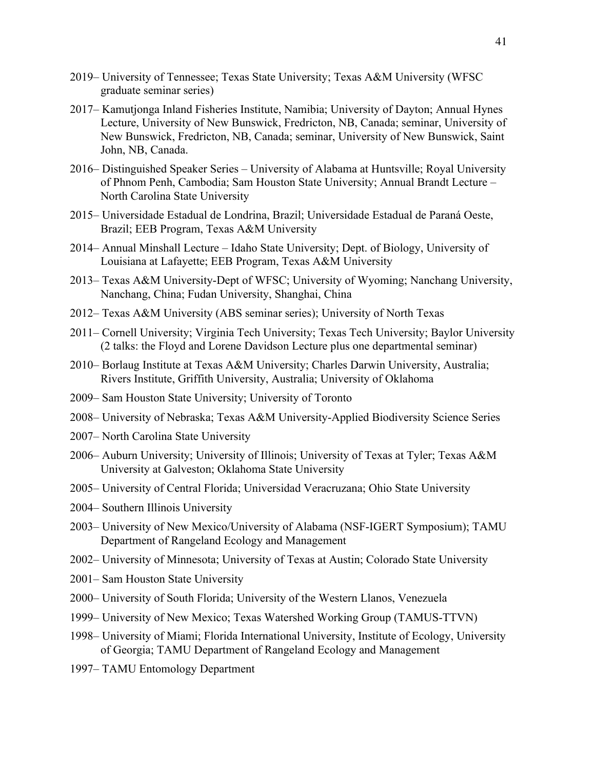- 2019– University of Tennessee; Texas State University; Texas A&M University (WFSC graduate seminar series)
- 2017– Kamutjonga Inland Fisheries Institute, Namibia; University of Dayton; Annual Hynes Lecture, University of New Bunswick, Fredricton, NB, Canada; seminar, University of New Bunswick, Fredricton, NB, Canada; seminar, University of New Bunswick, Saint John, NB, Canada.
- 2016– Distinguished Speaker Series University of Alabama at Huntsville; Royal University of Phnom Penh, Cambodia; Sam Houston State University; Annual Brandt Lecture – North Carolina State University
- 2015– Universidade Estadual de Londrina, Brazil; Universidade Estadual de Paraná Oeste, Brazil; EEB Program, Texas A&M University
- 2014– Annual Minshall Lecture Idaho State University; Dept. of Biology, University of Louisiana at Lafayette; EEB Program, Texas A&M University
- 2013– Texas A&M University-Dept of WFSC; University of Wyoming; Nanchang University, Nanchang, China; Fudan University, Shanghai, China
- 2012– Texas A&M University (ABS seminar series); University of North Texas
- 2011– Cornell University; Virginia Tech University; Texas Tech University; Baylor University (2 talks: the Floyd and Lorene Davidson Lecture plus one departmental seminar)
- 2010– Borlaug Institute at Texas A&M University; Charles Darwin University, Australia; Rivers Institute, Griffith University, Australia; University of Oklahoma
- 2009– Sam Houston State University; University of Toronto
- 2008– University of Nebraska; Texas A&M University-Applied Biodiversity Science Series
- 2007– North Carolina State University
- 2006– Auburn University; University of Illinois; University of Texas at Tyler; Texas A&M University at Galveston; Oklahoma State University
- 2005– University of Central Florida; Universidad Veracruzana; Ohio State University
- 2004– Southern Illinois University
- 2003– University of New Mexico/University of Alabama (NSF-IGERT Symposium); TAMU Department of Rangeland Ecology and Management
- 2002– University of Minnesota; University of Texas at Austin; Colorado State University
- 2001– Sam Houston State University
- 2000– University of South Florida; University of the Western Llanos, Venezuela
- 1999– University of New Mexico; Texas Watershed Working Group (TAMUS-TTVN)
- 1998– University of Miami; Florida International University, Institute of Ecology, University of Georgia; TAMU Department of Rangeland Ecology and Management
- 1997– TAMU Entomology Department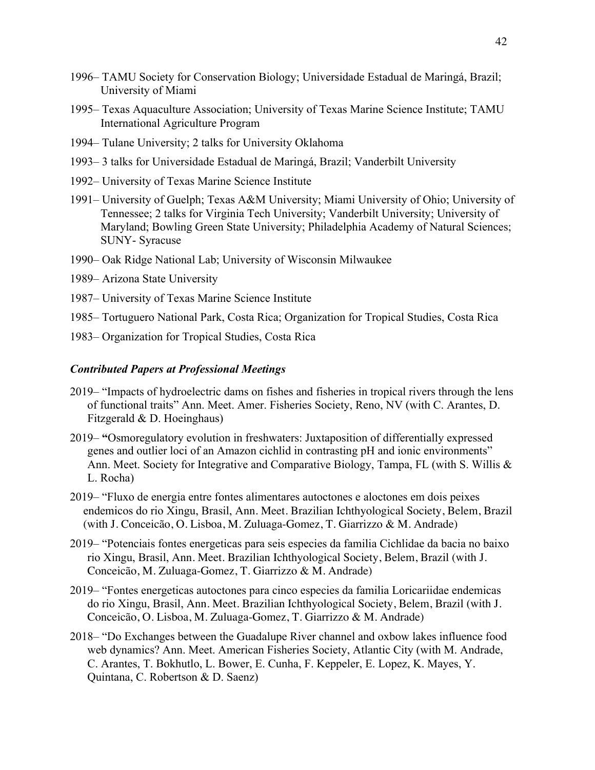- 1996– TAMU Society for Conservation Biology; Universidade Estadual de Maringá, Brazil; University of Miami
- 1995– Texas Aquaculture Association; University of Texas Marine Science Institute; TAMU International Agriculture Program
- 1994– Tulane University; 2 talks for University Oklahoma
- 1993– 3 talks for Universidade Estadual de Maringá, Brazil; Vanderbilt University
- 1992– University of Texas Marine Science Institute
- 1991– University of Guelph; Texas A&M University; Miami University of Ohio; University of Tennessee; 2 talks for Virginia Tech University; Vanderbilt University; University of Maryland; Bowling Green State University; Philadelphia Academy of Natural Sciences; SUNY- Syracuse
- 1990– Oak Ridge National Lab; University of Wisconsin Milwaukee
- 1989– Arizona State University
- 1987– University of Texas Marine Science Institute
- 1985– Tortuguero National Park, Costa Rica; Organization for Tropical Studies, Costa Rica
- 1983– Organization for Tropical Studies, Costa Rica

#### *Contributed Papers at Professional Meetings*

- 2019– "Impacts of hydroelectric dams on fishes and fisheries in tropical rivers through the lens of functional traits" Ann. Meet. Amer. Fisheries Society, Reno, NV (with C. Arantes, D. Fitzgerald & D. Hoeinghaus)
- 2019– **"**Osmoregulatory evolution in freshwaters: Juxtaposition of differentially expressed genes and outlier loci of an Amazon cichlid in contrasting pH and ionic environments" Ann. Meet. Society for Integrative and Comparative Biology, Tampa, FL (with S. Willis & L. Rocha)
- 2019– "Fluxo de energia entre fontes alimentares autoctones e aloctones em dois peixes endemicos do rio Xingu, Brasil, Ann. Meet. Brazilian Ichthyological Society, Belem, Brazil (with J. Conceicão, O. Lisboa, M. Zuluaga-Gomez, T. Giarrizzo & M. Andrade)
- 2019– "Potenciais fontes energeticas para seis especies da familia Cichlidae da bacia no baixo rio Xingu, Brasil, Ann. Meet. Brazilian Ichthyological Society, Belem, Brazil (with J. Conceicão, M. Zuluaga-Gomez, T. Giarrizzo & M. Andrade)
- 2019– "Fontes energeticas autoctones para cinco especies da familia Loricariidae endemicas do rio Xingu, Brasil, Ann. Meet. Brazilian Ichthyological Society, Belem, Brazil (with J. Conceicão, O. Lisboa, M. Zuluaga-Gomez, T. Giarrizzo & M. Andrade)
- 2018– "Do Exchanges between the Guadalupe River channel and oxbow lakes influence food web dynamics? Ann. Meet. American Fisheries Society, Atlantic City (with M. Andrade, C. Arantes, T. Bokhutlo, L. Bower, E. Cunha, F. Keppeler, E. Lopez, K. Mayes, Y. Quintana, C. Robertson & D. Saenz)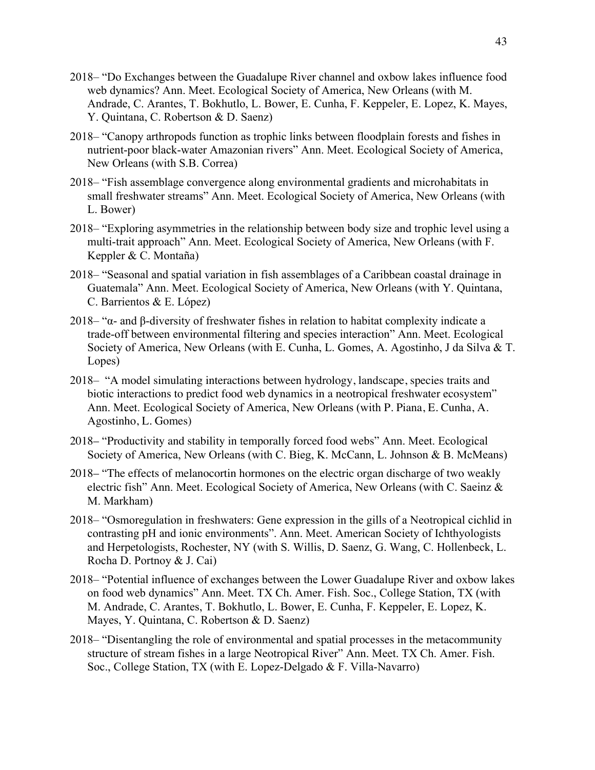- 2018– "Do Exchanges between the Guadalupe River channel and oxbow lakes influence food web dynamics? Ann. Meet. Ecological Society of America, New Orleans (with M. Andrade, C. Arantes, T. Bokhutlo, L. Bower, E. Cunha, F. Keppeler, E. Lopez, K. Mayes, Y. Quintana, C. Robertson & D. Saenz)
- 2018– "Canopy arthropods function as trophic links between floodplain forests and fishes in nutrient-poor black-water Amazonian rivers" Ann. Meet. Ecological Society of America, New Orleans (with S.B. Correa)
- 2018– "Fish assemblage convergence along environmental gradients and microhabitats in small freshwater streams" Ann. Meet. Ecological Society of America, New Orleans (with L. Bower)
- 2018– "Exploring asymmetries in the relationship between body size and trophic level using a multi-trait approach" Ann. Meet. Ecological Society of America, New Orleans (with F. Keppler & C. Montaña)
- 2018– "Seasonal and spatial variation in fish assemblages of a Caribbean coastal drainage in Guatemala" Ann. Meet. Ecological Society of America, New Orleans (with Y. Quintana, C. Barrientos & E. López)
- 2018– "α- and β-diversity of freshwater fishes in relation to habitat complexity indicate a trade-off between environmental filtering and species interaction" Ann. Meet. Ecological Society of America, New Orleans (with E. Cunha, L. Gomes, A. Agostinho, J da Silva & T. Lopes)
- 2018– "A model simulating interactions between hydrology, landscape, species traits and biotic interactions to predict food web dynamics in a neotropical freshwater ecosystem" Ann. Meet. Ecological Society of America, New Orleans (with P. Piana, E. Cunha, A. Agostinho, L. Gomes)
- 2018– "Productivity and stability in temporally forced food webs" Ann. Meet. Ecological Society of America, New Orleans (with C. Bieg, K. McCann, L. Johnson & B. McMeans)
- 2018– "The effects of melanocortin hormones on the electric organ discharge of two weakly electric fish" Ann. Meet. Ecological Society of America, New Orleans (with C. Saeinz  $\&$ M. Markham)
- 2018– "Osmoregulation in freshwaters: Gene expression in the gills of a Neotropical cichlid in contrasting pH and ionic environments". Ann. Meet. American Society of Ichthyologists and Herpetologists, Rochester, NY (with S. Willis, D. Saenz, G. Wang, C. Hollenbeck, L. Rocha D. Portnoy & J. Cai)
- 2018– "Potential influence of exchanges between the Lower Guadalupe River and oxbow lakes on food web dynamics" Ann. Meet. TX Ch. Amer. Fish. Soc., College Station, TX (with M. Andrade, C. Arantes, T. Bokhutlo, L. Bower, E. Cunha, F. Keppeler, E. Lopez, K. Mayes, Y. Quintana, C. Robertson & D. Saenz)
- 2018– "Disentangling the role of environmental and spatial processes in the metacommunity structure of stream fishes in a large Neotropical River" Ann. Meet. TX Ch. Amer. Fish. Soc., College Station, TX (with E. Lopez-Delgado & F. Villa-Navarro)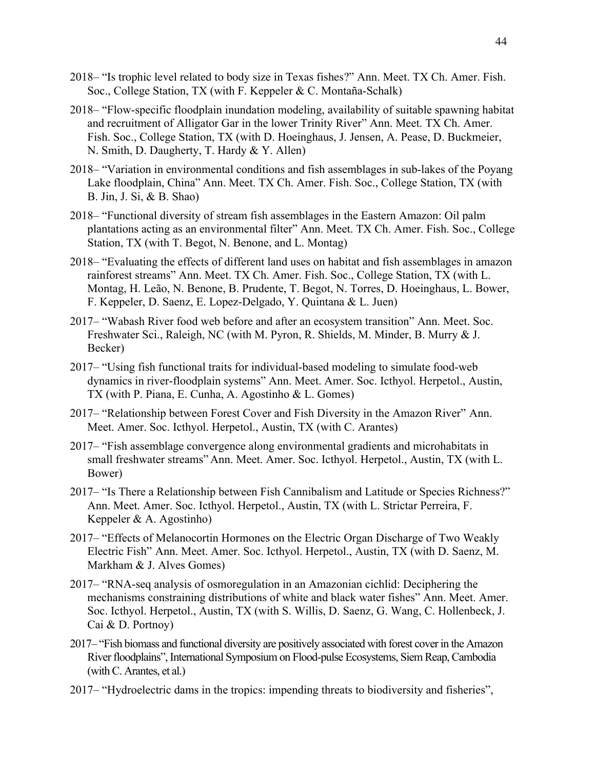- 2018– "Is trophic level related to body size in Texas fishes?" Ann. Meet. TX Ch. Amer. Fish. Soc., College Station, TX (with F. Keppeler & C. Montaña-Schalk)
- 2018– "Flow-specific floodplain inundation modeling, availability of suitable spawning habitat and recruitment of Alligator Gar in the lower Trinity River" Ann. Meet. TX Ch. Amer. Fish. Soc., College Station, TX (with D. Hoeinghaus, J. Jensen, A. Pease, D. Buckmeier, N. Smith, D. Daugherty, T. Hardy & Y. Allen)
- 2018– "Variation in environmental conditions and fish assemblages in sub-lakes of the Poyang Lake floodplain, China" Ann. Meet. TX Ch. Amer. Fish. Soc., College Station, TX (with B. Jin, J. Si, & B. Shao)
- 2018– "Functional diversity of stream fish assemblages in the Eastern Amazon: Oil palm plantations acting as an environmental filter" Ann. Meet. TX Ch. Amer. Fish. Soc., College Station, TX (with T. Begot, N. Benone, and L. Montag)
- 2018– "Evaluating the effects of different land uses on habitat and fish assemblages in amazon rainforest streams" Ann. Meet. TX Ch. Amer. Fish. Soc., College Station, TX (with L. Montag, H. Leão, N. Benone, B. Prudente, T. Begot, N. Torres, D. Hoeinghaus, L. Bower, F. Keppeler, D. Saenz, E. Lopez-Delgado, Y. Quintana & L. Juen)
- 2017– "Wabash River food web before and after an ecosystem transition" Ann. Meet. Soc. Freshwater Sci., Raleigh, NC (with M. Pyron, R. Shields, M. Minder, B. Murry & J. Becker)
- 2017– "Using fish functional traits for individual-based modeling to simulate food-web dynamics in river-floodplain systems" Ann. Meet. Amer. Soc. Icthyol. Herpetol., Austin, TX (with P. Piana, E. Cunha, A. Agostinho & L. Gomes)
- 2017– "Relationship between Forest Cover and Fish Diversity in the Amazon River" Ann. Meet. Amer. Soc. Icthyol. Herpetol., Austin, TX (with C. Arantes)
- 2017– "Fish assemblage convergence along environmental gradients and microhabitats in small freshwater streams" Ann. Meet. Amer. Soc. Icthyol. Herpetol., Austin, TX (with L. Bower)
- 2017– "Is There a Relationship between Fish Cannibalism and Latitude or Species Richness?" Ann. Meet. Amer. Soc. Icthyol. Herpetol., Austin, TX (with L. Strictar Perreira, F. Keppeler & A. Agostinho)
- 2017– "Effects of Melanocortin Hormones on the Electric Organ Discharge of Two Weakly Electric Fish" Ann. Meet. Amer. Soc. Icthyol. Herpetol., Austin, TX (with D. Saenz, M. Markham & J. Alves Gomes)
- 2017– "RNA-seq analysis of osmoregulation in an Amazonian cichlid: Deciphering the mechanisms constraining distributions of white and black water fishes" Ann. Meet. Amer. Soc. Icthyol. Herpetol., Austin, TX (with S. Willis, D. Saenz, G. Wang, C. Hollenbeck, J. Cai & D. Portnoy)
- 2017– "Fish biomass and functional diversity are positively associated with forest cover in the Amazon River floodplains", International Symposium on Flood-pulse Ecosystems, Siem Reap, Cambodia (with C. Arantes, et al.)
- 2017– "Hydroelectric dams in the tropics: impending threats to biodiversity and fisheries",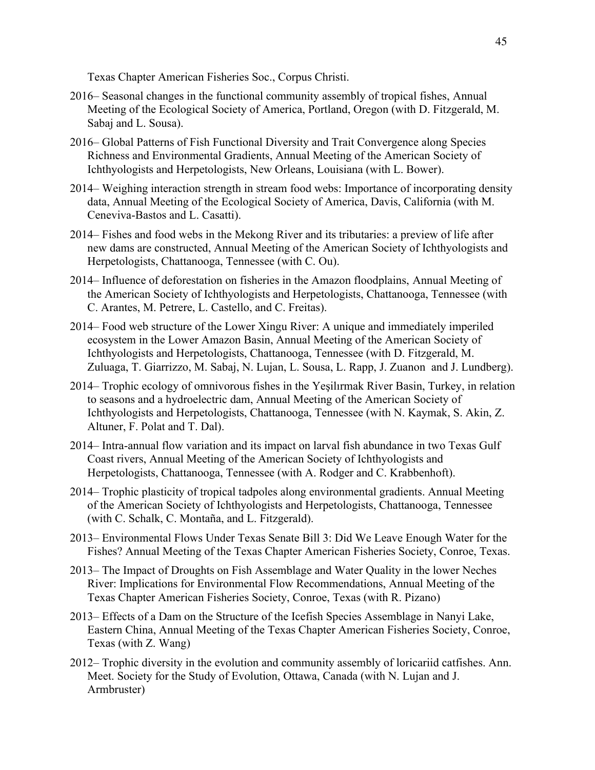Texas Chapter American Fisheries Soc., Corpus Christi.

- 2016– Seasonal changes in the functional community assembly of tropical fishes, Annual Meeting of the Ecological Society of America, Portland, Oregon (with D. Fitzgerald, M. Sabaj and L. Sousa).
- 2016– Global Patterns of Fish Functional Diversity and Trait Convergence along Species Richness and Environmental Gradients, Annual Meeting of the American Society of Ichthyologists and Herpetologists, New Orleans, Louisiana (with L. Bower).
- 2014– Weighing interaction strength in stream food webs: Importance of incorporating density data, Annual Meeting of the Ecological Society of America, Davis, California (with M. Ceneviva-Bastos and L. Casatti).
- 2014– Fishes and food webs in the Mekong River and its tributaries: a preview of life after new dams are constructed, Annual Meeting of the American Society of Ichthyologists and Herpetologists, Chattanooga, Tennessee (with C. Ou).
- 2014– Influence of deforestation on fisheries in the Amazon floodplains, Annual Meeting of the American Society of Ichthyologists and Herpetologists, Chattanooga, Tennessee (with C. Arantes, M. Petrere, L. Castello, and C. Freitas).
- 2014– Food web structure of the Lower Xingu River: A unique and immediately imperiled ecosystem in the Lower Amazon Basin, Annual Meeting of the American Society of Ichthyologists and Herpetologists, Chattanooga, Tennessee (with D. Fitzgerald, M. Zuluaga, T. Giarrizzo, M. Sabaj, N. Lujan, L. Sousa, L. Rapp, J. Zuanon and J. Lundberg).
- 2014– Trophic ecology of omnivorous fishes in the Yeşilırmak River Basin, Turkey, in relation to seasons and a hydroelectric dam, Annual Meeting of the American Society of Ichthyologists and Herpetologists, Chattanooga, Tennessee (with N. Kaymak, S. Akin, Z. Altuner, F. Polat and T. Dal).
- 2014– Intra-annual flow variation and its impact on larval fish abundance in two Texas Gulf Coast rivers, Annual Meeting of the American Society of Ichthyologists and Herpetologists, Chattanooga, Tennessee (with A. Rodger and C. Krabbenhoft).
- 2014– Trophic plasticity of tropical tadpoles along environmental gradients. Annual Meeting of the American Society of Ichthyologists and Herpetologists, Chattanooga, Tennessee (with C. Schalk, C. Montaña, and L. Fitzgerald).
- 2013– Environmental Flows Under Texas Senate Bill 3: Did We Leave Enough Water for the Fishes? Annual Meeting of the Texas Chapter American Fisheries Society, Conroe, Texas.
- 2013– The Impact of Droughts on Fish Assemblage and Water Quality in the lower Neches River: Implications for Environmental Flow Recommendations, Annual Meeting of the Texas Chapter American Fisheries Society, Conroe, Texas (with R. Pizano)
- 2013– Effects of a Dam on the Structure of the Icefish Species Assemblage in Nanyi Lake, Eastern China, Annual Meeting of the Texas Chapter American Fisheries Society, Conroe, Texas (with Z. Wang)
- 2012– Trophic diversity in the evolution and community assembly of loricariid catfishes. Ann. Meet. Society for the Study of Evolution, Ottawa, Canada (with N. Lujan and J. Armbruster)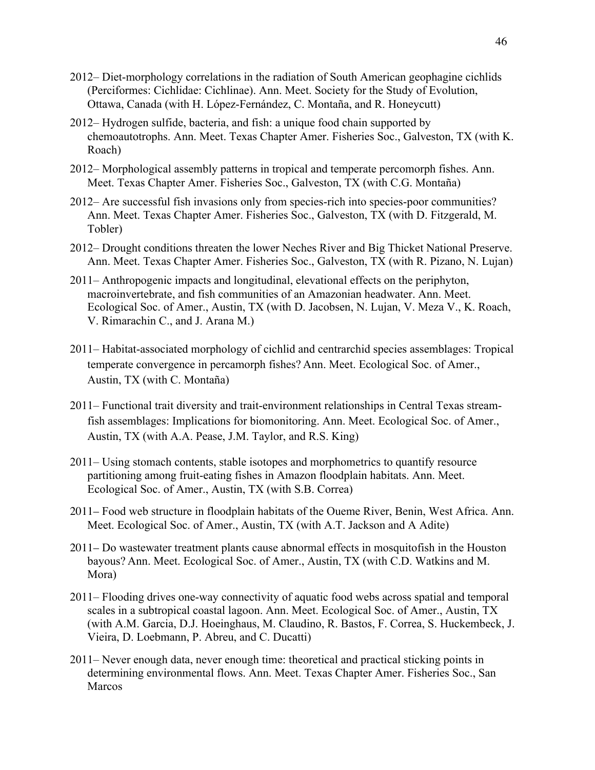- 2012– Diet-morphology correlations in the radiation of South American geophagine cichlids (Perciformes: Cichlidae: Cichlinae). Ann. Meet. Society for the Study of Evolution, Ottawa, Canada (with H. López-Fernández, C. Montaña, and R. Honeycutt)
- 2012– Hydrogen sulfide, bacteria, and fish: a unique food chain supported by chemoautotrophs. Ann. Meet. Texas Chapter Amer. Fisheries Soc., Galveston, TX (with K. Roach)
- 2012– Morphological assembly patterns in tropical and temperate percomorph fishes. Ann. Meet. Texas Chapter Amer. Fisheries Soc., Galveston, TX (with C.G. Montaña)
- 2012– Are successful fish invasions only from species-rich into species-poor communities? Ann. Meet. Texas Chapter Amer. Fisheries Soc., Galveston, TX (with D. Fitzgerald, M. Tobler)
- 2012– Drought conditions threaten the lower Neches River and Big Thicket National Preserve. Ann. Meet. Texas Chapter Amer. Fisheries Soc., Galveston, TX (with R. Pizano, N. Lujan)
- 2011– Anthropogenic impacts and longitudinal, elevational effects on the periphyton, macroinvertebrate, and fish communities of an Amazonian headwater. Ann. Meet. Ecological Soc. of Amer., Austin, TX (with D. Jacobsen, N. Lujan, V. Meza V., K. Roach, V. Rimarachin C., and J. Arana M.)
- 2011– Habitat-associated morphology of cichlid and centrarchid species assemblages: Tropical temperate convergence in percamorph fishes? Ann. Meet. Ecological Soc. of Amer., Austin, TX (with C. Montaña)
- 2011– Functional trait diversity and trait-environment relationships in Central Texas streamfish assemblages: Implications for biomonitoring. Ann. Meet. Ecological Soc. of Amer., Austin, TX (with A.A. Pease, J.M. Taylor, and R.S. King)
- 2011– Using stomach contents, stable isotopes and morphometrics to quantify resource partitioning among fruit-eating fishes in Amazon floodplain habitats. Ann. Meet. Ecological Soc. of Amer., Austin, TX (with S.B. Correa)
- 2011– Food web structure in floodplain habitats of the Oueme River, Benin, West Africa. Ann. Meet. Ecological Soc. of Amer., Austin, TX (with A.T. Jackson and A Adite)
- 2011– Do wastewater treatment plants cause abnormal effects in mosquitofish in the Houston bayous? Ann. Meet. Ecological Soc. of Amer., Austin, TX (with C.D. Watkins and M. Mora)
- 2011– Flooding drives one-way connectivity of aquatic food webs across spatial and temporal scales in a subtropical coastal lagoon. Ann. Meet. Ecological Soc. of Amer., Austin, TX (with A.M. Garcia, D.J. Hoeinghaus, M. Claudino, R. Bastos, F. Correa, S. Huckembeck, J. Vieira, D. Loebmann, P. Abreu, and C. Ducatti)
- 2011– Never enough data, never enough time: theoretical and practical sticking points in determining environmental flows. Ann. Meet. Texas Chapter Amer. Fisheries Soc., San Marcos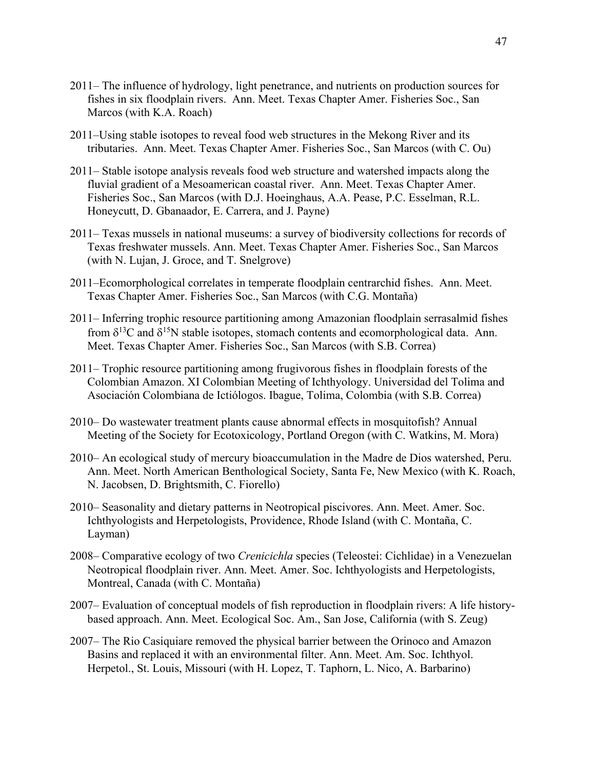- 2011– The influence of hydrology, light penetrance, and nutrients on production sources for fishes in six floodplain rivers. Ann. Meet. Texas Chapter Amer. Fisheries Soc., San Marcos (with K.A. Roach)
- 2011–Using stable isotopes to reveal food web structures in the Mekong River and its tributaries. Ann. Meet. Texas Chapter Amer. Fisheries Soc., San Marcos (with C. Ou)
- 2011– Stable isotope analysis reveals food web structure and watershed impacts along the fluvial gradient of a Mesoamerican coastal river. Ann. Meet. Texas Chapter Amer. Fisheries Soc., San Marcos (with D.J. Hoeinghaus, A.A. Pease, P.C. Esselman, R.L. Honeycutt, D. Gbanaador, E. Carrera, and J. Payne)
- 2011– Texas mussels in national museums: a survey of biodiversity collections for records of Texas freshwater mussels. Ann. Meet. Texas Chapter Amer. Fisheries Soc., San Marcos (with N. Lujan, J. Groce, and T. Snelgrove)
- 2011–Ecomorphological correlates in temperate floodplain centrarchid fishes. Ann. Meet. Texas Chapter Amer. Fisheries Soc., San Marcos (with C.G. Montaña)
- 2011– Inferring trophic resource partitioning among Amazonian floodplain serrasalmid fishes from  $\delta^{13}$ C and  $\delta^{15}$ N stable isotopes, stomach contents and ecomorphological data. Ann. Meet. Texas Chapter Amer. Fisheries Soc., San Marcos (with S.B. Correa)
- 2011– Trophic resource partitioning among frugivorous fishes in floodplain forests of the Colombian Amazon. XI Colombian Meeting of Ichthyology. Universidad del Tolima and Asociación Colombiana de Ictiólogos. Ibague, Tolima, Colombia (with S.B. Correa)
- 2010– Do wastewater treatment plants cause abnormal effects in mosquitofish? Annual Meeting of the Society for Ecotoxicology, Portland Oregon (with C. Watkins, M. Mora)
- 2010– An ecological study of mercury bioaccumulation in the Madre de Dios watershed, Peru. Ann. Meet. North American Benthological Society, Santa Fe, New Mexico (with K. Roach, N. Jacobsen, D. Brightsmith, C. Fiorello)
- 2010– Seasonality and dietary patterns in Neotropical piscivores. Ann. Meet. Amer. Soc. Ichthyologists and Herpetologists, Providence, Rhode Island (with C. Montaña, C. Layman)
- 2008– Comparative ecology of two *Crenicichla* species (Teleostei: Cichlidae) in a Venezuelan Neotropical floodplain river. Ann. Meet. Amer. Soc. Ichthyologists and Herpetologists, Montreal, Canada (with C. Montaña)
- 2007– Evaluation of conceptual models of fish reproduction in floodplain rivers: A life historybased approach. Ann. Meet. Ecological Soc. Am., San Jose, California (with S. Zeug)
- 2007– The Rio Casiquiare removed the physical barrier between the Orinoco and Amazon Basins and replaced it with an environmental filter. Ann. Meet. Am. Soc. Ichthyol. Herpetol., St. Louis, Missouri (with H. Lopez, T. Taphorn, L. Nico, A. Barbarino)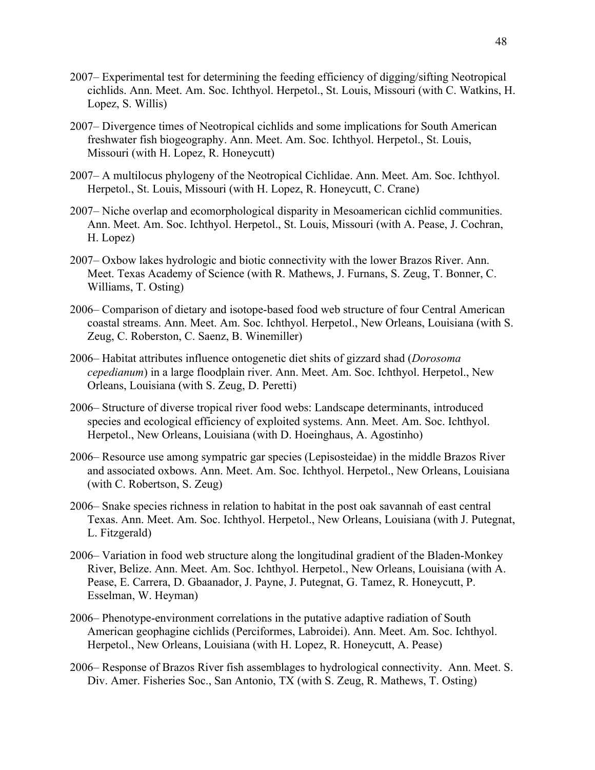- 2007– Experimental test for determining the feeding efficiency of digging/sifting Neotropical cichlids. Ann. Meet. Am. Soc. Ichthyol. Herpetol., St. Louis, Missouri (with C. Watkins, H. Lopez, S. Willis)
- 2007– Divergence times of Neotropical cichlids and some implications for South American freshwater fish biogeography. Ann. Meet. Am. Soc. Ichthyol. Herpetol., St. Louis, Missouri (with H. Lopez, R. Honeycutt)
- 2007– A multilocus phylogeny of the Neotropical Cichlidae. Ann. Meet. Am. Soc. Ichthyol. Herpetol., St. Louis, Missouri (with H. Lopez, R. Honeycutt, C. Crane)
- 2007– Niche overlap and ecomorphological disparity in Mesoamerican cichlid communities. Ann. Meet. Am. Soc. Ichthyol. Herpetol., St. Louis, Missouri (with A. Pease, J. Cochran, H. Lopez)
- 2007– Oxbow lakes hydrologic and biotic connectivity with the lower Brazos River. Ann. Meet. Texas Academy of Science (with R. Mathews, J. Furnans, S. Zeug, T. Bonner, C. Williams, T. Osting)
- 2006– Comparison of dietary and isotope-based food web structure of four Central American coastal streams. Ann. Meet. Am. Soc. Ichthyol. Herpetol., New Orleans, Louisiana (with S. Zeug, C. Roberston, C. Saenz, B. Winemiller)
- 2006– Habitat attributes influence ontogenetic diet shits of gizzard shad (*Dorosoma cepedianum*) in a large floodplain river. Ann. Meet. Am. Soc. Ichthyol. Herpetol., New Orleans, Louisiana (with S. Zeug, D. Peretti)
- 2006– Structure of diverse tropical river food webs: Landscape determinants, introduced species and ecological efficiency of exploited systems. Ann. Meet. Am. Soc. Ichthyol. Herpetol., New Orleans, Louisiana (with D. Hoeinghaus, A. Agostinho)
- 2006– Resource use among sympatric gar species (Lepisosteidae) in the middle Brazos River and associated oxbows. Ann. Meet. Am. Soc. Ichthyol. Herpetol., New Orleans, Louisiana (with C. Robertson, S. Zeug)
- 2006– Snake species richness in relation to habitat in the post oak savannah of east central Texas. Ann. Meet. Am. Soc. Ichthyol. Herpetol., New Orleans, Louisiana (with J. Putegnat, L. Fitzgerald)
- 2006– Variation in food web structure along the longitudinal gradient of the Bladen-Monkey River, Belize. Ann. Meet. Am. Soc. Ichthyol. Herpetol., New Orleans, Louisiana (with A. Pease, E. Carrera, D. Gbaanador, J. Payne, J. Putegnat, G. Tamez, R. Honeycutt, P. Esselman, W. Heyman)
- 2006– Phenotype-environment correlations in the putative adaptive radiation of South American geophagine cichlids (Perciformes, Labroidei). Ann. Meet. Am. Soc. Ichthyol. Herpetol., New Orleans, Louisiana (with H. Lopez, R. Honeycutt, A. Pease)
- 2006– Response of Brazos River fish assemblages to hydrological connectivity. Ann. Meet. S. Div. Amer. Fisheries Soc., San Antonio, TX (with S. Zeug, R. Mathews, T. Osting)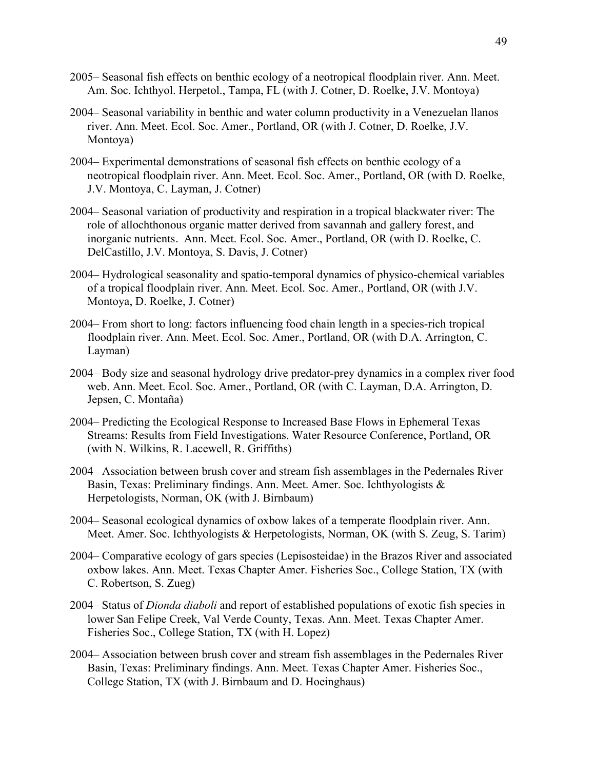- 2005– Seasonal fish effects on benthic ecology of a neotropical floodplain river. Ann. Meet. Am. Soc. Ichthyol. Herpetol., Tampa, FL (with J. Cotner, D. Roelke, J.V. Montoya)
- 2004– Seasonal variability in benthic and water column productivity in a Venezuelan llanos river. Ann. Meet. Ecol. Soc. Amer., Portland, OR (with J. Cotner, D. Roelke, J.V. Montoya)
- 2004– Experimental demonstrations of seasonal fish effects on benthic ecology of a neotropical floodplain river. Ann. Meet. Ecol. Soc. Amer., Portland, OR (with D. Roelke, J.V. Montoya, C. Layman, J. Cotner)
- 2004– Seasonal variation of productivity and respiration in a tropical blackwater river: The role of allochthonous organic matter derived from savannah and gallery forest, and inorganic nutrients. Ann. Meet. Ecol. Soc. Amer., Portland, OR (with D. Roelke, C. DelCastillo, J.V. Montoya, S. Davis, J. Cotner)
- 2004– Hydrological seasonality and spatio-temporal dynamics of physico-chemical variables of a tropical floodplain river. Ann. Meet. Ecol. Soc. Amer., Portland, OR (with J.V. Montoya, D. Roelke, J. Cotner)
- 2004– From short to long: factors influencing food chain length in a species-rich tropical floodplain river. Ann. Meet. Ecol. Soc. Amer., Portland, OR (with D.A. Arrington, C. Layman)
- 2004– Body size and seasonal hydrology drive predator-prey dynamics in a complex river food web. Ann. Meet. Ecol. Soc. Amer., Portland, OR (with C. Layman, D.A. Arrington, D. Jepsen, C. Montaña)
- 2004– Predicting the Ecological Response to Increased Base Flows in Ephemeral Texas Streams: Results from Field Investigations. Water Resource Conference, Portland, OR (with N. Wilkins, R. Lacewell, R. Griffiths)
- 2004– Association between brush cover and stream fish assemblages in the Pedernales River Basin, Texas: Preliminary findings. Ann. Meet. Amer. Soc. Ichthyologists & Herpetologists, Norman, OK (with J. Birnbaum)
- 2004– Seasonal ecological dynamics of oxbow lakes of a temperate floodplain river. Ann. Meet. Amer. Soc. Ichthyologists & Herpetologists, Norman, OK (with S. Zeug, S. Tarim)
- 2004– Comparative ecology of gars species (Lepisosteidae) in the Brazos River and associated oxbow lakes. Ann. Meet. Texas Chapter Amer. Fisheries Soc., College Station, TX (with C. Robertson, S. Zueg)
- 2004– Status of *Dionda diaboli* and report of established populations of exotic fish species in lower San Felipe Creek, Val Verde County, Texas. Ann. Meet. Texas Chapter Amer. Fisheries Soc., College Station, TX (with H. Lopez)
- 2004– Association between brush cover and stream fish assemblages in the Pedernales River Basin, Texas: Preliminary findings. Ann. Meet. Texas Chapter Amer. Fisheries Soc., College Station, TX (with J. Birnbaum and D. Hoeinghaus)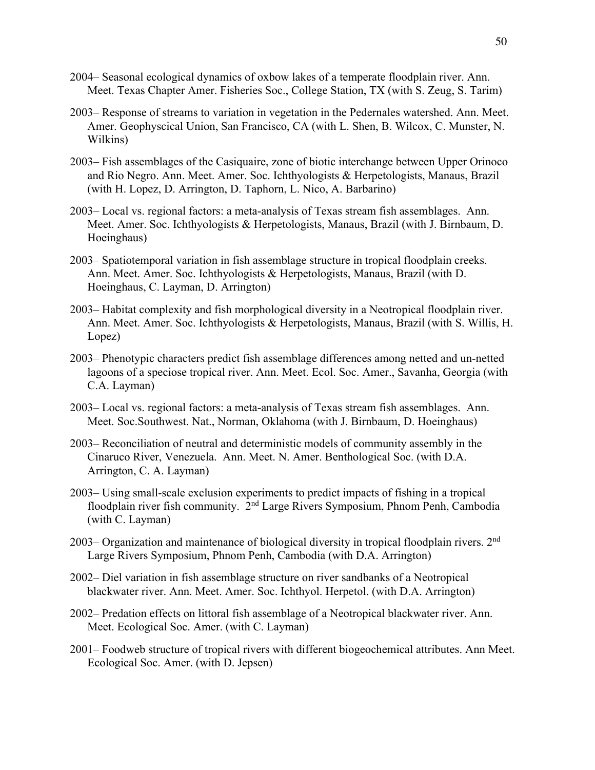- 2004– Seasonal ecological dynamics of oxbow lakes of a temperate floodplain river. Ann. Meet. Texas Chapter Amer. Fisheries Soc., College Station, TX (with S. Zeug, S. Tarim)
- 2003– Response of streams to variation in vegetation in the Pedernales watershed. Ann. Meet. Amer. Geophyscical Union, San Francisco, CA (with L. Shen, B. Wilcox, C. Munster, N. Wilkins)
- 2003– Fish assemblages of the Casiquaire, zone of biotic interchange between Upper Orinoco and Rio Negro. Ann. Meet. Amer. Soc. Ichthyologists & Herpetologists, Manaus, Brazil (with H. Lopez, D. Arrington, D. Taphorn, L. Nico, A. Barbarino)
- 2003– Local vs. regional factors: a meta-analysis of Texas stream fish assemblages. Ann. Meet. Amer. Soc. Ichthyologists & Herpetologists, Manaus, Brazil (with J. Birnbaum, D. Hoeinghaus)
- 2003– Spatiotemporal variation in fish assemblage structure in tropical floodplain creeks. Ann. Meet. Amer. Soc. Ichthyologists & Herpetologists, Manaus, Brazil (with D. Hoeinghaus, C. Layman, D. Arrington)
- 2003– Habitat complexity and fish morphological diversity in a Neotropical floodplain river. Ann. Meet. Amer. Soc. Ichthyologists & Herpetologists, Manaus, Brazil (with S. Willis, H. Lopez)
- 2003– Phenotypic characters predict fish assemblage differences among netted and un-netted lagoons of a speciose tropical river. Ann. Meet. Ecol. Soc. Amer., Savanha, Georgia (with C.A. Layman)
- 2003– Local vs. regional factors: a meta-analysis of Texas stream fish assemblages. Ann. Meet. Soc.Southwest. Nat., Norman, Oklahoma (with J. Birnbaum, D. Hoeinghaus)
- 2003– Reconciliation of neutral and deterministic models of community assembly in the Cinaruco River, Venezuela. Ann. Meet. N. Amer. Benthological Soc. (with D.A. Arrington, C. A. Layman)
- 2003– Using small-scale exclusion experiments to predict impacts of fishing in a tropical floodplain river fish community. 2<sup>nd</sup> Large Rivers Symposium, Phnom Penh, Cambodia (with C. Layman)
- 2003– Organization and maintenance of biological diversity in tropical floodplain rivers. 2<sup>nd</sup> Large Rivers Symposium, Phnom Penh, Cambodia (with D.A. Arrington)
- 2002– Diel variation in fish assemblage structure on river sandbanks of a Neotropical blackwater river. Ann. Meet. Amer. Soc. Ichthyol. Herpetol. (with D.A. Arrington)
- 2002– Predation effects on littoral fish assemblage of a Neotropical blackwater river. Ann. Meet. Ecological Soc. Amer. (with C. Layman)
- 2001– Foodweb structure of tropical rivers with different biogeochemical attributes. Ann Meet. Ecological Soc. Amer. (with D. Jepsen)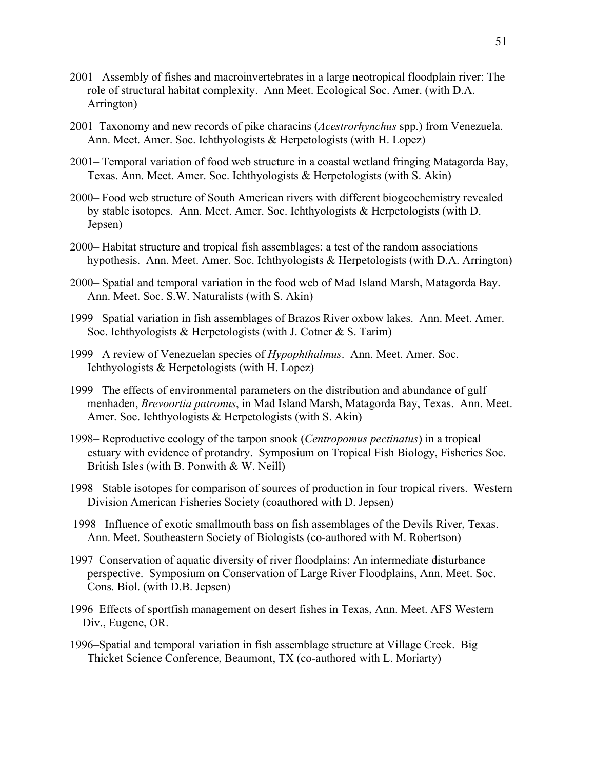- 2001– Assembly of fishes and macroinvertebrates in a large neotropical floodplain river: The role of structural habitat complexity. Ann Meet. Ecological Soc. Amer. (with D.A. Arrington)
- 2001–Taxonomy and new records of pike characins (*Acestrorhynchus* spp.) from Venezuela. Ann. Meet. Amer. Soc. Ichthyologists & Herpetologists (with H. Lopez)
- 2001– Temporal variation of food web structure in a coastal wetland fringing Matagorda Bay, Texas. Ann. Meet. Amer. Soc. Ichthyologists & Herpetologists (with S. Akin)
- 2000– Food web structure of South American rivers with different biogeochemistry revealed by stable isotopes. Ann. Meet. Amer. Soc. Ichthyologists & Herpetologists (with D. Jepsen)
- 2000– Habitat structure and tropical fish assemblages: a test of the random associations hypothesis. Ann. Meet. Amer. Soc. Ichthyologists & Herpetologists (with D.A. Arrington)
- 2000– Spatial and temporal variation in the food web of Mad Island Marsh, Matagorda Bay. Ann. Meet. Soc. S.W. Naturalists (with S. Akin)
- 1999– Spatial variation in fish assemblages of Brazos River oxbow lakes. Ann. Meet. Amer. Soc. Ichthyologists & Herpetologists (with J. Cotner & S. Tarim)
- 1999– A review of Venezuelan species of *Hypophthalmus*. Ann. Meet. Amer. Soc. Ichthyologists & Herpetologists (with H. Lopez)
- 1999– The effects of environmental parameters on the distribution and abundance of gulf menhaden, *Brevoortia patronus*, in Mad Island Marsh, Matagorda Bay, Texas. Ann. Meet. Amer. Soc. Ichthyologists & Herpetologists (with S. Akin)
- 1998– Reproductive ecology of the tarpon snook (*Centropomus pectinatus*) in a tropical estuary with evidence of protandry. Symposium on Tropical Fish Biology, Fisheries Soc. British Isles (with B. Ponwith & W. Neill)
- 1998– Stable isotopes for comparison of sources of production in four tropical rivers. Western Division American Fisheries Society (coauthored with D. Jepsen)
- 1998– Influence of exotic smallmouth bass on fish assemblages of the Devils River, Texas. Ann. Meet. Southeastern Society of Biologists (co-authored with M. Robertson)
- 1997–Conservation of aquatic diversity of river floodplains: An intermediate disturbance perspective. Symposium on Conservation of Large River Floodplains, Ann. Meet. Soc. Cons. Biol. (with D.B. Jepsen)
- 1996–Effects of sportfish management on desert fishes in Texas, Ann. Meet. AFS Western Div., Eugene, OR.
- 1996–Spatial and temporal variation in fish assemblage structure at Village Creek. Big Thicket Science Conference, Beaumont, TX (co-authored with L. Moriarty)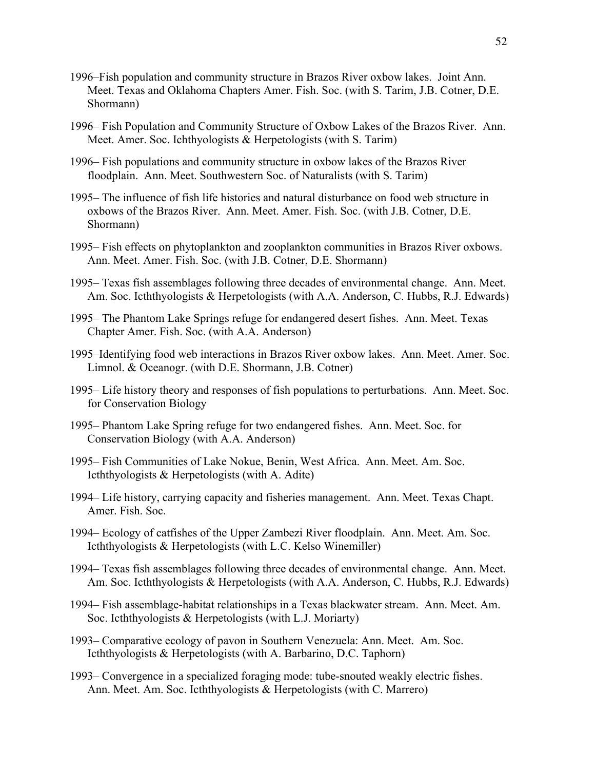- 1996–Fish population and community structure in Brazos River oxbow lakes. Joint Ann. Meet. Texas and Oklahoma Chapters Amer. Fish. Soc. (with S. Tarim, J.B. Cotner, D.E. Shormann)
- 1996– Fish Population and Community Structure of Oxbow Lakes of the Brazos River. Ann. Meet. Amer. Soc. Ichthyologists & Herpetologists (with S. Tarim)
- 1996– Fish populations and community structure in oxbow lakes of the Brazos River floodplain. Ann. Meet. Southwestern Soc. of Naturalists (with S. Tarim)
- 1995– The influence of fish life histories and natural disturbance on food web structure in oxbows of the Brazos River. Ann. Meet. Amer. Fish. Soc. (with J.B. Cotner, D.E. Shormann)
- 1995– Fish effects on phytoplankton and zooplankton communities in Brazos River oxbows. Ann. Meet. Amer. Fish. Soc. (with J.B. Cotner, D.E. Shormann)
- 1995– Texas fish assemblages following three decades of environmental change. Ann. Meet. Am. Soc. Icththyologists & Herpetologists (with A.A. Anderson, C. Hubbs, R.J. Edwards)
- 1995– The Phantom Lake Springs refuge for endangered desert fishes. Ann. Meet. Texas Chapter Amer. Fish. Soc. (with A.A. Anderson)
- 1995–Identifying food web interactions in Brazos River oxbow lakes. Ann. Meet. Amer. Soc. Limnol. & Oceanogr. (with D.E. Shormann, J.B. Cotner)
- 1995– Life history theory and responses of fish populations to perturbations. Ann. Meet. Soc. for Conservation Biology
- 1995– Phantom Lake Spring refuge for two endangered fishes. Ann. Meet. Soc. for Conservation Biology (with A.A. Anderson)
- 1995– Fish Communities of Lake Nokue, Benin, West Africa. Ann. Meet. Am. Soc. Icththyologists & Herpetologists (with A. Adite)
- 1994– Life history, carrying capacity and fisheries management. Ann. Meet. Texas Chapt. Amer. Fish. Soc.
- 1994– Ecology of catfishes of the Upper Zambezi River floodplain. Ann. Meet. Am. Soc. Icththyologists & Herpetologists (with L.C. Kelso Winemiller)
- 1994– Texas fish assemblages following three decades of environmental change. Ann. Meet. Am. Soc. Icththyologists & Herpetologists (with A.A. Anderson, C. Hubbs, R.J. Edwards)
- 1994– Fish assemblage-habitat relationships in a Texas blackwater stream. Ann. Meet. Am. Soc. Icththyologists & Herpetologists (with L.J. Moriarty)
- 1993– Comparative ecology of pavon in Southern Venezuela: Ann. Meet. Am. Soc. Icththyologists & Herpetologists (with A. Barbarino, D.C. Taphorn)
- 1993– Convergence in a specialized foraging mode: tube-snouted weakly electric fishes. Ann. Meet. Am. Soc. Icththyologists & Herpetologists (with C. Marrero)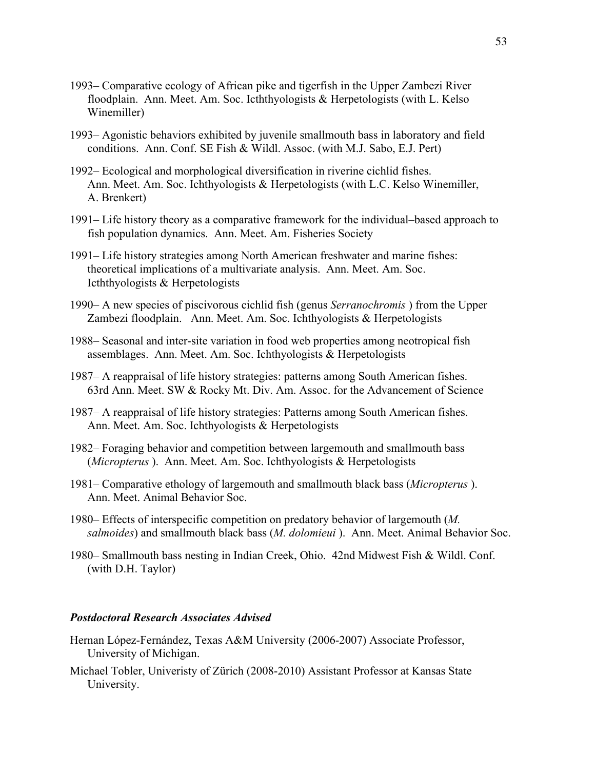- 1993– Comparative ecology of African pike and tigerfish in the Upper Zambezi River floodplain. Ann. Meet. Am. Soc. Icththyologists & Herpetologists (with L. Kelso Winemiller)
- 1993– Agonistic behaviors exhibited by juvenile smallmouth bass in laboratory and field conditions. Ann. Conf. SE Fish & Wildl. Assoc. (with M.J. Sabo, E.J. Pert)
- 1992– Ecological and morphological diversification in riverine cichlid fishes. Ann. Meet. Am. Soc. Ichthyologists & Herpetologists (with L.C. Kelso Winemiller, A. Brenkert)
- 1991– Life history theory as a comparative framework for the individual–based approach to fish population dynamics. Ann. Meet. Am. Fisheries Society
- 1991– Life history strategies among North American freshwater and marine fishes: theoretical implications of a multivariate analysis. Ann. Meet. Am. Soc. Icththyologists & Herpetologists
- 1990– A new species of piscivorous cichlid fish (genus *Serranochromis* ) from the Upper Zambezi floodplain. Ann. Meet. Am. Soc. Ichthyologists & Herpetologists
- 1988– Seasonal and inter-site variation in food web properties among neotropical fish assemblages. Ann. Meet. Am. Soc. Ichthyologists & Herpetologists
- 1987– A reappraisal of life history strategies: patterns among South American fishes. 63rd Ann. Meet. SW & Rocky Mt. Div. Am. Assoc. for the Advancement of Science
- 1987– A reappraisal of life history strategies: Patterns among South American fishes. Ann. Meet. Am. Soc. Ichthyologists & Herpetologists
- 1982– Foraging behavior and competition between largemouth and smallmouth bass (*Micropterus* ). Ann. Meet. Am. Soc. Ichthyologists & Herpetologists
- 1981– Comparative ethology of largemouth and smallmouth black bass (*Micropterus* ). Ann. Meet. Animal Behavior Soc.
- 1980– Effects of interspecific competition on predatory behavior of largemouth (*M. salmoides*) and smallmouth black bass (*M. dolomieui* ). Ann. Meet. Animal Behavior Soc.
- 1980– Smallmouth bass nesting in Indian Creek, Ohio. 42nd Midwest Fish & Wildl. Conf. (with D.H. Taylor)

# *Postdoctoral Research Associates Advised*

- Hernan López-Fernández, Texas A&M University (2006-2007) Associate Professor, University of Michigan.
- Michael Tobler, Univeristy of Zürich (2008-2010) Assistant Professor at Kansas State University.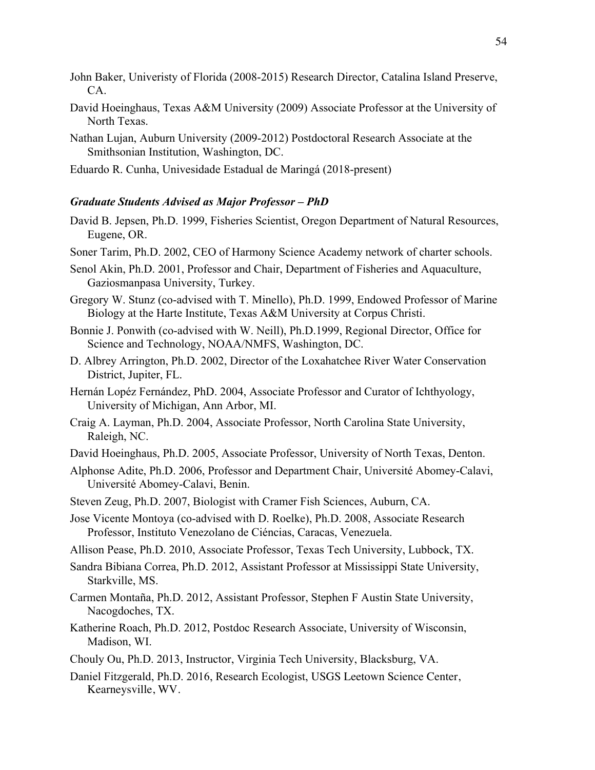- John Baker, Univeristy of Florida (2008-2015) Research Director, Catalina Island Preserve, CA.
- David Hoeinghaus, Texas A&M University (2009) Associate Professor at the University of North Texas.
- Nathan Lujan, Auburn University (2009-2012) Postdoctoral Research Associate at the Smithsonian Institution, Washington, DC.

Eduardo R. Cunha, Univesidade Estadual de Maringá (2018-present)

#### *Graduate Students Advised as Major Professor – PhD*

- David B. Jepsen, Ph.D. 1999, Fisheries Scientist, Oregon Department of Natural Resources, Eugene, OR.
- Soner Tarim, Ph.D. 2002, CEO of Harmony Science Academy network of charter schools.
- Senol Akin, Ph.D. 2001, Professor and Chair, Department of Fisheries and Aquaculture, Gaziosmanpasa University, Turkey.
- Gregory W. Stunz (co-advised with T. Minello), Ph.D. 1999, Endowed Professor of Marine Biology at the Harte Institute, Texas A&M University at Corpus Christi.
- Bonnie J. Ponwith (co-advised with W. Neill), Ph.D.1999, Regional Director, Office for Science and Technology, NOAA/NMFS, Washington, DC.
- D. Albrey Arrington, Ph.D. 2002, Director of the Loxahatchee River Water Conservation District, Jupiter, FL.
- Hernán Lopéz Fernández, PhD. 2004, Associate Professor and Curator of Ichthyology, University of Michigan, Ann Arbor, MI.
- Craig A. Layman, Ph.D. 2004, Associate Professor, North Carolina State University, Raleigh, NC.
- David Hoeinghaus, Ph.D. 2005, Associate Professor, University of North Texas, Denton.
- Alphonse Adite, Ph.D. 2006, Professor and Department Chair, Université Abomey-Calavi, Université Abomey-Calavi, Benin.
- Steven Zeug, Ph.D. 2007, Biologist with Cramer Fish Sciences, Auburn, CA.
- Jose Vicente Montoya (co-advised with D. Roelke), Ph.D. 2008, Associate Research Professor, Instituto Venezolano de Ciéncias, Caracas, Venezuela.
- Allison Pease, Ph.D. 2010, Associate Professor, Texas Tech University, Lubbock, TX.
- Sandra Bibiana Correa, Ph.D. 2012, Assistant Professor at Mississippi State University, Starkville, MS.
- Carmen Montaña, Ph.D. 2012, Assistant Professor, Stephen F Austin State University, Nacogdoches, TX.
- Katherine Roach, Ph.D. 2012, Postdoc Research Associate, University of Wisconsin, Madison, WI.
- Chouly Ou, Ph.D. 2013, Instructor, Virginia Tech University, Blacksburg, VA.
- Daniel Fitzgerald, Ph.D. 2016, Research Ecologist, USGS Leetown Science Center, Kearneysville, WV.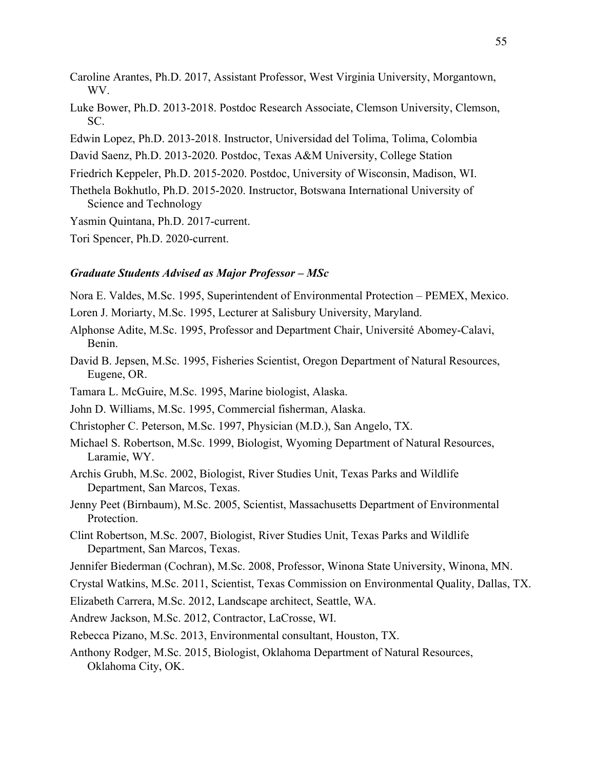- Caroline Arantes, Ph.D. 2017, Assistant Professor, West Virginia University, Morgantown, WV.
- Luke Bower, Ph.D. 2013-2018. Postdoc Research Associate, Clemson University, Clemson, SC.
- Edwin Lopez, Ph.D. 2013-2018. Instructor, Universidad del Tolima, Tolima, Colombia
- David Saenz, Ph.D. 2013-2020. Postdoc, Texas A&M University, College Station
- Friedrich Keppeler, Ph.D. 2015-2020. Postdoc, University of Wisconsin, Madison, WI.
- Thethela Bokhutlo, Ph.D. 2015-2020. Instructor, Botswana International University of Science and Technology
- Yasmin Quintana, Ph.D. 2017-current.

Tori Spencer, Ph.D. 2020-current.

#### *Graduate Students Advised as Major Professor – MSc*

Nora E. Valdes, M.Sc. 1995, Superintendent of Environmental Protection – PEMEX, Mexico.

- Loren J. Moriarty, M.Sc. 1995, Lecturer at Salisbury University, Maryland.
- Alphonse Adite, M.Sc. 1995, Professor and Department Chair, Université Abomey-Calavi, Benin.
- David B. Jepsen, M.Sc. 1995, Fisheries Scientist, Oregon Department of Natural Resources, Eugene, OR.
- Tamara L. McGuire, M.Sc. 1995, Marine biologist, Alaska.
- John D. Williams, M.Sc. 1995, Commercial fisherman, Alaska.
- Christopher C. Peterson, M.Sc. 1997, Physician (M.D.), San Angelo, TX.
- Michael S. Robertson, M.Sc. 1999, Biologist, Wyoming Department of Natural Resources, Laramie, WY.
- Archis Grubh, M.Sc. 2002, Biologist, River Studies Unit, Texas Parks and Wildlife Department, San Marcos, Texas.
- Jenny Peet (Birnbaum), M.Sc. 2005, Scientist, Massachusetts Department of Environmental Protection.
- Clint Robertson, M.Sc. 2007, Biologist, River Studies Unit, Texas Parks and Wildlife Department, San Marcos, Texas.
- Jennifer Biederman (Cochran), M.Sc. 2008, Professor, Winona State University, Winona, MN.

Crystal Watkins, M.Sc. 2011, Scientist, Texas Commission on Environmental Quality, Dallas, TX.

- Elizabeth Carrera, M.Sc. 2012, Landscape architect, Seattle, WA.
- Andrew Jackson, M.Sc. 2012, Contractor, LaCrosse, WI.
- Rebecca Pizano, M.Sc. 2013, Environmental consultant, Houston, TX.
- Anthony Rodger, M.Sc. 2015, Biologist, Oklahoma Department of Natural Resources, Oklahoma City, OK.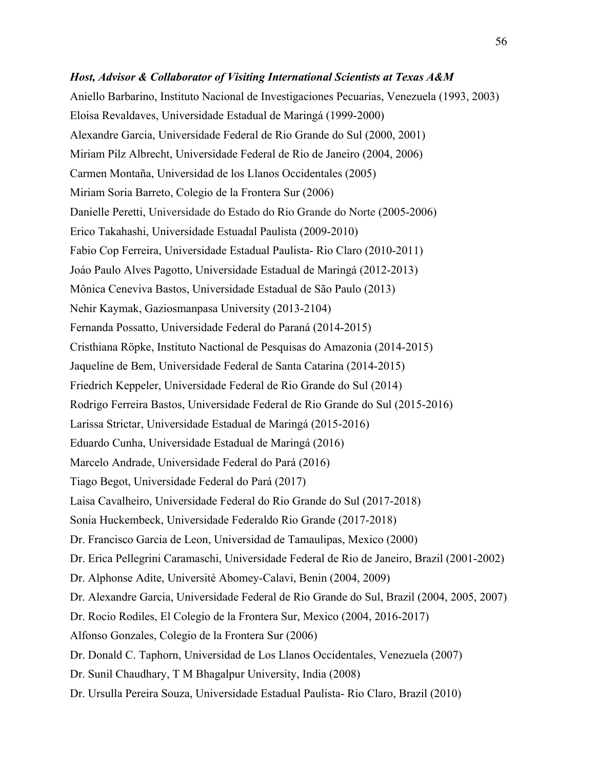# *Host, Advisor & Collaborator of Visiting International Scientists at Texas A&M* Aniello Barbarino, Instituto Nacional de Investigaciones Pecuarias, Venezuela (1993, 2003) Eloisa Revaldaves, Universidade Estadual de Maringá (1999-2000) Alexandre Garcia, Universidade Federal de Rio Grande do Sul (2000, 2001) Miriam Pilz Albrecht, Universidade Federal de Rio de Janeiro (2004, 2006) Carmen Montaña, Universidad de los Llanos Occidentales (2005) Miriam Soria Barreto, Colegio de la Frontera Sur (2006) Danielle Peretti, Universidade do Estado do Rio Grande do Norte (2005-2006) Erico Takahashi, Universidade Estuadal Paulista (2009-2010) Fabio Cop Ferreira, Universidade Estadual Paulista- Rio Claro (2010-2011) Joáo Paulo Alves Pagotto, Universidade Estadual de Maringá (2012-2013) Mônica Ceneviva Bastos, Universidade Estadual de São Paulo (2013) Nehir Kaymak, Gaziosmanpasa University (2013-2104) Fernanda Possatto, Universidade Federal do Paraná (2014-2015) Cristhiana Röpke, Instituto Nactional de Pesquisas do Amazonia (2014-2015) Jaqueline de Bem, Universidade Federal de Santa Catarina (2014-2015) Friedrich Keppeler, Universidade Federal de Rio Grande do Sul (2014) Rodrigo Ferreira Bastos, Universidade Federal de Rio Grande do Sul (2015-2016) Larissa Strictar, Universidade Estadual de Maringá (2015-2016) Eduardo Cunha, Universidade Estadual de Maringá (2016) Marcelo Andrade, Universidade Federal do Pará (2016) Tiago Begot, Universidade Federal do Pará (2017) Laisa Cavalheiro, Universidade Federal do Rio Grande do Sul (2017-2018) Sonia Huckembeck, Universidade Federaldo Rio Grande (2017-2018) Dr. Francisco Garcia de Leon, Universidad de Tamaulipas, Mexico (2000) Dr. Erica Pellegrini Caramaschi, Universidade Federal de Rio de Janeiro, Brazil (2001-2002) Dr. Alphonse Adite, Université Abomey-Calavi, Benin (2004, 2009) Dr. Alexandre Garcia, Universidade Federal de Rio Grande do Sul, Brazil (2004, 2005, 2007) Dr. Rocio Rodiles, El Colegio de la Frontera Sur, Mexico (2004, 2016-2017) Alfonso Gonzales, Colegio de la Frontera Sur (2006) Dr. Donald C. Taphorn, Universidad de Los Llanos Occidentales, Venezuela (2007) Dr. Sunil Chaudhary, T M Bhagalpur University, India (2008) Dr. Ursulla Pereira Souza, Universidade Estadual Paulista- Rio Claro, Brazil (2010)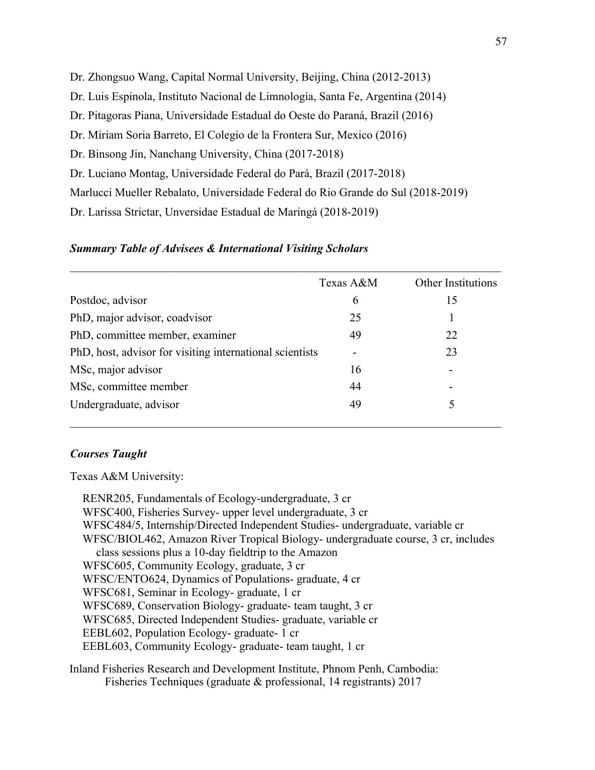Dr. Zhongsuo Wang, Capital Normal University, Beijing, China (2012-2013) Dr. Luis Espinola, Instituto Nacional de Limnología, Santa Fe, Argentina (2014) Dr. Pitagoras Piana, Universidade Estadual do Oeste do Paraná, Brazil (2016) Dr. Miriam Soria Barreto, El Colegio de la Frontera Sur, Mexico (2016) Dr. Binsong Jin, Nanchang University, China (2017-2018) Dr. Luciano Montag, Universidade Federal do Pará, Brazil (2017-2018) Marlucci Mueller Rebalato, Universidade Federal do Rio Grande do Sul (2018-2019) Dr. Larissa Strictar, Unversidae Estadual de Maringá (2018-2019)

#### *Summary Table of Advisees & International Visiting Scholars*

|                                                          | Texas A&M                | Other Institutions |
|----------------------------------------------------------|--------------------------|--------------------|
| Postdoc, advisor                                         | 6                        | 15                 |
| PhD, major advisor, coadvisor                            | 25                       |                    |
| PhD, committee member, examiner                          | 49                       | 22                 |
| PhD, host, advisor for visiting international scientists | $\overline{\phantom{0}}$ | 23                 |
| MSc, major advisor                                       | 16                       |                    |
| MSc, committee member                                    | 44                       |                    |
| Undergraduate, advisor                                   | 49                       |                    |

# *Courses Taught*

Texas A&M University:

RENR205, Fundamentals of Ecology-undergraduate, 3 cr WFSC400, Fisheries Survey- upper level undergraduate, 3 cr WFSC484/5, Internship/Directed Independent Studies- undergraduate, variable cr WFSC/BIOL462, Amazon River Tropical Biology- undergraduate course, 3 cr, includes class sessions plus a 10-day fieldtrip to the Amazon WFSC605, Community Ecology, graduate, 3 cr WFSC/ENTO624, Dynamics of Populations- graduate, 4 cr WFSC681, Seminar in Ecology- graduate, 1 cr WFSC689, Conservation Biology- graduate- team taught, 3 cr WFSC685, Directed Independent Studies- graduate, variable cr EEBL602, Population Ecology- graduate- 1 cr EEBL603, Community Ecology- graduate- team taught, 1 cr Inland Fisheries Research and Development Institute, Phnom Penh, Cambodia:

Fisheries Techniques (graduate & professional, 14 registrants) 2017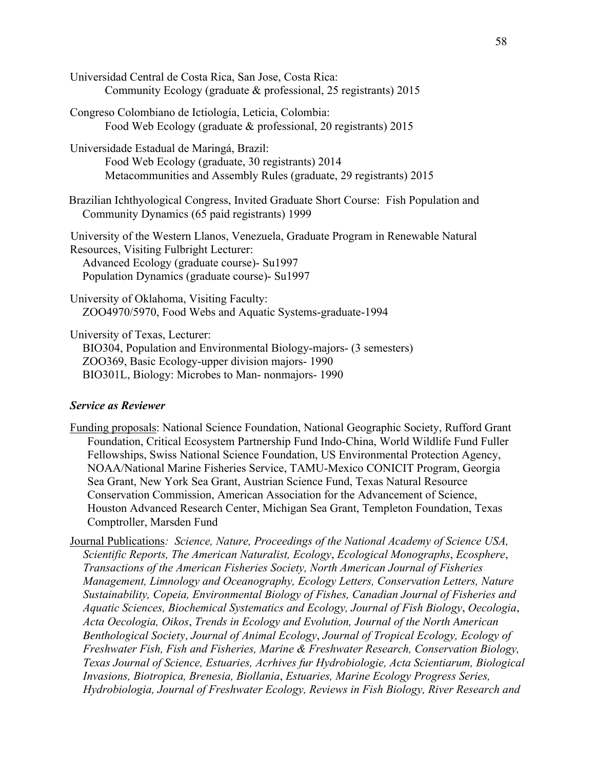| Universidad Central de Costa Rica, San Jose, Costa Rica:<br>Community Ecology (graduate & professional, 25 registrants) 2015                                                                                                  |
|-------------------------------------------------------------------------------------------------------------------------------------------------------------------------------------------------------------------------------|
| Congreso Colombiano de Ictiología, Leticia, Colombia:<br>Food Web Ecology (graduate & professional, 20 registrants) 2015                                                                                                      |
| Universidade Estadual de Maringá, Brazil:<br>Food Web Ecology (graduate, 30 registrants) 2014<br>Metacommunities and Assembly Rules (graduate, 29 registrants) 2015                                                           |
| Brazilian Ichthyological Congress, Invited Graduate Short Course: Fish Population and<br>Community Dynamics (65 paid registrants) 1999                                                                                        |
| University of the Western Llanos, Venezuela, Graduate Program in Renewable Natural<br>Resources, Visiting Fulbright Lecturer:<br>Advanced Ecology (graduate course)- Su1997<br>Population Dynamics (graduate course) - Su1997 |
| University of Oklahoma, Visiting Faculty:<br>ZOO4970/5970, Food Webs and Aquatic Systems-graduate-1994                                                                                                                        |
| University of Texas, Lecturer:<br>BIO304, Population and Environmental Biology-majors- (3 semesters)<br>ZOO369, Basic Ecology-upper division majors- 1990<br>BIO301L, Biology: Microbes to Man-nonmajors-1990                 |

## *Service as Reviewer*

- Funding proposals: National Science Foundation, National Geographic Society, Rufford Grant Foundation, Critical Ecosystem Partnership Fund Indo-China, World Wildlife Fund Fuller Fellowships, Swiss National Science Foundation, US Environmental Protection Agency, NOAA/National Marine Fisheries Service, TAMU-Mexico CONICIT Program, Georgia Sea Grant, New York Sea Grant, Austrian Science Fund, Texas Natural Resource Conservation Commission, American Association for the Advancement of Science, Houston Advanced Research Center, Michigan Sea Grant, Templeton Foundation, Texas Comptroller, Marsden Fund
- Journal Publications*: Science, Nature, Proceedings of the National Academy of Science USA, Scientific Reports, The American Naturalist, Ecology*, *Ecological Monographs*, *Ecosphere*, *Transactions of the American Fisheries Society, North American Journal of Fisheries Management, Limnology and Oceanography, Ecology Letters, Conservation Letters, Nature Sustainability, Copeia, Environmental Biology of Fishes, Canadian Journal of Fisheries and Aquatic Sciences, Biochemical Systematics and Ecology, Journal of Fish Biology*, *Oecologia*, *Acta Oecologia, Oikos*, *Trends in Ecology and Evolution, Journal of the North American Benthological Society, Journal of Animal Ecology*, *Journal of Tropical Ecology, Ecology of Freshwater Fish, Fish and Fisheries, Marine & Freshwater Research, Conservation Biology, Texas Journal of Science, Estuaries, Acrhives fur Hydrobiologie, Acta Scientiarum, Biological Invasions, Biotropica, Brenesia, Biollania*, *Estuaries, Marine Ecology Progress Series, Hydrobiologia, Journal of Freshwater Ecology, Reviews in Fish Biology, River Research and*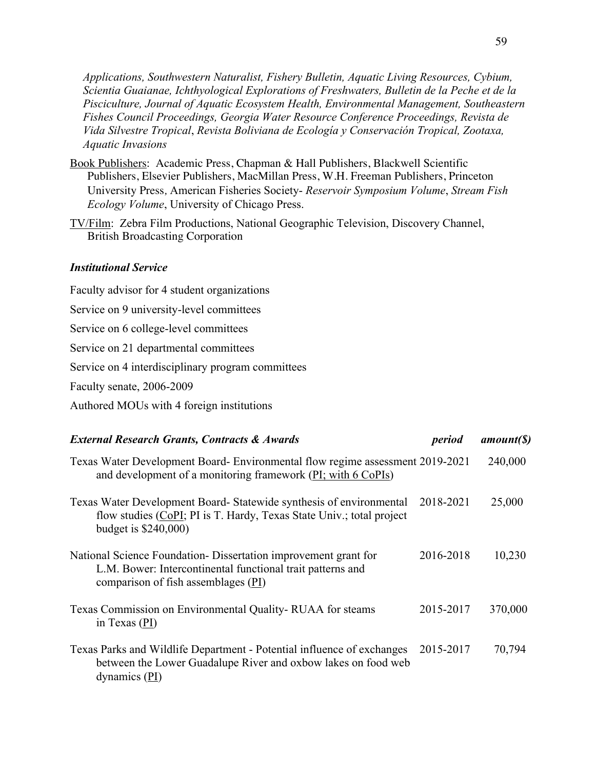*Applications, Southwestern Naturalist, Fishery Bulletin, Aquatic Living Resources, Cybium, Scientia Guaianae, Ichthyological Explorations of Freshwaters, Bulletin de la Peche et de la Pisciculture, Journal of Aquatic Ecosystem Health, Environmental Management, Southeastern Fishes Council Proceedings, Georgia Water Resource Conference Proceedings, Revista de Vida Silvestre Tropical*, *Revista Boliviana de Ecología y Conservación Tropical, Zootaxa, Aquatic Invasions*

- Book Publishers: Academic Press, Chapman & Hall Publishers, Blackwell Scientific Publishers, Elsevier Publishers, MacMillan Press, W.H. Freeman Publishers, Princeton University Press*,* American Fisheries Society- *Reservoir Symposium Volume*, *Stream Fish Ecology Volume*, University of Chicago Press.
- TV/Film: Zebra Film Productions, National Geographic Television, Discovery Channel, British Broadcasting Corporation

#### *Institutional Service*

Faculty advisor for 4 student organizations Service on 9 university-level committees Service on 6 college-level committees Service on 21 departmental committees Service on 4 interdisciplinary program committees Faculty senate, 2006-2009 Authored MOUs with 4 foreign institutions

| <b>External Research Grants, Contracts &amp; Awards</b>                                                                                                               | period    | amount(S) |
|-----------------------------------------------------------------------------------------------------------------------------------------------------------------------|-----------|-----------|
| Texas Water Development Board- Environmental flow regime assessment 2019-2021<br>and development of a monitoring framework (PI; with 6 CoPIs)                         |           | 240,000   |
| Texas Water Development Board- Statewide synthesis of environmental<br>flow studies (CoPI; PI is T. Hardy, Texas State Univ.; total project<br>budget is $$240,000$   | 2018-2021 | 25,000    |
| National Science Foundation - Dissertation improvement grant for<br>L.M. Bower: Intercontinental functional trait patterns and<br>comparison of fish assemblages (PI) | 2016-2018 | 10,230    |
| Texas Commission on Environmental Quality-RUAA for steams<br>in Texas (PI)                                                                                            | 2015-2017 | 370,000   |
| Texas Parks and Wildlife Department - Potential influence of exchanges<br>between the Lower Guadalupe River and oxbow lakes on food web<br>dynamics $(PI)$            | 2015-2017 | 70,794    |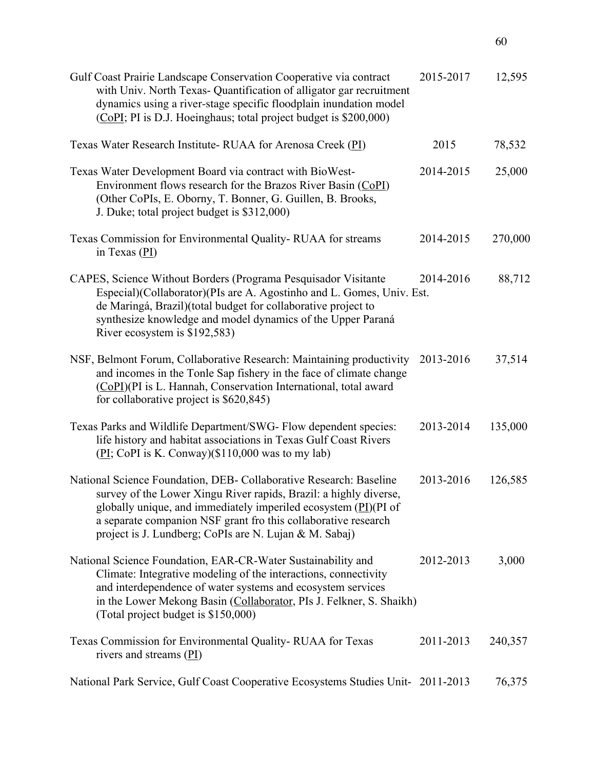| Gulf Coast Prairie Landscape Conservation Cooperative via contract<br>with Univ. North Texas- Quantification of alligator gar recruitment<br>dynamics using a river-stage specific floodplain inundation model<br>(CoPI; PI is D.J. Hoeinghaus; total project budget is \$200,000)                                                        | 2015-2017 | 12,595  |
|-------------------------------------------------------------------------------------------------------------------------------------------------------------------------------------------------------------------------------------------------------------------------------------------------------------------------------------------|-----------|---------|
| Texas Water Research Institute- RUAA for Arenosa Creek (PI)                                                                                                                                                                                                                                                                               | 2015      | 78,532  |
| Texas Water Development Board via contract with BioWest-<br>Environment flows research for the Brazos River Basin (CoPI)<br>(Other CoPIs, E. Oborny, T. Bonner, G. Guillen, B. Brooks,<br>J. Duke; total project budget is \$312,000)                                                                                                     | 2014-2015 | 25,000  |
| Texas Commission for Environmental Quality-RUAA for streams<br>in Texas $(PI)$                                                                                                                                                                                                                                                            | 2014-2015 | 270,000 |
| CAPES, Science Without Borders (Programa Pesquisador Visitante<br>Especial)(Collaborator)(PIs are A. Agostinho and L. Gomes, Univ. Est.<br>de Maringá, Brazil)(total budget for collaborative project to<br>synthesize knowledge and model dynamics of the Upper Paraná<br>River ecosystem is \$192,583)                                  | 2014-2016 | 88,712  |
| NSF, Belmont Forum, Collaborative Research: Maintaining productivity<br>and incomes in the Tonle Sap fishery in the face of climate change<br>(CoPI)(PI is L. Hannah, Conservation International, total award<br>for collaborative project is \$620,845)                                                                                  | 2013-2016 | 37,514  |
| Texas Parks and Wildlife Department/SWG- Flow dependent species:<br>life history and habitat associations in Texas Gulf Coast Rivers<br>$(\underline{PI}; CoPI$ is K. Conway)(\$110,000 was to my lab)                                                                                                                                    | 2013-2014 | 135,000 |
| National Science Foundation, DEB- Collaborative Research: Baseline<br>survey of the Lower Xingu River rapids, Brazil: a highly diverse,<br>globally unique, and immediately imperiled ecosystem $(PI)(PI)$ of<br>a separate companion NSF grant fro this collaborative research<br>project is J. Lundberg; CoPIs are N. Lujan & M. Sabaj) | 2013-2016 | 126,585 |
| National Science Foundation, EAR-CR-Water Sustainability and<br>Climate: Integrative modeling of the interactions, connectivity<br>and interdependence of water systems and ecosystem services<br>in the Lower Mekong Basin (Collaborator, PIs J. Felkner, S. Shaikh)<br>(Total project budget is \$150,000)                              | 2012-2013 | 3,000   |
| Texas Commission for Environmental Quality-RUAA for Texas<br>rivers and streams $(PI)$                                                                                                                                                                                                                                                    | 2011-2013 | 240,357 |
| National Park Service, Gulf Coast Cooperative Ecosystems Studies Unit- 2011-2013                                                                                                                                                                                                                                                          |           | 76,375  |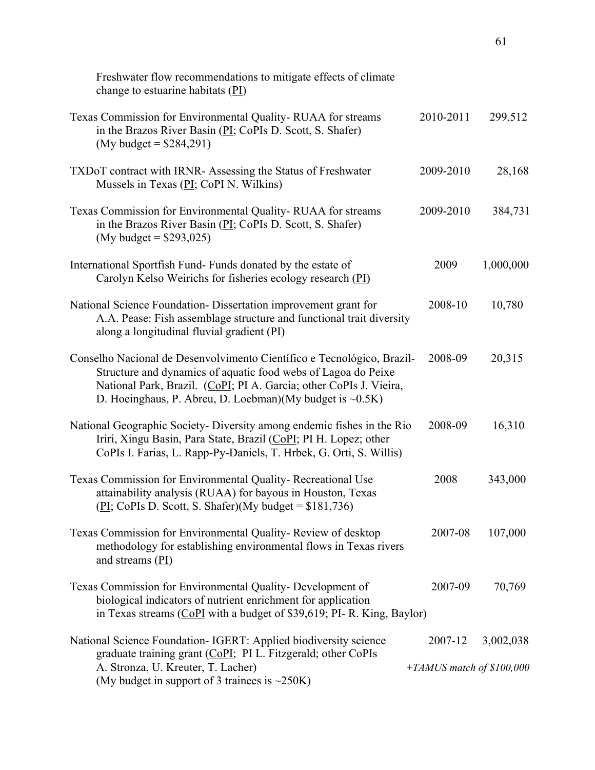| Freshwater flow recommendations to mitigate effects of climate<br>change to estuarine habitats (PI)                                                                                                                                                                              |                                      |           |
|----------------------------------------------------------------------------------------------------------------------------------------------------------------------------------------------------------------------------------------------------------------------------------|--------------------------------------|-----------|
| Texas Commission for Environmental Quality-RUAA for streams<br>in the Brazos River Basin (PI; CoPIs D. Scott, S. Shafer)<br>(My budget = $$284,291$ )                                                                                                                            | 2010-2011                            | 299,512   |
| TXDoT contract with IRNR- Assessing the Status of Freshwater<br>Mussels in Texas (PI; CoPI N. Wilkins)                                                                                                                                                                           | 2009-2010                            | 28,168    |
| Texas Commission for Environmental Quality-RUAA for streams<br>in the Brazos River Basin (PI; CoPIs D. Scott, S. Shafer)<br>(My budget = $$293,025$ )                                                                                                                            | 2009-2010                            | 384,731   |
| International Sportfish Fund-Funds donated by the estate of<br>Carolyn Kelso Weirichs for fisheries ecology research (PI)                                                                                                                                                        | 2009                                 | 1,000,000 |
| National Science Foundation-Dissertation improvement grant for<br>A.A. Pease: Fish assemblage structure and functional trait diversity<br>along a longitudinal fluvial gradient $(PI)$                                                                                           | 2008-10                              | 10,780    |
| Conselho Nacional de Desenvolvimento Científico e Tecnológico, Brazil-<br>Structure and dynamics of aquatic food webs of Lagoa do Peixe<br>National Park, Brazil. (CoPI; PI A. Garcia; other CoPIs J. Vieira,<br>D. Hoeinghaus, P. Abreu, D. Loebman)(My budget is $\sim 0.5K$ ) | 2008-09                              | 20,315    |
| National Geographic Society- Diversity among endemic fishes in the Rio<br>Iriri, Xingu Basin, Para State, Brazil (CoPI; PI H. Lopez; other<br>CoPIs I. Farias, L. Rapp-Py-Daniels, T. Hrbek, G. Orti, S. Willis)                                                                 | 2008-09                              | 16,310    |
| Texas Commission for Environmental Quality-Recreational Use<br>attainability analysis (RUAA) for bayous in Houston, Texas<br>$\underline{PI}$ ; CoPIs D. Scott, S. Shafer)(My budget = \$181,736)                                                                                | 2008                                 | 343,000   |
| Texas Commission for Environmental Quality-Review of desktop<br>methodology for establishing environmental flows in Texas rivers<br>and streams $(PI)$                                                                                                                           | 2007-08                              | 107,000   |
| Texas Commission for Environmental Quality- Development of<br>biological indicators of nutrient enrichment for application<br>in Texas streams (CoPI with a budget of \$39,619; PI- R. King, Baylor)                                                                             | 2007-09                              | 70,769    |
| National Science Foundation- IGERT: Applied biodiversity science<br>graduate training grant (CoPI; PI L. Fitzgerald; other CoPIs<br>A. Stronza, U. Kreuter, T. Lacher)<br>(My budget in support of 3 trainees is $\sim$ 250K)                                                    | 2007-12<br>+TAMUS match of \$100,000 | 3,002,038 |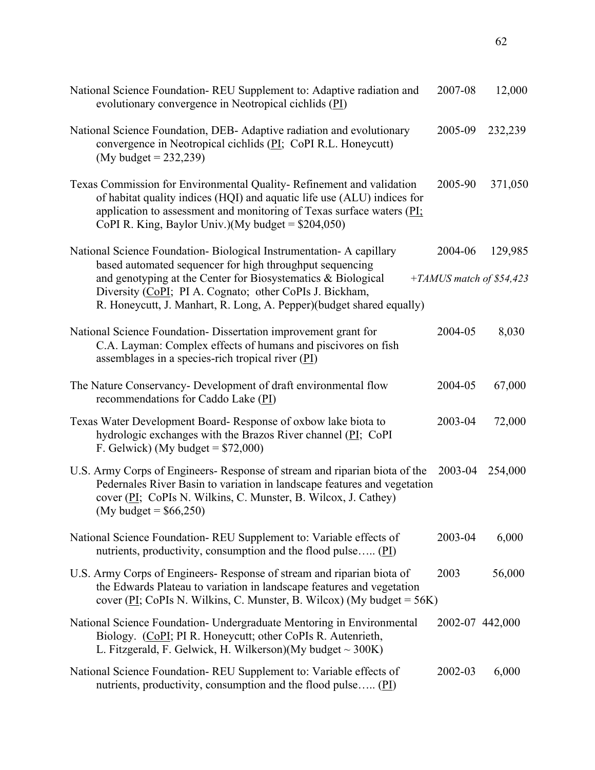| National Science Foundation-REU Supplement to: Adaptive radiation and<br>evolutionary convergence in Neotropical cichlids (PI)                                                                                                                                                                                                      | 2007-08         | 12,000                              |
|-------------------------------------------------------------------------------------------------------------------------------------------------------------------------------------------------------------------------------------------------------------------------------------------------------------------------------------|-----------------|-------------------------------------|
| National Science Foundation, DEB- Adaptive radiation and evolutionary<br>convergence in Neotropical cichlids (PI; CoPI R.L. Honeycutt)<br>(My budget = $232,239$ )                                                                                                                                                                  | 2005-09         | 232,239                             |
| Texas Commission for Environmental Quality-Refinement and validation<br>of habitat quality indices (HQI) and aquatic life use (ALU) indices for<br>application to assessment and monitoring of Texas surface waters $(PI;$<br>CoPI R. King, Baylor Univ.)(My budget = $$204,050$ )                                                  | 2005-90         | 371,050                             |
| National Science Foundation- Biological Instrumentation- A capillary<br>based automated sequencer for high throughput sequencing<br>and genotyping at the Center for Biosystematics & Biological<br>Diversity (CoPI; PI A. Cognato; other CoPIs J. Bickham,<br>R. Honeycutt, J. Manhart, R. Long, A. Pepper)(budget shared equally) | 2004-06         | 129,985<br>+TAMUS match of \$54,423 |
| National Science Foundation-Dissertation improvement grant for<br>C.A. Layman: Complex effects of humans and piscivores on fish<br>assemblages in a species-rich tropical river (PI)                                                                                                                                                | 2004-05         | 8,030                               |
| The Nature Conservancy- Development of draft environmental flow<br>recommendations for Caddo Lake (PI)                                                                                                                                                                                                                              | 2004-05         | 67,000                              |
| Texas Water Development Board-Response of oxbow lake biota to<br>hydrologic exchanges with the Brazos River channel (PI; CoPI<br>F. Gelwick) (My budget = $$72,000$ )                                                                                                                                                               | 2003-04         | 72,000                              |
| U.S. Army Corps of Engineers- Response of stream and riparian biota of the<br>Pedernales River Basin to variation in landscape features and vegetation<br>cover (PI; CoPIs N. Wilkins, C. Munster, B. Wilcox, J. Cathey)<br>(My budget = $$66,250$ )                                                                                | 2003-04         | 254,000                             |
| National Science Foundation-REU Supplement to: Variable effects of<br>nutrients, productivity, consumption and the flood pulse (PI)                                                                                                                                                                                                 | 2003-04         | 6,000                               |
| U.S. Army Corps of Engineers- Response of stream and riparian biota of<br>the Edwards Plateau to variation in landscape features and vegetation<br>cover (PI; CoPIs N. Wilkins, C. Munster, B. Wilcox) (My budget = $56K$ )                                                                                                         | 2003            | 56,000                              |
| National Science Foundation- Undergraduate Mentoring in Environmental<br>Biology. (CoPI; PI R. Honeycutt; other CoPIs R. Autenrieth,<br>L. Fitzgerald, F. Gelwick, H. Wilkerson)(My budget $\sim$ 300K)                                                                                                                             | 2002-07 442,000 |                                     |
| National Science Foundation-REU Supplement to: Variable effects of<br>nutrients, productivity, consumption and the flood pulse (PI)                                                                                                                                                                                                 | 2002-03         | 6,000                               |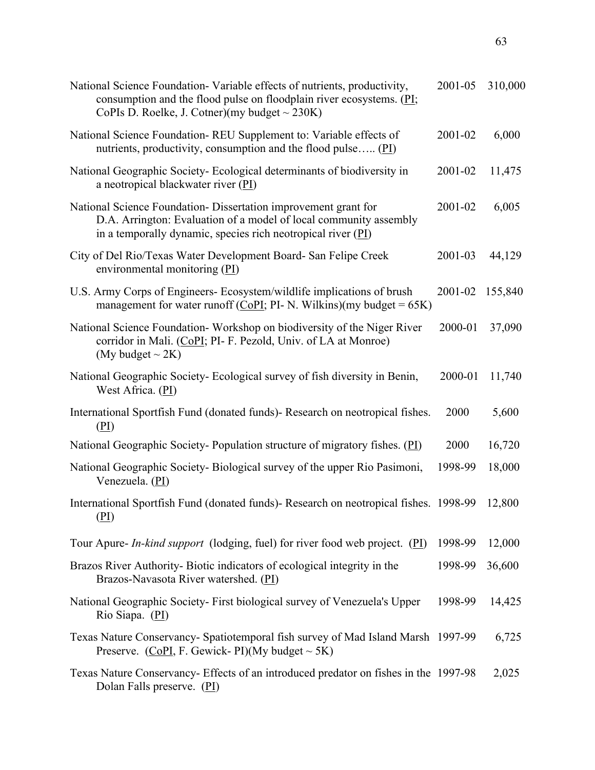| National Science Foundation-Variable effects of nutrients, productivity,<br>consumption and the flood pulse on floodplain river ecosystems. $(PI;$<br>CoPIs D. Roelke, J. Cotner)(my budget $\sim$ 230K) | 2001-05 | 310,000 |
|----------------------------------------------------------------------------------------------------------------------------------------------------------------------------------------------------------|---------|---------|
| National Science Foundation-REU Supplement to: Variable effects of<br>nutrients, productivity, consumption and the flood pulse $(PI)$                                                                    | 2001-02 | 6,000   |
| National Geographic Society-Ecological determinants of biodiversity in<br>a neotropical blackwater river (PI)                                                                                            | 2001-02 | 11,475  |
| National Science Foundation-Dissertation improvement grant for<br>D.A. Arrington: Evaluation of a model of local community assembly<br>in a temporally dynamic, species rich neotropical river $(PI)$    | 2001-02 | 6,005   |
| City of Del Rio/Texas Water Development Board- San Felipe Creek<br>environmental monitoring (PI)                                                                                                         | 2001-03 | 44,129  |
| U.S. Army Corps of Engineers- Ecosystem/wildlife implications of brush<br>management for water runoff (CoPI; PI- N. Wilkins)(my budget = $65K$ )                                                         | 2001-02 | 155,840 |
| National Science Foundation-Workshop on biodiversity of the Niger River<br>corridor in Mali. (CoPI; PI- F. Pezold, Univ. of LA at Monroe)<br>(My budget $\sim$ 2K)                                       | 2000-01 | 37,090  |
| National Geographic Society- Ecological survey of fish diversity in Benin,<br>West Africa. (PI)                                                                                                          | 2000-01 | 11,740  |
| International Sportfish Fund (donated funds)- Research on neotropical fishes.<br>(PI)                                                                                                                    | 2000    | 5,600   |
| National Geographic Society-Population structure of migratory fishes. (PI)                                                                                                                               | 2000    | 16,720  |
| National Geographic Society- Biological survey of the upper Rio Pasimoni,<br>Venezuela. (PI)                                                                                                             | 1998-99 | 18,000  |
| International Sportfish Fund (donated funds) - Research on neotropical fishes. 1998-99<br>$(\underline{P1})$                                                                                             |         | 12,800  |
| Tour Apure- <i>In-kind support</i> (lodging, fuel) for river food web project. ( $\underline{PI}$ )                                                                                                      | 1998-99 | 12,000  |
| Brazos River Authority-Biotic indicators of ecological integrity in the<br>Brazos-Navasota River watershed. (PI)                                                                                         | 1998-99 | 36,600  |
| National Geographic Society- First biological survey of Venezuela's Upper<br>Rio Siapa. (PI)                                                                                                             | 1998-99 | 14,425  |
| Texas Nature Conservancy- Spatiotemporal fish survey of Mad Island Marsh 1997-99<br>Preserve. (CoPI, F. Gewick-PI)(My budget $\sim$ 5K)                                                                  |         | 6,725   |
| Texas Nature Conservancy- Effects of an introduced predator on fishes in the 1997-98<br>Dolan Falls preserve. (PI)                                                                                       |         | 2,025   |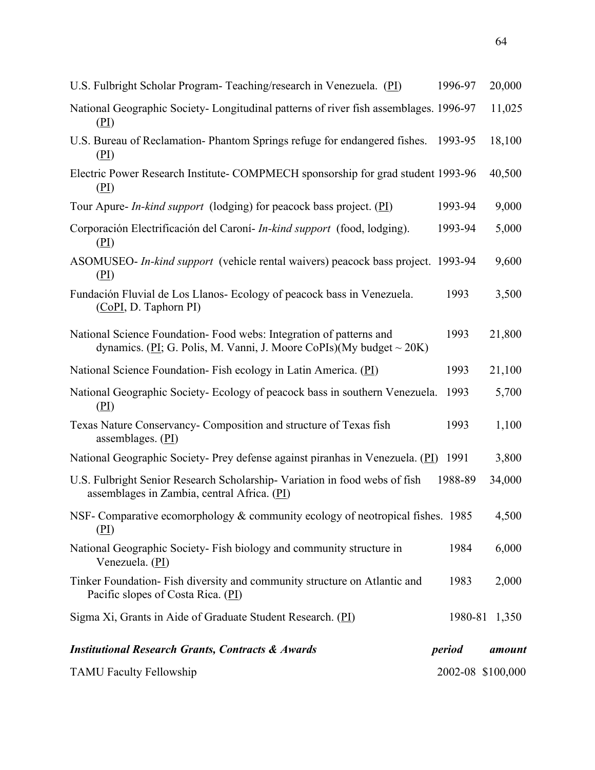| <b>TAMU Faculty Fellowship</b>                                                                                                                 | 2002-08 \$100,000 |               |
|------------------------------------------------------------------------------------------------------------------------------------------------|-------------------|---------------|
| <b>Institutional Research Grants, Contracts &amp; Awards</b>                                                                                   | period            | amount        |
| Sigma Xi, Grants in Aide of Graduate Student Research. (PI)                                                                                    |                   | 1980-81 1,350 |
| Tinker Foundation-Fish diversity and community structure on Atlantic and<br>Pacific slopes of Costa Rica. (PI)                                 | 1983              | 2,000         |
| National Geographic Society- Fish biology and community structure in<br>Venezuela. (PI)                                                        | 1984              | 6,000         |
| NSF- Comparative ecomorphology & community ecology of neotropical fishes. 1985<br>(PL)                                                         |                   | 4,500         |
| U.S. Fulbright Senior Research Scholarship-Variation in food webs of fish<br>assemblages in Zambia, central Africa. (PI)                       | 1988-89           | 34,000        |
| National Geographic Society- Prey defense against piranhas in Venezuela. (PI)                                                                  | 1991              | 3,800         |
| assemblages. $(PI)$                                                                                                                            |                   |               |
| Texas Nature Conservancy- Composition and structure of Texas fish                                                                              | 1993              | 1,100         |
| National Geographic Society-Ecology of peacock bass in southern Venezuela.<br>(PI)                                                             | 1993              | 5,700         |
| National Science Foundation- Fish ecology in Latin America. (PI)                                                                               | 1993              | 21,100        |
| National Science Foundation-Food webs: Integration of patterns and<br>dynamics. (PI; G. Polis, M. Vanni, J. Moore CoPIs)(My budget $\sim$ 20K) | 1993              | 21,800        |
| Fundación Fluvial de Los Llanos- Ecology of peacock bass in Venezuela.<br>(CoPI, D. Taphorn PI)                                                | 1993              | 3,500         |
| ASOMUSEO- In-kind support (vehicle rental waivers) peacock bass project. 1993-94<br>(PL)                                                       |                   | 9,600         |
| Corporación Electrificación del Caroní- In-kind support (food, lodging).<br>(PI)                                                               | 1993-94           | 5,000         |
| Tour Apure- <i>In-kind support</i> (lodging) for peacock bass project. (PI)                                                                    | 1993-94           | 9,000         |
| Electric Power Research Institute- COMPMECH sponsorship for grad student 1993-96<br>(PL)                                                       |                   | 40,500        |
| U.S. Bureau of Reclamation- Phantom Springs refuge for endangered fishes.<br>(PI)                                                              | 1993-95           | 18,100        |
| National Geographic Society- Longitudinal patterns of river fish assemblages. 1996-97<br>(PI)                                                  |                   | 11,025        |
| U.S. Fulbright Scholar Program- Teaching/research in Venezuela. (PI)                                                                           | 1996-97           | 20,000        |